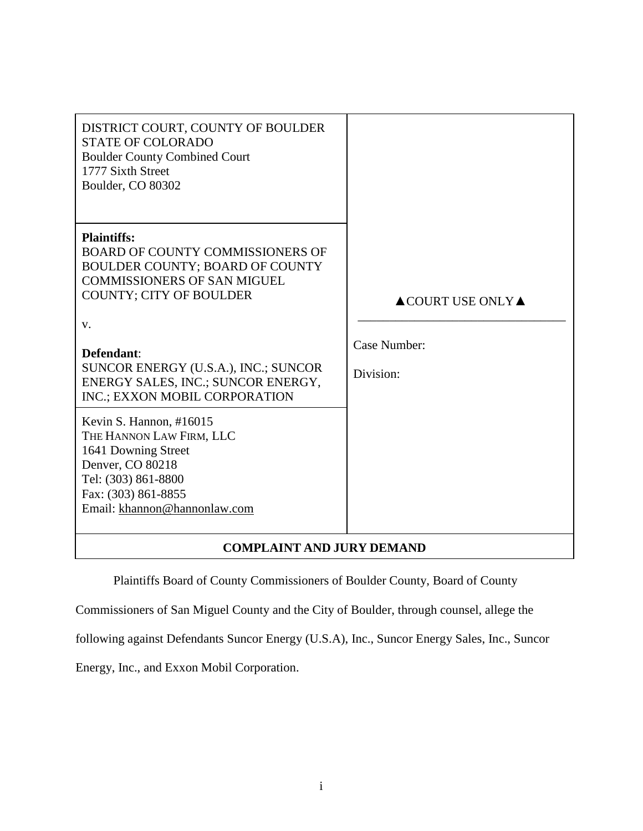| DISTRICT COURT, COUNTY OF BOULDER<br><b>STATE OF COLORADO</b><br><b>Boulder County Combined Court</b><br>1777 Sixth Street<br>Boulder, CO 80302                                                                                                                                                             |                                                                     |  |  |
|-------------------------------------------------------------------------------------------------------------------------------------------------------------------------------------------------------------------------------------------------------------------------------------------------------------|---------------------------------------------------------------------|--|--|
| <b>Plaintiffs:</b><br>BOARD OF COUNTY COMMISSIONERS OF<br><b>BOULDER COUNTY; BOARD OF COUNTY</b><br><b>COMMISSIONERS OF SAN MIGUEL</b><br><b>COUNTY; CITY OF BOULDER</b><br>V.<br>Defendant:<br>SUNCOR ENERGY (U.S.A.), INC.; SUNCOR<br>ENERGY SALES, INC.; SUNCOR ENERGY,<br>INC.; EXXON MOBIL CORPORATION | $\triangle$ COURT USE ONLY $\triangle$<br>Case Number:<br>Division: |  |  |
| Kevin S. Hannon, #16015<br>THE HANNON LAW FIRM, LLC<br>1641 Downing Street<br>Denver, CO 80218<br>Tel: (303) 861-8800<br>Fax: (303) 861-8855<br>Email: khannon@hannonlaw.com                                                                                                                                |                                                                     |  |  |
| <b>COMPLAINT AND JURY DEMAND</b>                                                                                                                                                                                                                                                                            |                                                                     |  |  |

Plaintiffs Board of County Commissioners of Boulder County, Board of County

Commissioners of San Miguel County and the City of Boulder, through counsel, allege the

following against Defendants Suncor Energy (U.S.A), Inc., Suncor Energy Sales, Inc., Suncor

Energy, Inc., and Exxon Mobil Corporation.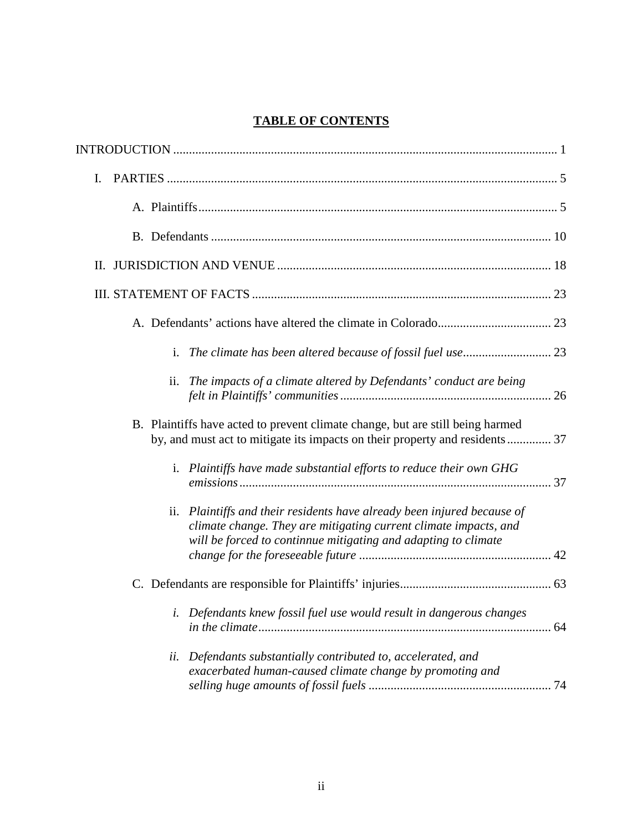# **TABLE OF CONTENTS**

| Ι.                                                                                                                                                                                                               |
|------------------------------------------------------------------------------------------------------------------------------------------------------------------------------------------------------------------|
|                                                                                                                                                                                                                  |
|                                                                                                                                                                                                                  |
| П.                                                                                                                                                                                                               |
|                                                                                                                                                                                                                  |
|                                                                                                                                                                                                                  |
|                                                                                                                                                                                                                  |
| ii. The impacts of a climate altered by Defendants' conduct are being                                                                                                                                            |
| B. Plaintiffs have acted to prevent climate change, but are still being harmed<br>by, and must act to mitigate its impacts on their property and residents 37                                                    |
| i. Plaintiffs have made substantial efforts to reduce their own GHG                                                                                                                                              |
| Plaintiffs and their residents have already been injured because of<br>ii.<br>climate change. They are mitigating current climate impacts, and<br>will be forced to continnue mitigating and adapting to climate |
|                                                                                                                                                                                                                  |
| i. Defendants knew fossil fuel use would result in dangerous changes                                                                                                                                             |
| Defendants substantially contributed to, accelerated, and<br>ii.<br>exacerbated human-caused climate change by promoting and                                                                                     |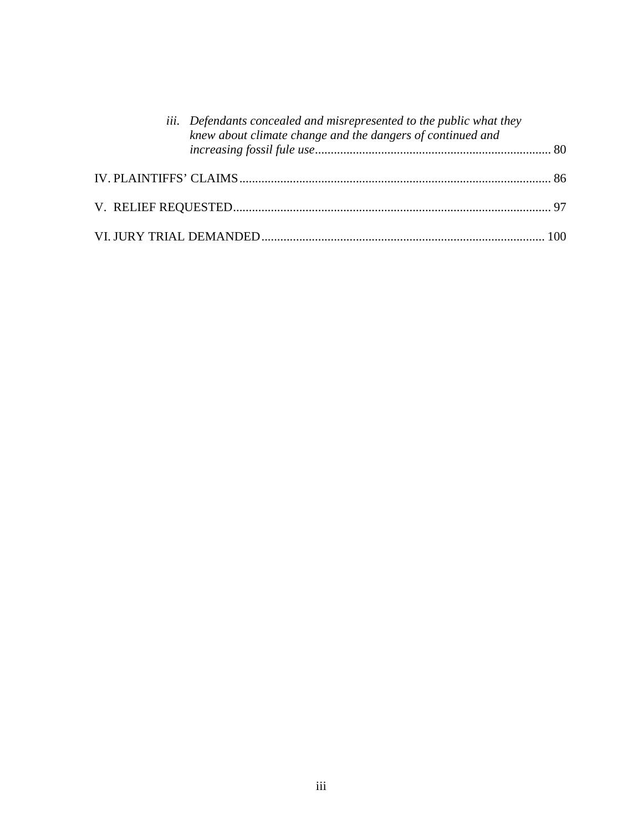| iii. Defendants concealed and misrepresented to the public what they<br>knew about climate change and the dangers of continued and |  |
|------------------------------------------------------------------------------------------------------------------------------------|--|
|                                                                                                                                    |  |
|                                                                                                                                    |  |
|                                                                                                                                    |  |
|                                                                                                                                    |  |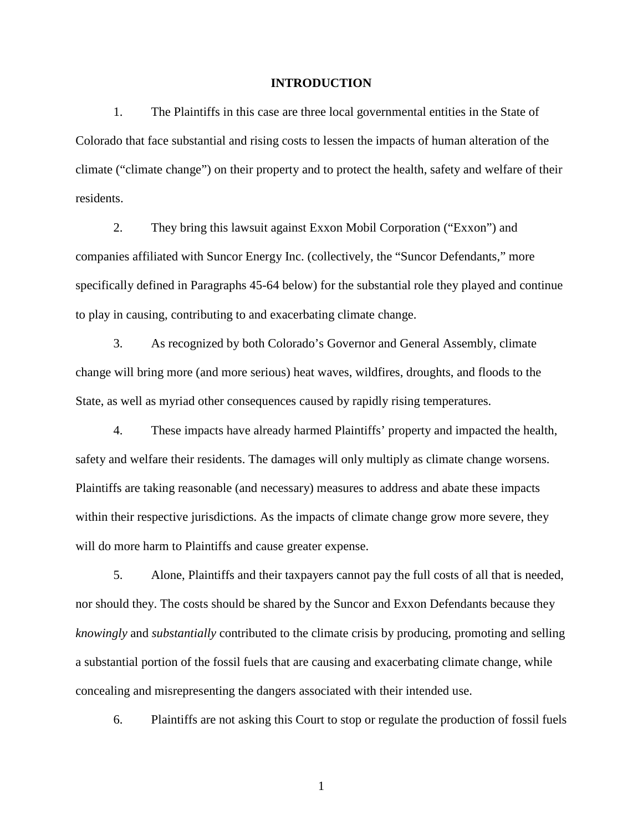#### **INTRODUCTION**

1. The Plaintiffs in this case are three local governmental entities in the State of Colorado that face substantial and rising costs to lessen the impacts of human alteration of the climate ("climate change") on their property and to protect the health, safety and welfare of their residents.

2. They bring this lawsuit against Exxon Mobil Corporation ("Exxon") and companies affiliated with Suncor Energy Inc. (collectively, the "Suncor Defendants," more specifically defined in Paragraphs 45-64 below) for the substantial role they played and continue to play in causing, contributing to and exacerbating climate change.

3. As recognized by both Colorado's Governor and General Assembly, climate change will bring more (and more serious) heat waves, wildfires, droughts, and floods to the State, as well as myriad other consequences caused by rapidly rising temperatures.

4. These impacts have already harmed Plaintiffs' property and impacted the health, safety and welfare their residents. The damages will only multiply as climate change worsens. Plaintiffs are taking reasonable (and necessary) measures to address and abate these impacts within their respective jurisdictions. As the impacts of climate change grow more severe, they will do more harm to Plaintiffs and cause greater expense.

5. Alone, Plaintiffs and their taxpayers cannot pay the full costs of all that is needed, nor should they. The costs should be shared by the Suncor and Exxon Defendants because they *knowingly* and *substantially* contributed to the climate crisis by producing, promoting and selling a substantial portion of the fossil fuels that are causing and exacerbating climate change, while concealing and misrepresenting the dangers associated with their intended use.

6. Plaintiffs are not asking this Court to stop or regulate the production of fossil fuels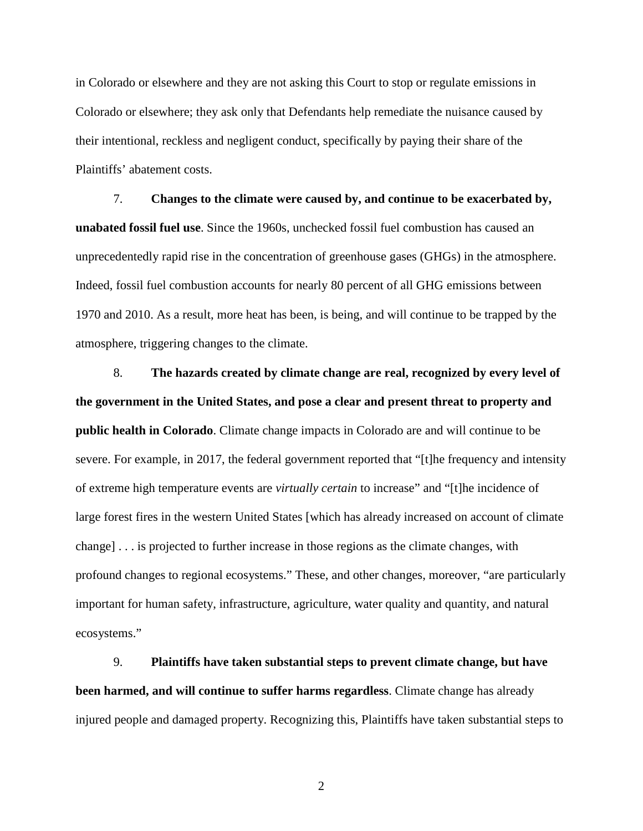in Colorado or elsewhere and they are not asking this Court to stop or regulate emissions in Colorado or elsewhere; they ask only that Defendants help remediate the nuisance caused by their intentional, reckless and negligent conduct, specifically by paying their share of the Plaintiffs' abatement costs.

7. **Changes to the climate were caused by, and continue to be exacerbated by, unabated fossil fuel use**. Since the 1960s, unchecked fossil fuel combustion has caused an unprecedentedly rapid rise in the concentration of greenhouse gases (GHGs) in the atmosphere. Indeed, fossil fuel combustion accounts for nearly 80 percent of all GHG emissions between 1970 and 2010. As a result, more heat has been, is being, and will continue to be trapped by the atmosphere, triggering changes to the climate.

8. **The hazards created by climate change are real, recognized by every level of the government in the United States, and pose a clear and present threat to property and public health in Colorado**. Climate change impacts in Colorado are and will continue to be severe. For example, in 2017, the federal government reported that "[t]he frequency and intensity of extreme high temperature events are *virtually certain* to increase" and "[t]he incidence of large forest fires in the western United States [which has already increased on account of climate change] . . . is projected to further increase in those regions as the climate changes, with profound changes to regional ecosystems." These, and other changes, moreover, "are particularly important for human safety, infrastructure, agriculture, water quality and quantity, and natural ecosystems."

9. **Plaintiffs have taken substantial steps to prevent climate change, but have been harmed, and will continue to suffer harms regardless**. Climate change has already injured people and damaged property. Recognizing this, Plaintiffs have taken substantial steps to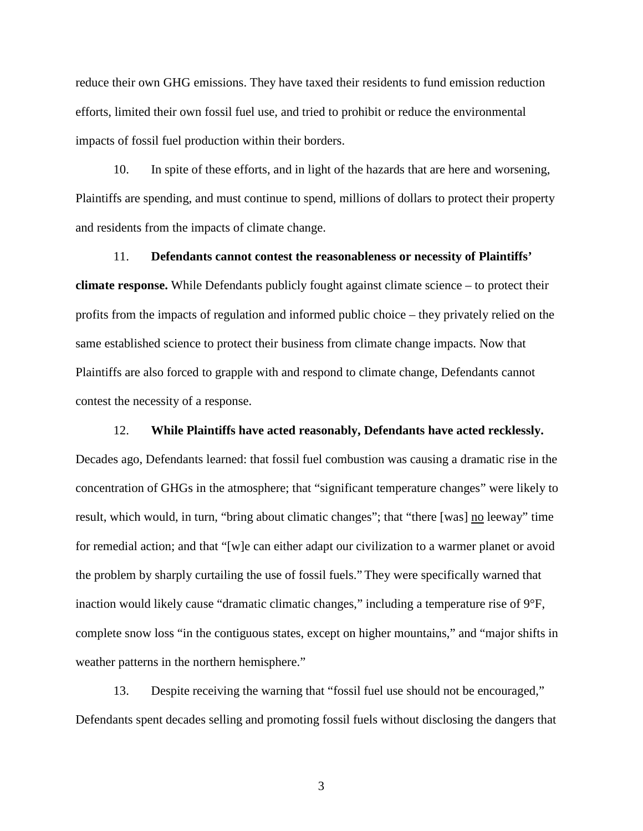reduce their own GHG emissions. They have taxed their residents to fund emission reduction efforts, limited their own fossil fuel use, and tried to prohibit or reduce the environmental impacts of fossil fuel production within their borders.

10. In spite of these efforts, and in light of the hazards that are here and worsening, Plaintiffs are spending, and must continue to spend, millions of dollars to protect their property and residents from the impacts of climate change.

11. **Defendants cannot contest the reasonableness or necessity of Plaintiffs' climate response.** While Defendants publicly fought against climate science – to protect their profits from the impacts of regulation and informed public choice – they privately relied on the same established science to protect their business from climate change impacts. Now that Plaintiffs are also forced to grapple with and respond to climate change, Defendants cannot contest the necessity of a response.

### 12. **While Plaintiffs have acted reasonably, Defendants have acted recklessly.**

Decades ago, Defendants learned: that fossil fuel combustion was causing a dramatic rise in the concentration of GHGs in the atmosphere; that "significant temperature changes" were likely to result, which would, in turn, "bring about climatic changes"; that "there [was] no leeway" time for remedial action; and that "[w]e can either adapt our civilization to a warmer planet or avoid the problem by sharply curtailing the use of fossil fuels." They were specifically warned that inaction would likely cause "dramatic climatic changes," including a temperature rise of 9°F, complete snow loss "in the contiguous states, except on higher mountains," and "major shifts in weather patterns in the northern hemisphere."

13. Despite receiving the warning that "fossil fuel use should not be encouraged," Defendants spent decades selling and promoting fossil fuels without disclosing the dangers that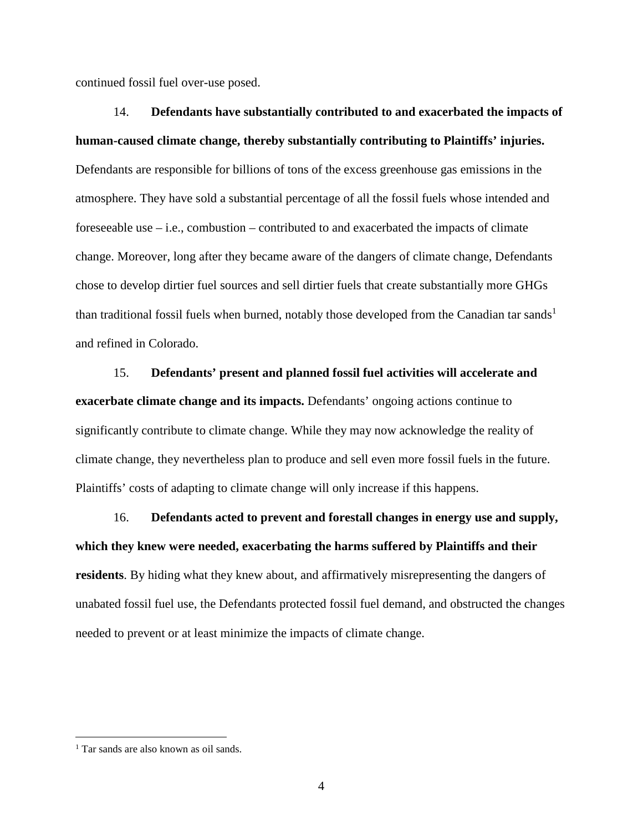continued fossil fuel over-use posed.

14. **Defendants have substantially contributed to and exacerbated the impacts of human-caused climate change, thereby substantially contributing to Plaintiffs' injuries.** Defendants are responsible for billions of tons of the excess greenhouse gas emissions in the atmosphere. They have sold a substantial percentage of all the fossil fuels whose intended and foreseeable use – i.e., combustion – contributed to and exacerbated the impacts of climate change. Moreover, long after they became aware of the dangers of climate change, Defendants chose to develop dirtier fuel sources and sell dirtier fuels that create substantially more GHGs than traditional fossil fuels when burned, notably those developed from the Canadian tar sands<sup>1</sup> and refined in Colorado.

15. **Defendants' present and planned fossil fuel activities will accelerate and exacerbate climate change and its impacts.** Defendants' ongoing actions continue to significantly contribute to climate change. While they may now acknowledge the reality of climate change, they nevertheless plan to produce and sell even more fossil fuels in the future. Plaintiffs' costs of adapting to climate change will only increase if this happens.

16. **Defendants acted to prevent and forestall changes in energy use and supply, which they knew were needed, exacerbating the harms suffered by Plaintiffs and their residents**. By hiding what they knew about, and affirmatively misrepresenting the dangers of unabated fossil fuel use, the Defendants protected fossil fuel demand, and obstructed the changes needed to prevent or at least minimize the impacts of climate change.

<sup>1</sup> Tar sands are also known as oil sands.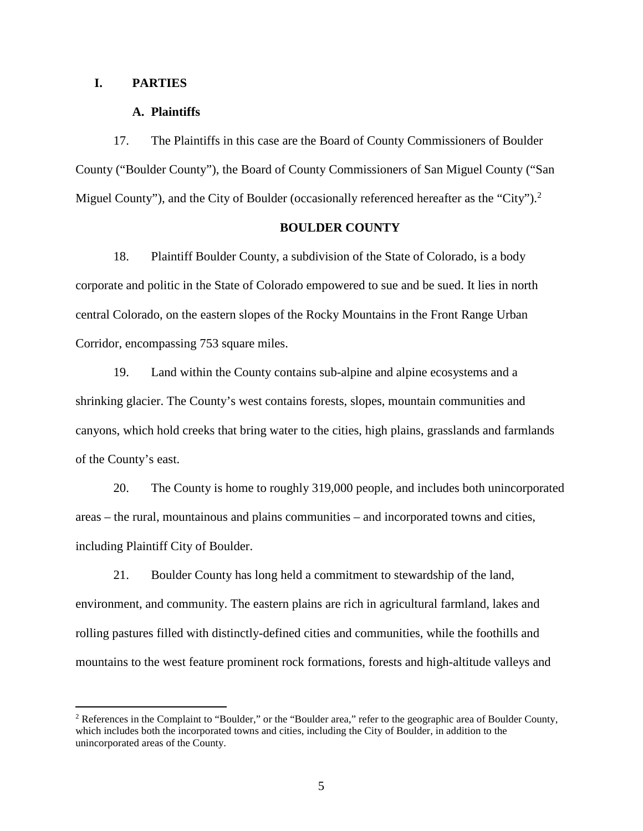### **I. PARTIES**

 $\overline{a}$ 

### **A. Plaintiffs**

17. The Plaintiffs in this case are the Board of County Commissioners of Boulder County ("Boulder County"), the Board of County Commissioners of San Miguel County ("San Miguel County"), and the City of Boulder (occasionally referenced hereafter as the "City").<sup>2</sup>

### **BOULDER COUNTY**

18. Plaintiff Boulder County, a subdivision of the State of Colorado, is a body corporate and politic in the State of Colorado empowered to sue and be sued. It lies in north central Colorado, on the eastern slopes of the Rocky Mountains in the Front Range Urban Corridor, encompassing 753 square miles.

19. Land within the County contains sub-alpine and alpine ecosystems and a shrinking glacier. The County's west contains forests, slopes, mountain communities and canyons, which hold creeks that bring water to the cities, high plains, grasslands and farmlands of the County's east.

20. The County is home to roughly 319,000 people, and includes both unincorporated areas – the rural, mountainous and plains communities – and incorporated towns and cities, including Plaintiff City of Boulder.

21. Boulder County has long held a commitment to stewardship of the land, environment, and community. The eastern plains are rich in agricultural farmland, lakes and rolling pastures filled with distinctly-defined cities and communities, while the foothills and mountains to the west feature prominent rock formations, forests and high-altitude valleys and

<sup>&</sup>lt;sup>2</sup> References in the Complaint to "Boulder," or the "Boulder area," refer to the geographic area of Boulder County, which includes both the incorporated towns and cities, including the City of Boulder, in addition to the unincorporated areas of the County.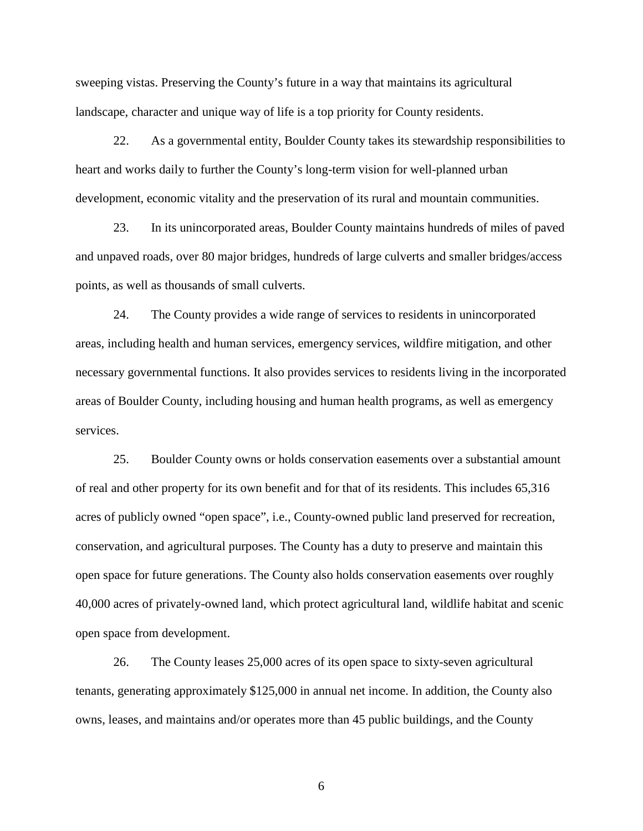sweeping vistas. Preserving the County's future in a way that maintains its agricultural landscape, character and unique way of life is a top priority for County residents.

22. As a governmental entity, Boulder County takes its stewardship responsibilities to heart and works daily to further the County's long-term vision for well-planned urban development, economic vitality and the preservation of its rural and mountain communities.

23. In its unincorporated areas, Boulder County maintains hundreds of miles of paved and unpaved roads, over 80 major bridges, hundreds of large culverts and smaller bridges/access points, as well as thousands of small culverts.

24. The County provides a wide range of services to residents in unincorporated areas, including health and human services, emergency services, wildfire mitigation, and other necessary governmental functions. It also provides services to residents living in the incorporated areas of Boulder County, including housing and human health programs, as well as emergency services.

25. Boulder County owns or holds conservation easements over a substantial amount of real and other property for its own benefit and for that of its residents. This includes 65,316 acres of publicly owned "open space", i.e., County-owned public land preserved for recreation, conservation, and agricultural purposes. The County has a duty to preserve and maintain this open space for future generations. The County also holds conservation easements over roughly 40,000 acres of privately-owned land, which protect agricultural land, wildlife habitat and scenic open space from development.

26. The County leases 25,000 acres of its open space to sixty-seven agricultural tenants, generating approximately \$125,000 in annual net income. In addition, the County also owns, leases, and maintains and/or operates more than 45 public buildings, and the County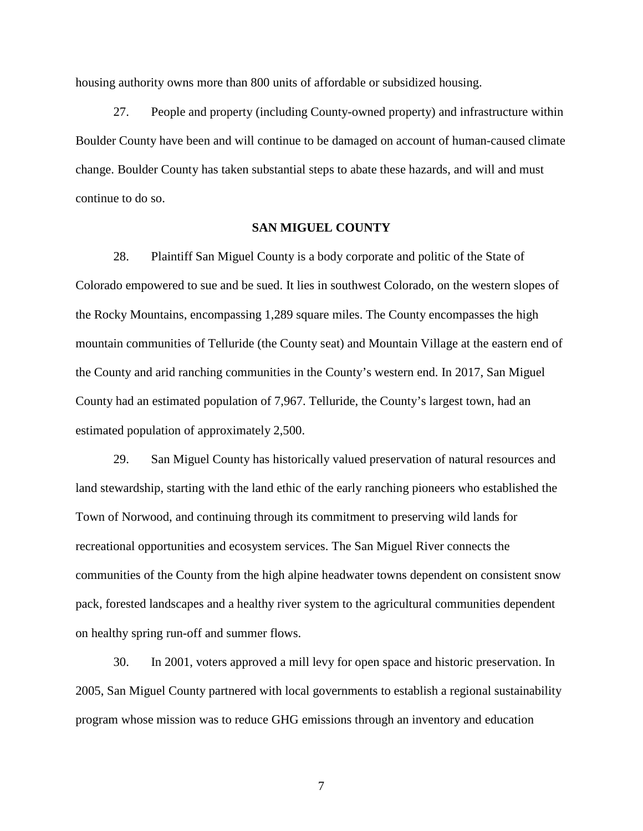housing authority owns more than 800 units of affordable or subsidized housing.

27. People and property (including County-owned property) and infrastructure within Boulder County have been and will continue to be damaged on account of human-caused climate change. Boulder County has taken substantial steps to abate these hazards, and will and must continue to do so.

### **SAN MIGUEL COUNTY**

28. Plaintiff San Miguel County is a body corporate and politic of the State of Colorado empowered to sue and be sued. It lies in southwest Colorado, on the western slopes of the Rocky Mountains, encompassing 1,289 square miles. The County encompasses the high mountain communities of Telluride (the County seat) and Mountain Village at the eastern end of the County and arid ranching communities in the County's western end. In 2017, San Miguel County had an estimated population of 7,967. Telluride, the County's largest town, had an estimated population of approximately 2,500.

29. San Miguel County has historically valued preservation of natural resources and land stewardship, starting with the land ethic of the early ranching pioneers who established the Town of Norwood, and continuing through its commitment to preserving wild lands for recreational opportunities and ecosystem services. The San Miguel River connects the communities of the County from the high alpine headwater towns dependent on consistent snow pack, forested landscapes and a healthy river system to the agricultural communities dependent on healthy spring run-off and summer flows.

30. In 2001, voters approved a mill levy for open space and historic preservation. In 2005, San Miguel County partnered with local governments to establish a regional sustainability program whose mission was to reduce GHG emissions through an inventory and education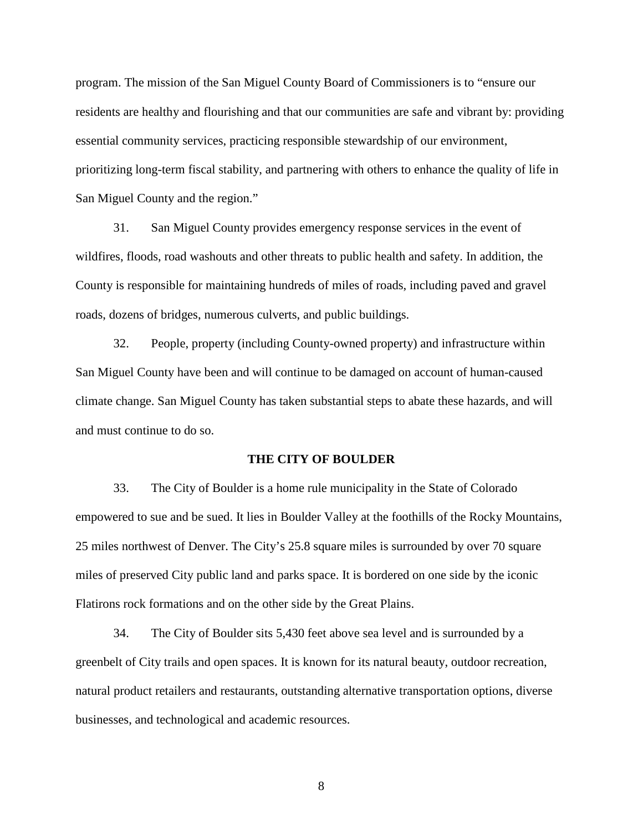program. The mission of the San Miguel County Board of Commissioners is to "ensure our residents are healthy and flourishing and that our communities are safe and vibrant by: providing essential community services, practicing responsible stewardship of our environment, prioritizing long-term fiscal stability, and partnering with others to enhance the quality of life in San Miguel County and the region."

31. San Miguel County provides emergency response services in the event of wildfires, floods, road washouts and other threats to public health and safety. In addition, the County is responsible for maintaining hundreds of miles of roads, including paved and gravel roads, dozens of bridges, numerous culverts, and public buildings.

32. People, property (including County-owned property) and infrastructure within San Miguel County have been and will continue to be damaged on account of human-caused climate change. San Miguel County has taken substantial steps to abate these hazards, and will and must continue to do so.

### **THE CITY OF BOULDER**

33. The City of Boulder is a home rule municipality in the State of Colorado empowered to sue and be sued. It lies in Boulder Valley at the foothills of the Rocky Mountains, 25 miles northwest of Denver. The City's 25.8 square miles is surrounded by over 70 square miles of preserved City public land and parks space. It is bordered on one side by the iconic Flatirons rock formations and on the other side by the Great Plains.

34. The City of Boulder sits 5,430 feet above sea level and is surrounded by a greenbelt of City trails and open spaces. It is known for its natural beauty, outdoor recreation, natural product retailers and restaurants, outstanding alternative transportation options, diverse businesses, and technological and academic resources.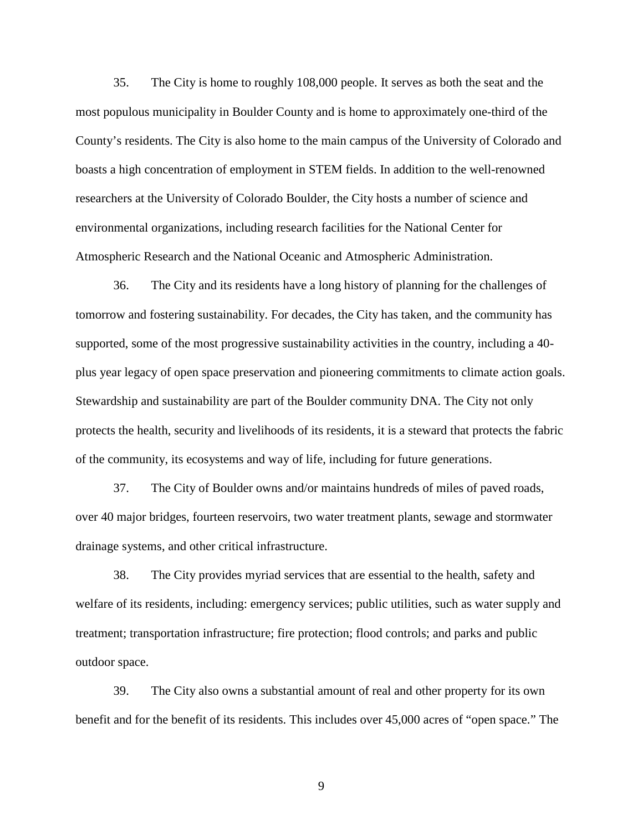35. The City is home to roughly 108,000 people. It serves as both the seat and the most populous municipality in Boulder County and is home to approximately one-third of the County's residents. The City is also home to the main campus of the University of Colorado and boasts a high concentration of employment in STEM fields. In addition to the well-renowned researchers at the University of Colorado Boulder, the City hosts a number of science and environmental organizations, including research facilities for the National Center for Atmospheric Research and the National Oceanic and Atmospheric Administration.

36. The City and its residents have a long history of planning for the challenges of tomorrow and fostering sustainability. For decades, the City has taken, and the community has supported, some of the most progressive sustainability activities in the country, including a 40 plus year legacy of open space preservation and pioneering commitments to climate action goals. Stewardship and sustainability are part of the Boulder community DNA. The City not only protects the health, security and livelihoods of its residents, it is a steward that protects the fabric of the community, its ecosystems and way of life, including for future generations.

37. The City of Boulder owns and/or maintains hundreds of miles of paved roads, over 40 major bridges, fourteen reservoirs, two water treatment plants, sewage and stormwater drainage systems, and other critical infrastructure.

38. The City provides myriad services that are essential to the health, safety and welfare of its residents, including: emergency services; public utilities, such as water supply and treatment; transportation infrastructure; fire protection; flood controls; and parks and public outdoor space.

39. The City also owns a substantial amount of real and other property for its own benefit and for the benefit of its residents. This includes over 45,000 acres of "open space." The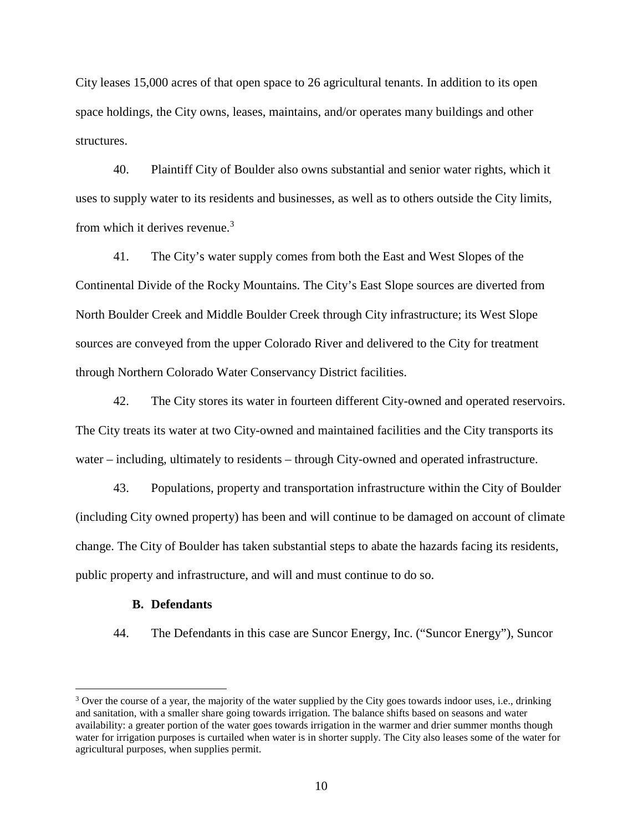City leases 15,000 acres of that open space to 26 agricultural tenants. In addition to its open space holdings, the City owns, leases, maintains, and/or operates many buildings and other structures.

40. Plaintiff City of Boulder also owns substantial and senior water rights, which it uses to supply water to its residents and businesses, as well as to others outside the City limits, from which it derives revenue.<sup>3</sup>

41. The City's water supply comes from both the East and West Slopes of the Continental Divide of the Rocky Mountains. The City's East Slope sources are diverted from North Boulder Creek and Middle Boulder Creek through City infrastructure; its West Slope sources are conveyed from the upper Colorado River and delivered to the City for treatment through Northern Colorado Water Conservancy District facilities.

42. The City stores its water in fourteen different City-owned and operated reservoirs. The City treats its water at two City-owned and maintained facilities and the City transports its water – including, ultimately to residents – through City-owned and operated infrastructure.

43. Populations, property and transportation infrastructure within the City of Boulder (including City owned property) has been and will continue to be damaged on account of climate change. The City of Boulder has taken substantial steps to abate the hazards facing its residents, public property and infrastructure, and will and must continue to do so.

### **B. Defendants**

 $\overline{a}$ 

44. The Defendants in this case are Suncor Energy, Inc. ("Suncor Energy"), Suncor

<sup>&</sup>lt;sup>3</sup> Over the course of a year, the majority of the water supplied by the City goes towards indoor uses, i.e., drinking and sanitation, with a smaller share going towards irrigation. The balance shifts based on seasons and water availability: a greater portion of the water goes towards irrigation in the warmer and drier summer months though water for irrigation purposes is curtailed when water is in shorter supply. The City also leases some of the water for agricultural purposes, when supplies permit.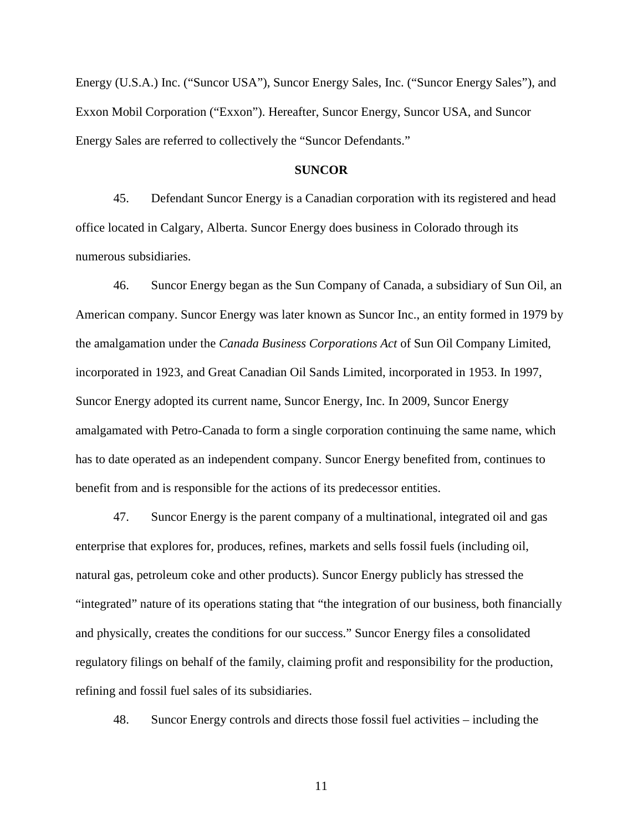Energy (U.S.A.) Inc. ("Suncor USA"), Suncor Energy Sales, Inc. ("Suncor Energy Sales"), and Exxon Mobil Corporation ("Exxon"). Hereafter, Suncor Energy, Suncor USA, and Suncor Energy Sales are referred to collectively the "Suncor Defendants."

#### **SUNCOR**

45. Defendant Suncor Energy is a Canadian corporation with its registered and head office located in Calgary, Alberta. Suncor Energy does business in Colorado through its numerous subsidiaries.

46. Suncor Energy began as the Sun Company of Canada, a subsidiary of Sun Oil, an American company. Suncor Energy was later known as Suncor Inc., an entity formed in 1979 by the amalgamation under the *Canada Business Corporations Act* of Sun Oil Company Limited, incorporated in 1923, and Great Canadian Oil Sands Limited, incorporated in 1953. In 1997, Suncor Energy adopted its current name, Suncor Energy, Inc. In 2009, Suncor Energy amalgamated with Petro-Canada to form a single corporation continuing the same name, which has to date operated as an independent company. Suncor Energy benefited from, continues to benefit from and is responsible for the actions of its predecessor entities.

47. Suncor Energy is the parent company of a multinational, integrated oil and gas enterprise that explores for, produces, refines, markets and sells fossil fuels (including oil, natural gas, petroleum coke and other products). Suncor Energy publicly has stressed the "integrated" nature of its operations stating that "the integration of our business, both financially and physically, creates the conditions for our success." Suncor Energy files a consolidated regulatory filings on behalf of the family, claiming profit and responsibility for the production, refining and fossil fuel sales of its subsidiaries.

48. Suncor Energy controls and directs those fossil fuel activities – including the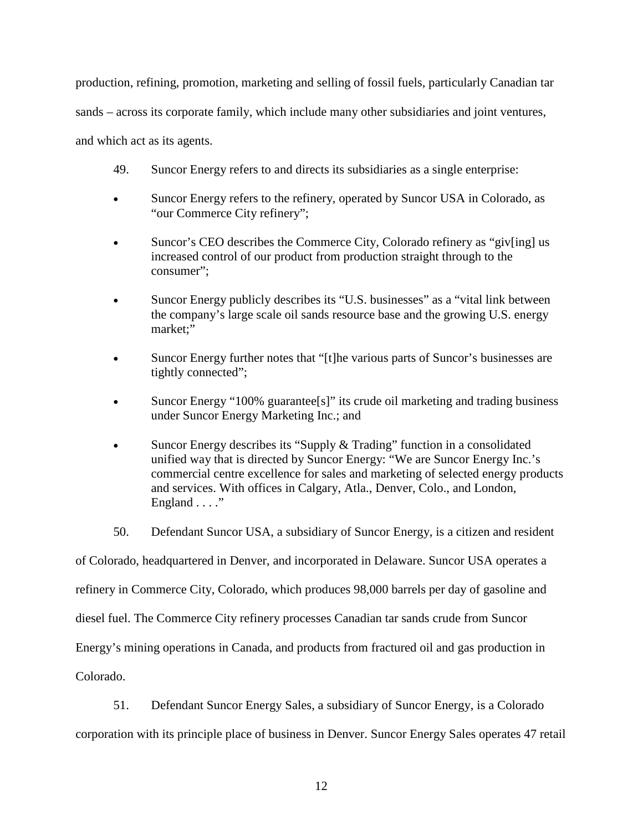production, refining, promotion, marketing and selling of fossil fuels, particularly Canadian tar sands – across its corporate family, which include many other subsidiaries and joint ventures, and which act as its agents.

- 49. Suncor Energy refers to and directs its subsidiaries as a single enterprise:
- Suncor Energy refers to the refinery, operated by Suncor USA in Colorado, as "our Commerce City refinery";
- Suncor's CEO describes the Commerce City, Colorado refinery as "giv[ing] us increased control of our product from production straight through to the consumer";
- Suncor Energy publicly describes its "U.S. businesses" as a "vital link between the company's large scale oil sands resource base and the growing U.S. energy market;"
- Suncor Energy further notes that "[t]he various parts of Suncor's businesses are tightly connected";
- Suncor Energy "100% guarantee[s]" its crude oil marketing and trading business under Suncor Energy Marketing Inc.; and
- Suncor Energy describes its "Supply & Trading" function in a consolidated unified way that is directed by Suncor Energy: "We are Suncor Energy Inc.'s commercial centre excellence for sales and marketing of selected energy products and services. With offices in Calgary, Atla., Denver, Colo., and London, England . . . ."
- 50. Defendant Suncor USA, a subsidiary of Suncor Energy, is a citizen and resident

of Colorado, headquartered in Denver, and incorporated in Delaware. Suncor USA operates a

refinery in Commerce City, Colorado, which produces 98,000 barrels per day of gasoline and

diesel fuel. The Commerce City refinery processes Canadian tar sands crude from Suncor

Energy's mining operations in Canada, and products from fractured oil and gas production in

Colorado.

51. Defendant Suncor Energy Sales, a subsidiary of Suncor Energy, is a Colorado

corporation with its principle place of business in Denver. Suncor Energy Sales operates 47 retail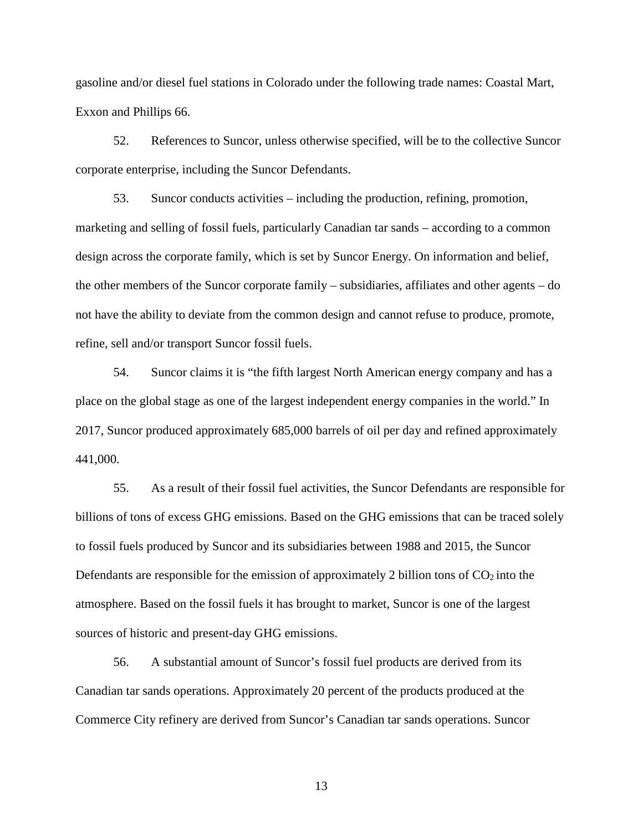gasoline and/or diesel fuel stations in Colorado under the following trade names: Coastal Mart, Exxon and Phillips 66.

52. References to Suncor, unless otherwise specified, will be to the collective Suncor corporate enterprise, including the Suncor Defendants.

53. Suncor conducts activities – including the production, refining, promotion, marketing and selling of fossil fuels, particularly Canadian tar sands – according to a common design across the corporate family, which is set by Suncor Energy. On information and belief, the other members of the Suncor corporate family – subsidiaries, affiliates and other agents – do not have the ability to deviate from the common design and cannot refuse to produce, promote, refine, sell and/or transport Suncor fossil fuels.

54. Suncor claims it is "the fifth largest North American energy company and has a place on the global stage as one of the largest independent energy companies in the world." In 2017, Suncor produced approximately 685,000 barrels of oil per day and refined approximately 441,000.

55. As a result of their fossil fuel activities, the Suncor Defendants are responsible for billions of tons of excess GHG emissions. Based on the GHG emissions that can be traced solely to fossil fuels produced by Suncor and its subsidiaries between 1988 and 2015, the Suncor Defendants are responsible for the emission of approximately 2 billion tons of  $CO<sub>2</sub>$  into the atmosphere. Based on the fossil fuels it has brought to market, Suncor is one of the largest sources of historic and present-day GHG emissions.

56. A substantial amount of Suncor's fossil fuel products are derived from its Canadian tar sands operations. Approximately 20 percent of the products produced at the Commerce City refinery are derived from Suncor's Canadian tar sands operations. Suncor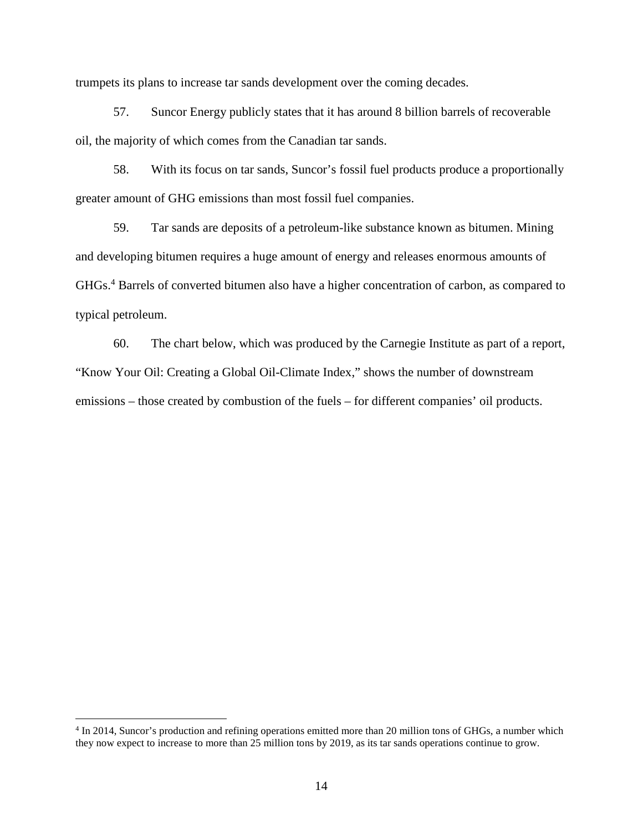trumpets its plans to increase tar sands development over the coming decades.

57. Suncor Energy publicly states that it has around 8 billion barrels of recoverable oil, the majority of which comes from the Canadian tar sands.

58. With its focus on tar sands, Suncor's fossil fuel products produce a proportionally greater amount of GHG emissions than most fossil fuel companies.

59. Tar sands are deposits of a petroleum-like substance known as bitumen. Mining and developing bitumen requires a huge amount of energy and releases enormous amounts of GHGs.<sup>4</sup> Barrels of converted bitumen also have a higher concentration of carbon, as compared to typical petroleum.

60. The chart below, which was produced by the Carnegie Institute as part of a report, "Know Your Oil: Creating a Global Oil-Climate Index," shows the number of downstream emissions – those created by combustion of the fuels – for different companies' oil products.

<sup>&</sup>lt;sup>4</sup> In 2014, Suncor's production and refining operations emitted more than 20 million tons of GHGs, a number which they now expect to increase to more than 25 million tons by 2019, as its tar sands operations continue to grow.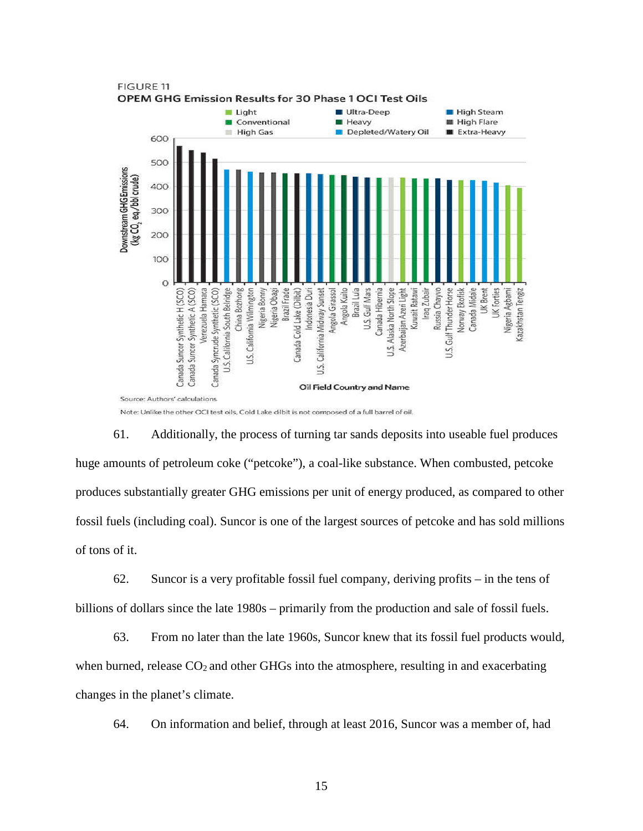

**FIGURE 11** OPEM GHG Emission Results for 30 Phase 1 OCI Test Oils

Note: Unlike the other OCI test oils, Cold Lake dilbit is not composed of a full barrel of oil.

61. Additionally, the process of turning tar sands deposits into useable fuel produces huge amounts of petroleum coke ("petcoke"), a coal-like substance. When combusted, petcoke produces substantially greater GHG emissions per unit of energy produced, as compared to other fossil fuels (including coal). Suncor is one of the largest sources of petcoke and has sold millions of tons of it.

62. Suncor is a very profitable fossil fuel company, deriving profits – in the tens of billions of dollars since the late 1980s – primarily from the production and sale of fossil fuels.

63. From no later than the late 1960s, Suncor knew that its fossil fuel products would, when burned, release  $CO<sub>2</sub>$  and other GHGs into the atmosphere, resulting in and exacerbating changes in the planet's climate.

64. On information and belief, through at least 2016, Suncor was a member of, had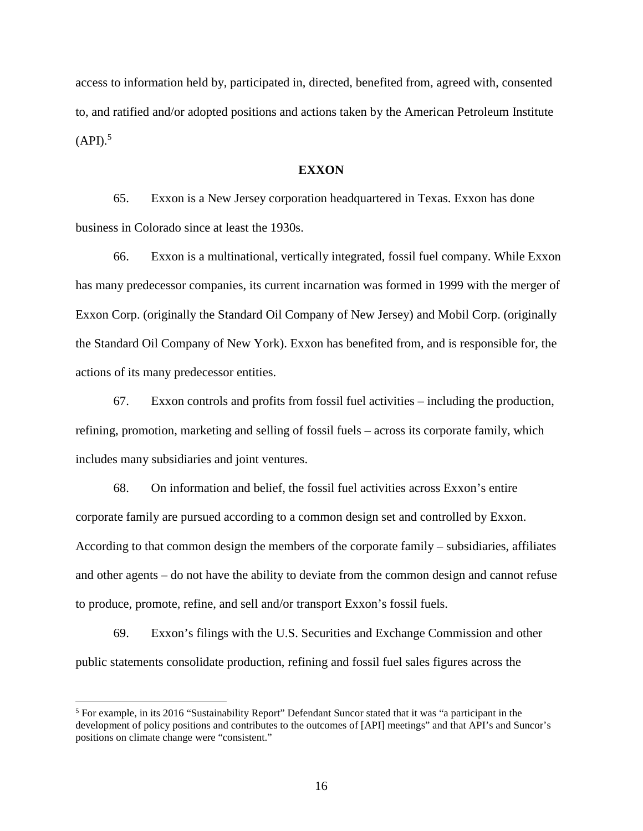access to information held by, participated in, directed, benefited from, agreed with, consented to, and ratified and/or adopted positions and actions taken by the American Petroleum Institute  $(API).$ <sup>5</sup>

### **EXXON**

65. Exxon is a New Jersey corporation headquartered in Texas. Exxon has done business in Colorado since at least the 1930s.

66. Exxon is a multinational, vertically integrated, fossil fuel company. While Exxon has many predecessor companies, its current incarnation was formed in 1999 with the merger of Exxon Corp. (originally the Standard Oil Company of New Jersey) and Mobil Corp. (originally the Standard Oil Company of New York). Exxon has benefited from, and is responsible for, the actions of its many predecessor entities.

67. Exxon controls and profits from fossil fuel activities – including the production, refining, promotion, marketing and selling of fossil fuels – across its corporate family, which includes many subsidiaries and joint ventures.

68. On information and belief, the fossil fuel activities across Exxon's entire corporate family are pursued according to a common design set and controlled by Exxon. According to that common design the members of the corporate family – subsidiaries, affiliates and other agents – do not have the ability to deviate from the common design and cannot refuse to produce, promote, refine, and sell and/or transport Exxon's fossil fuels.

69. Exxon's filings with the U.S. Securities and Exchange Commission and other public statements consolidate production, refining and fossil fuel sales figures across the

<sup>&</sup>lt;sup>5</sup> For example, in its 2016 "Sustainability Report" Defendant Suncor stated that it was "a participant in the development of policy positions and contributes to the outcomes of [API] meetings" and that API's and Suncor's positions on climate change were "consistent."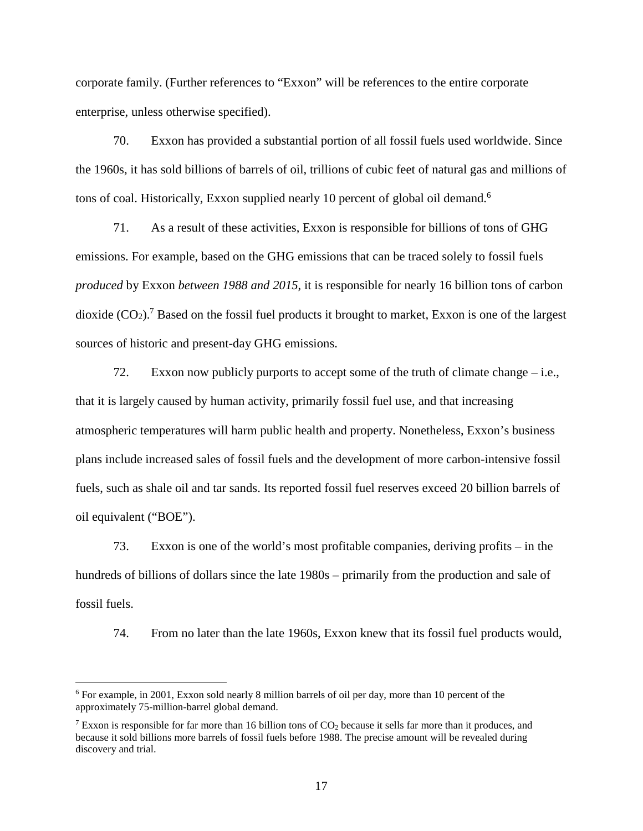corporate family. (Further references to "Exxon" will be references to the entire corporate enterprise, unless otherwise specified).

70. Exxon has provided a substantial portion of all fossil fuels used worldwide. Since the 1960s, it has sold billions of barrels of oil, trillions of cubic feet of natural gas and millions of tons of coal. Historically, Exxon supplied nearly 10 percent of global oil demand.<sup>6</sup>

71. As a result of these activities, Exxon is responsible for billions of tons of GHG emissions. For example, based on the GHG emissions that can be traced solely to fossil fuels *produced* by Exxon *between 1988 and 2015*, it is responsible for nearly 16 billion tons of carbon dioxide  $(CO_2)$ .<sup>7</sup> Based on the fossil fuel products it brought to market, Exxon is one of the largest sources of historic and present-day GHG emissions.

72. Exxon now publicly purports to accept some of the truth of climate change – i.e., that it is largely caused by human activity, primarily fossil fuel use, and that increasing atmospheric temperatures will harm public health and property. Nonetheless, Exxon's business plans include increased sales of fossil fuels and the development of more carbon-intensive fossil fuels, such as shale oil and tar sands. Its reported fossil fuel reserves exceed 20 billion barrels of oil equivalent ("BOE").

73. Exxon is one of the world's most profitable companies, deriving profits – in the hundreds of billions of dollars since the late 1980s – primarily from the production and sale of fossil fuels.

74. From no later than the late 1960s, Exxon knew that its fossil fuel products would,

<sup>&</sup>lt;sup>6</sup> For example, in 2001, Exxon sold nearly 8 million barrels of oil per day, more than 10 percent of the approximately 75-million-barrel global demand.

<sup>&</sup>lt;sup>7</sup> Exxon is responsible for far more than 16 billion tons of  $CO<sub>2</sub>$  because it sells far more than it produces, and because it sold billions more barrels of fossil fuels before 1988. The precise amount will be revealed during discovery and trial.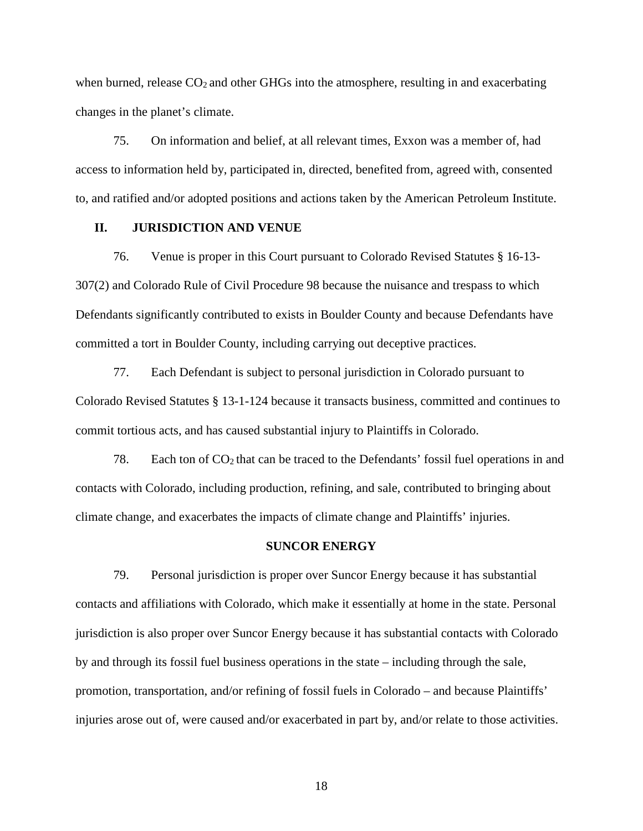when burned, release  $CO<sub>2</sub>$  and other GHGs into the atmosphere, resulting in and exacerbating changes in the planet's climate.

75. On information and belief, at all relevant times, Exxon was a member of, had access to information held by, participated in, directed, benefited from, agreed with, consented to, and ratified and/or adopted positions and actions taken by the American Petroleum Institute.

### **II. JURISDICTION AND VENUE**

76. Venue is proper in this Court pursuant to Colorado Revised Statutes § 16-13- 307(2) and Colorado Rule of Civil Procedure 98 because the nuisance and trespass to which Defendants significantly contributed to exists in Boulder County and because Defendants have committed a tort in Boulder County, including carrying out deceptive practices.

77. Each Defendant is subject to personal jurisdiction in Colorado pursuant to Colorado Revised Statutes § 13-1-124 because it transacts business, committed and continues to commit tortious acts, and has caused substantial injury to Plaintiffs in Colorado.

78. Each ton of  $CO<sub>2</sub>$  that can be traced to the Defendants' fossil fuel operations in and contacts with Colorado, including production, refining, and sale, contributed to bringing about climate change, and exacerbates the impacts of climate change and Plaintiffs' injuries.

#### **SUNCOR ENERGY**

79. Personal jurisdiction is proper over Suncor Energy because it has substantial contacts and affiliations with Colorado, which make it essentially at home in the state. Personal jurisdiction is also proper over Suncor Energy because it has substantial contacts with Colorado by and through its fossil fuel business operations in the state – including through the sale, promotion, transportation, and/or refining of fossil fuels in Colorado – and because Plaintiffs' injuries arose out of, were caused and/or exacerbated in part by, and/or relate to those activities.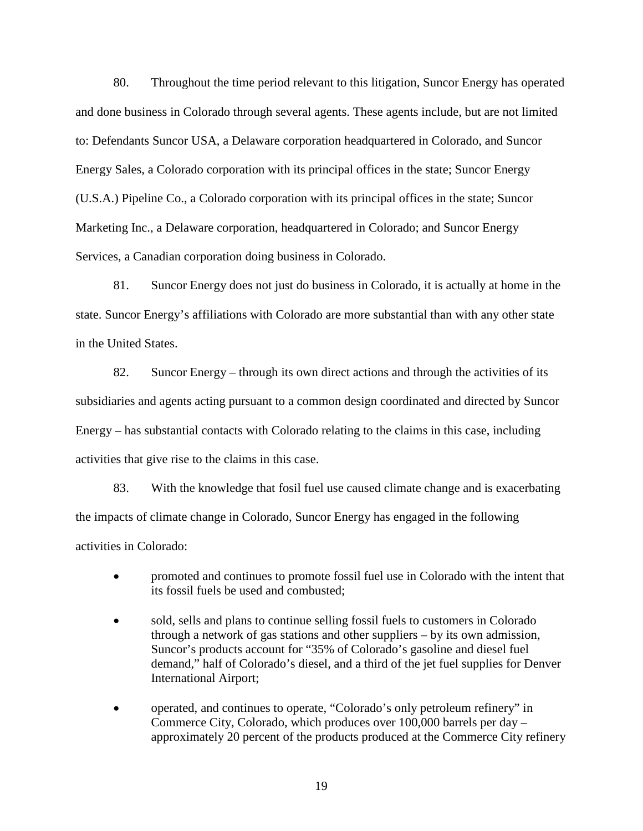80. Throughout the time period relevant to this litigation, Suncor Energy has operated and done business in Colorado through several agents. These agents include, but are not limited to: Defendants Suncor USA, a Delaware corporation headquartered in Colorado, and Suncor Energy Sales, a Colorado corporation with its principal offices in the state; Suncor Energy (U.S.A.) Pipeline Co., a Colorado corporation with its principal offices in the state; Suncor Marketing Inc., a Delaware corporation, headquartered in Colorado; and Suncor Energy Services, a Canadian corporation doing business in Colorado.

81. Suncor Energy does not just do business in Colorado, it is actually at home in the state. Suncor Energy's affiliations with Colorado are more substantial than with any other state in the United States.

82. Suncor Energy – through its own direct actions and through the activities of its subsidiaries and agents acting pursuant to a common design coordinated and directed by Suncor Energy – has substantial contacts with Colorado relating to the claims in this case, including activities that give rise to the claims in this case.

83. With the knowledge that fosil fuel use caused climate change and is exacerbating the impacts of climate change in Colorado, Suncor Energy has engaged in the following activities in Colorado:

- promoted and continues to promote fossil fuel use in Colorado with the intent that its fossil fuels be used and combusted;
- sold, sells and plans to continue selling fossil fuels to customers in Colorado through a network of gas stations and other suppliers – by its own admission, Suncor's products account for "35% of Colorado's gasoline and diesel fuel demand," half of Colorado's diesel, and a third of the jet fuel supplies for Denver International Airport;
- operated, and continues to operate, "Colorado's only petroleum refinery" in Commerce City, Colorado, which produces over 100,000 barrels per day – approximately 20 percent of the products produced at the Commerce City refinery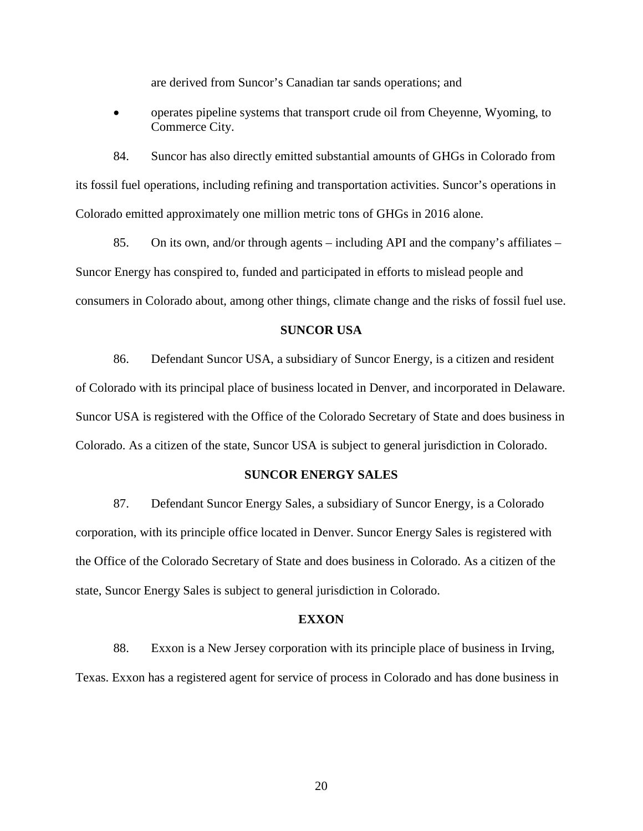are derived from Suncor's Canadian tar sands operations; and

• operates pipeline systems that transport crude oil from Cheyenne, Wyoming, to Commerce City.

84. Suncor has also directly emitted substantial amounts of GHGs in Colorado from its fossil fuel operations, including refining and transportation activities. Suncor's operations in Colorado emitted approximately one million metric tons of GHGs in 2016 alone.

85. On its own, and/or through agents – including API and the company's affiliates – Suncor Energy has conspired to, funded and participated in efforts to mislead people and consumers in Colorado about, among other things, climate change and the risks of fossil fuel use.

### **SUNCOR USA**

86. Defendant Suncor USA, a subsidiary of Suncor Energy, is a citizen and resident of Colorado with its principal place of business located in Denver, and incorporated in Delaware. Suncor USA is registered with the Office of the Colorado Secretary of State and does business in Colorado. As a citizen of the state, Suncor USA is subject to general jurisdiction in Colorado.

### **SUNCOR ENERGY SALES**

87. Defendant Suncor Energy Sales, a subsidiary of Suncor Energy, is a Colorado corporation, with its principle office located in Denver. Suncor Energy Sales is registered with the Office of the Colorado Secretary of State and does business in Colorado. As a citizen of the state, Suncor Energy Sales is subject to general jurisdiction in Colorado.

### **EXXON**

88. Exxon is a New Jersey corporation with its principle place of business in Irving, Texas. Exxon has a registered agent for service of process in Colorado and has done business in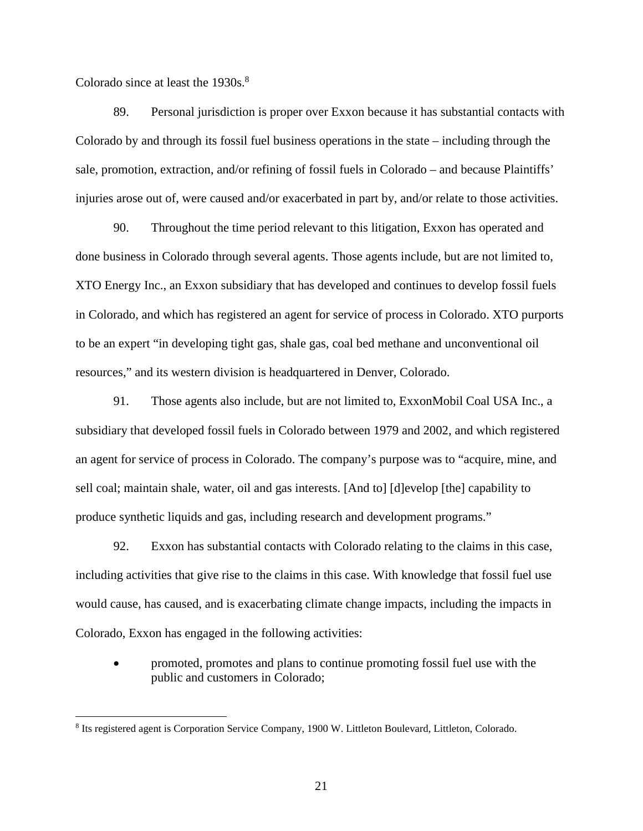Colorado since at least the 1930s.<sup>8</sup>

 $\overline{a}$ 

89. Personal jurisdiction is proper over Exxon because it has substantial contacts with Colorado by and through its fossil fuel business operations in the state – including through the sale, promotion, extraction, and/or refining of fossil fuels in Colorado – and because Plaintiffs' injuries arose out of, were caused and/or exacerbated in part by, and/or relate to those activities.

90. Throughout the time period relevant to this litigation, Exxon has operated and done business in Colorado through several agents. Those agents include, but are not limited to, XTO Energy Inc., an Exxon subsidiary that has developed and continues to develop fossil fuels in Colorado, and which has registered an agent for service of process in Colorado. XTO purports to be an expert "in developing tight gas, shale gas, coal bed methane and unconventional oil resources," and its western division is headquartered in Denver, Colorado.

91. Those agents also include, but are not limited to, ExxonMobil Coal USA Inc., a subsidiary that developed fossil fuels in Colorado between 1979 and 2002, and which registered an agent for service of process in Colorado. The company's purpose was to "acquire, mine, and sell coal; maintain shale, water, oil and gas interests. [And to] [d]evelop [the] capability to produce synthetic liquids and gas, including research and development programs."

92. Exxon has substantial contacts with Colorado relating to the claims in this case, including activities that give rise to the claims in this case. With knowledge that fossil fuel use would cause, has caused, and is exacerbating climate change impacts, including the impacts in Colorado, Exxon has engaged in the following activities:

• promoted, promotes and plans to continue promoting fossil fuel use with the public and customers in Colorado;

<sup>&</sup>lt;sup>8</sup> Its registered agent is Corporation Service Company, 1900 W. Littleton Boulevard, Littleton, Colorado.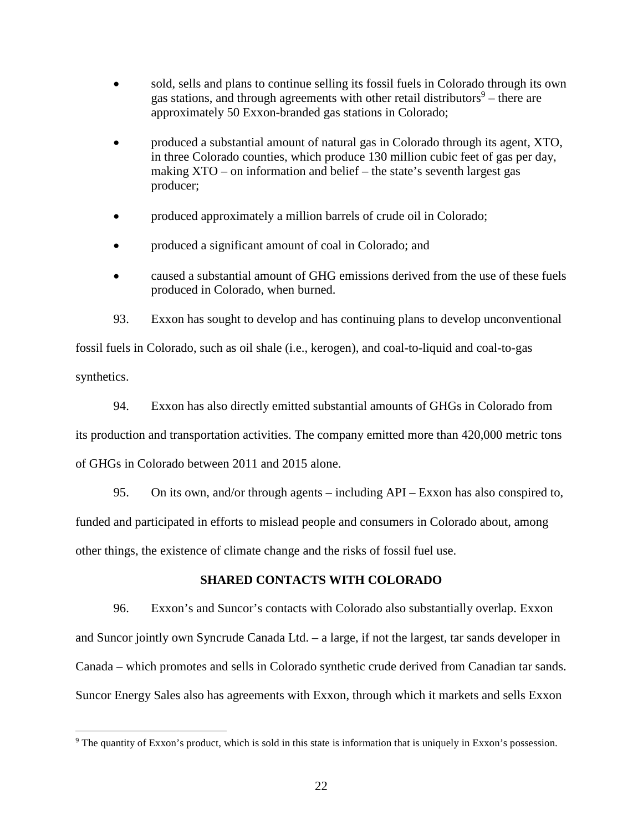- sold, sells and plans to continue selling its fossil fuels in Colorado through its own gas stations, and through agreements with other retail distributors $9$  – there are approximately 50 Exxon-branded gas stations in Colorado;
- produced a substantial amount of natural gas in Colorado through its agent, XTO, in three Colorado counties, which produce 130 million cubic feet of gas per day, making XTO – on information and belief – the state's seventh largest gas producer;
- produced approximately a million barrels of crude oil in Colorado;
- produced a significant amount of coal in Colorado; and
- caused a substantial amount of GHG emissions derived from the use of these fuels produced in Colorado, when burned.

93. Exxon has sought to develop and has continuing plans to develop unconventional fossil fuels in Colorado, such as oil shale (i.e., kerogen), and coal-to-liquid and coal-to-gas synthetics.

94. Exxon has also directly emitted substantial amounts of GHGs in Colorado from its production and transportation activities. The company emitted more than 420,000 metric tons of GHGs in Colorado between 2011 and 2015 alone.

95. On its own, and/or through agents – including API – Exxon has also conspired to, funded and participated in efforts to mislead people and consumers in Colorado about, among other things, the existence of climate change and the risks of fossil fuel use.

# **SHARED CONTACTS WITH COLORADO**

96. Exxon's and Suncor's contacts with Colorado also substantially overlap. Exxon and Suncor jointly own Syncrude Canada Ltd. – a large, if not the largest, tar sands developer in Canada – which promotes and sells in Colorado synthetic crude derived from Canadian tar sands. Suncor Energy Sales also has agreements with Exxon, through which it markets and sells Exxon

<sup>&</sup>lt;sup>9</sup> The quantity of Exxon's product, which is sold in this state is information that is uniquely in Exxon's possession.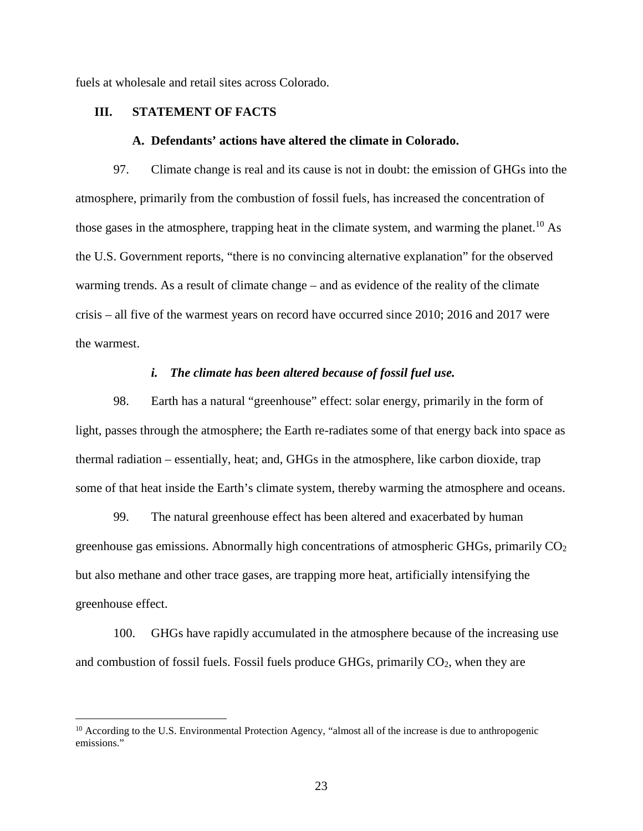fuels at wholesale and retail sites across Colorado.

# **III. STATEMENT OF FACTS**

 $\overline{a}$ 

### **A. Defendants' actions have altered the climate in Colorado.**

97. Climate change is real and its cause is not in doubt: the emission of GHGs into the atmosphere, primarily from the combustion of fossil fuels, has increased the concentration of those gases in the atmosphere, trapping heat in the climate system, and warming the planet.<sup>10</sup> As the U.S. Government reports, "there is no convincing alternative explanation" for the observed warming trends. As a result of climate change – and as evidence of the reality of the climate crisis – all five of the warmest years on record have occurred since 2010; 2016 and 2017 were the warmest.

### *i. The climate has been altered because of fossil fuel use.*

98. Earth has a natural "greenhouse" effect: solar energy, primarily in the form of light, passes through the atmosphere; the Earth re-radiates some of that energy back into space as thermal radiation – essentially, heat; and, GHGs in the atmosphere, like carbon dioxide, trap some of that heat inside the Earth's climate system, thereby warming the atmosphere and oceans.

99. The natural greenhouse effect has been altered and exacerbated by human greenhouse gas emissions. Abnormally high concentrations of atmospheric GHGs, primarily  $CO<sub>2</sub>$ but also methane and other trace gases, are trapping more heat, artificially intensifying the greenhouse effect.

100. GHGs have rapidly accumulated in the atmosphere because of the increasing use and combustion of fossil fuels. Fossil fuels produce GHGs, primarily  $CO<sub>2</sub>$ , when they are

<sup>&</sup>lt;sup>10</sup> According to the U.S. Environmental Protection Agency, "almost all of the increase is due to anthropogenic emissions."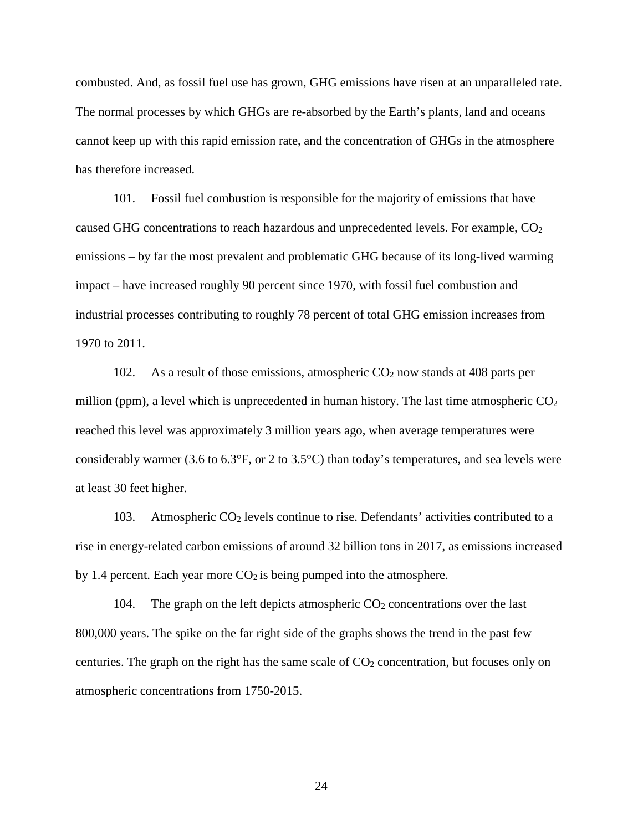combusted. And, as fossil fuel use has grown, GHG emissions have risen at an unparalleled rate. The normal processes by which GHGs are re-absorbed by the Earth's plants, land and oceans cannot keep up with this rapid emission rate, and the concentration of GHGs in the atmosphere has therefore increased.

101. Fossil fuel combustion is responsible for the majority of emissions that have caused GHG concentrations to reach hazardous and unprecedented levels. For example,  $CO<sub>2</sub>$ emissions – by far the most prevalent and problematic GHG because of its long-lived warming impact – have increased roughly 90 percent since 1970, with fossil fuel combustion and industrial processes contributing to roughly 78 percent of total GHG emission increases from 1970 to 2011.

102. As a result of those emissions, atmospheric  $CO<sub>2</sub>$  now stands at 408 parts per million (ppm), a level which is unprecedented in human history. The last time atmospheric  $CO<sub>2</sub>$ reached this level was approximately 3 million years ago, when average temperatures were considerably warmer (3.6 to 6.3°F, or 2 to 3.5°C) than today's temperatures, and sea levels were at least 30 feet higher.

103. Atmospheric CO2 levels continue to rise. Defendants' activities contributed to a rise in energy-related carbon emissions of around 32 billion tons in 2017, as emissions increased by 1.4 percent. Each year more  $CO<sub>2</sub>$  is being pumped into the atmosphere.

104. The graph on the left depicts atmospheric  $CO<sub>2</sub>$  concentrations over the last 800,000 years. The spike on the far right side of the graphs shows the trend in the past few centuries. The graph on the right has the same scale of  $CO<sub>2</sub>$  concentration, but focuses only on atmospheric concentrations from 1750-2015.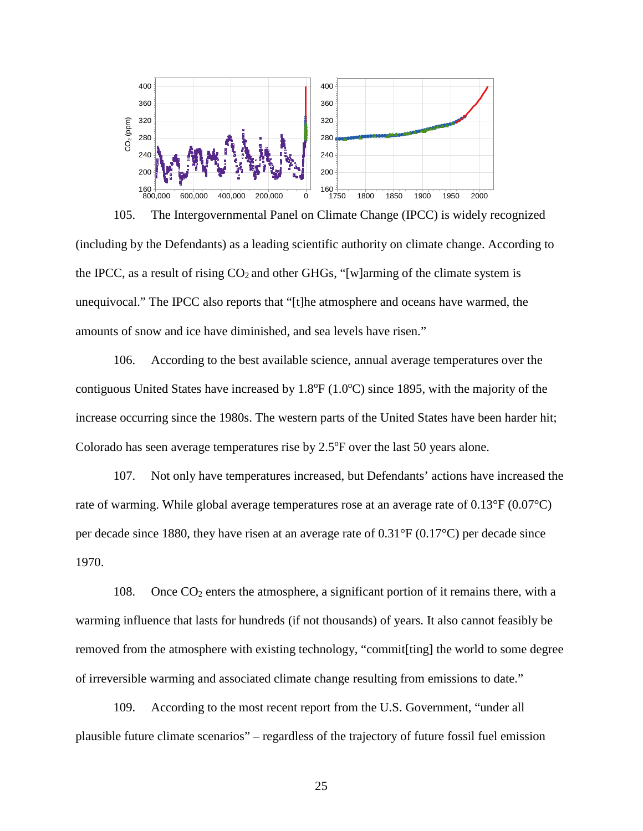

105. The Intergovernmental Panel on Climate Change (IPCC) is widely recognized (including by the Defendants) as a leading scientific authority on climate change. According to the IPCC, as a result of rising  $CO<sub>2</sub>$  and other GHGs, "[w]arming of the climate system is unequivocal." The IPCC also reports that "[t]he atmosphere and oceans have warmed, the amounts of snow and ice have diminished, and sea levels have risen."

106. According to the best available science, annual average temperatures over the contiguous United States have increased by  $1.8^{\circ}F (1.0^{\circ}C)$  since 1895, with the majority of the increase occurring since the 1980s. The western parts of the United States have been harder hit; Colorado has seen average temperatures rise by  $2.5^{\circ}$ F over the last 50 years alone.

107. Not only have temperatures increased, but Defendants' actions have increased the rate of warming. While global average temperatures rose at an average rate of 0.13°F (0.07°C) per decade since 1880, they have risen at an average rate of 0.31°F (0.17°C) per decade since 1970.

108. Once CO2 enters the atmosphere, a significant portion of it remains there, with a warming influence that lasts for hundreds (if not thousands) of years. It also cannot feasibly be removed from the atmosphere with existing technology, "commit[ting] the world to some degree of irreversible warming and associated climate change resulting from emissions to date."

109. According to the most recent report from the U.S. Government, "under all plausible future climate scenarios" – regardless of the trajectory of future fossil fuel emission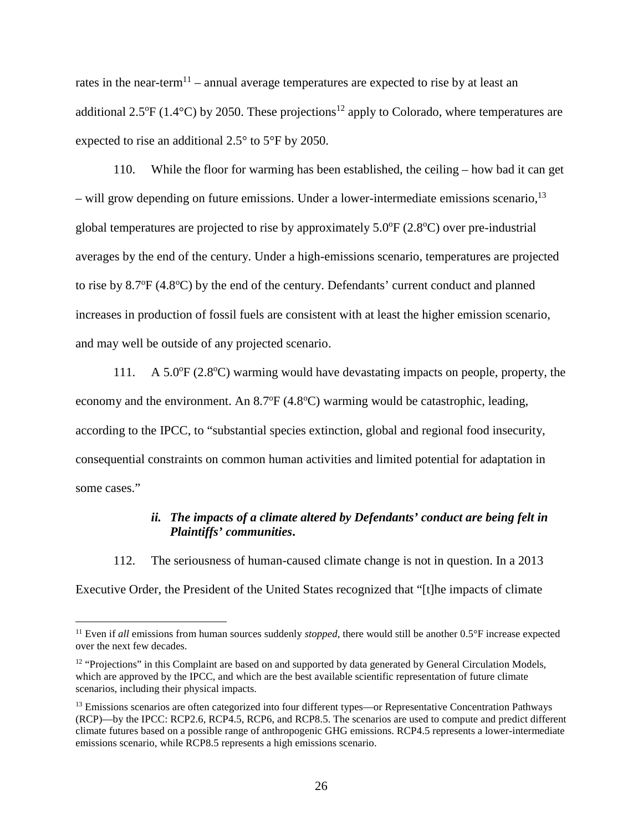rates in the near-term<sup>11</sup> – annual average temperatures are expected to rise by at least an additional 2.5 $\rm{PF}$  (1.4 $\rm{°C}$ ) by 2050. These projections<sup>12</sup> apply to Colorado, where temperatures are expected to rise an additional 2.5° to 5°F by 2050.

110. While the floor for warming has been established, the ceiling – how bad it can get  $-$  will grow depending on future emissions. Under a lower-intermediate emissions scenario,  $13$ global temperatures are projected to rise by approximately  $5.0^{\circ}F(2.8^{\circ}C)$  over pre-industrial averages by the end of the century. Under a high-emissions scenario, temperatures are projected to rise by  $8.7^{\circ}F(4.8^{\circ}C)$  by the end of the century. Defendants' current conduct and planned increases in production of fossil fuels are consistent with at least the higher emission scenario, and may well be outside of any projected scenario.

111. A 5.0 $\degree$ F (2.8 $\degree$ C) warming would have devastating impacts on people, property, the economy and the environment. An  $8.7^{\circ}F(4.8^{\circ}C)$  warming would be catastrophic, leading, according to the IPCC, to "substantial species extinction, global and regional food insecurity, consequential constraints on common human activities and limited potential for adaptation in some cases."

# *ii. The impacts of a climate altered by Defendants' conduct are being felt in Plaintiffs' communities***.**

112. The seriousness of human-caused climate change is not in question. In a 2013 Executive Order, the President of the United States recognized that "[t]he impacts of climate

<sup>&</sup>lt;sup>11</sup> Even if all emissions from human sources suddenly *stopped*, there would still be another 0.5°F increase expected over the next few decades.

<sup>&</sup>lt;sup>12</sup> "Projections" in this Complaint are based on and supported by data generated by General Circulation Models, which are approved by the IPCC, and which are the best available scientific representation of future climate scenarios, including their physical impacts.

<sup>&</sup>lt;sup>13</sup> Emissions scenarios are often categorized into four different types—or Representative Concentration Pathways (RCP)—by the IPCC: RCP2.6, RCP4.5, RCP6, and RCP8.5. The scenarios are used to compute and predict different climate futures based on a possible range of anthropogenic GHG emissions. RCP4.5 represents a lower-intermediate emissions scenario, while RCP8.5 represents a high emissions scenario.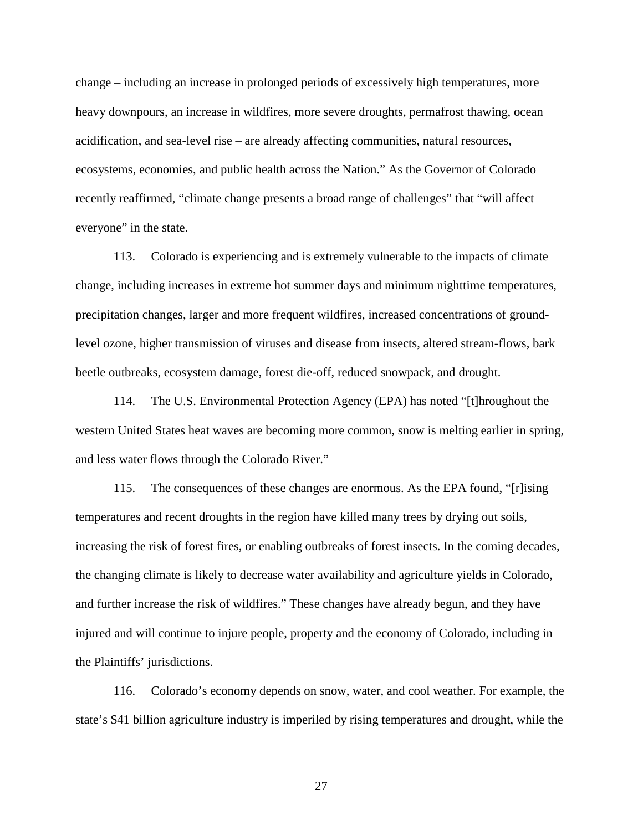change – including an increase in prolonged periods of excessively high temperatures, more heavy downpours, an increase in wildfires, more severe droughts, permafrost thawing, ocean acidification, and sea-level rise – are already affecting communities, natural resources, ecosystems, economies, and public health across the Nation." As the Governor of Colorado recently reaffirmed, "climate change presents a broad range of challenges" that "will affect everyone" in the state.

113. Colorado is experiencing and is extremely vulnerable to the impacts of climate change, including increases in extreme hot summer days and minimum nighttime temperatures, precipitation changes, larger and more frequent wildfires, increased concentrations of groundlevel ozone, higher transmission of viruses and disease from insects, altered stream-flows, bark beetle outbreaks, ecosystem damage, forest die-off, reduced snowpack, and drought.

114. The U.S. Environmental Protection Agency (EPA) has noted "[t]hroughout the western United States heat waves are becoming more common, snow is melting earlier in spring, and less water flows through the Colorado River."

115. The consequences of these changes are enormous. As the EPA found, "[r]ising temperatures and recent droughts in the region have killed many trees by drying out soils, increasing the risk of forest fires, or enabling outbreaks of forest insects. In the coming decades, the changing climate is likely to decrease water availability and agriculture yields in Colorado, and further increase the risk of wildfires." These changes have already begun, and they have injured and will continue to injure people, property and the economy of Colorado, including in the Plaintiffs' jurisdictions.

116. Colorado's economy depends on snow, water, and cool weather. For example, the state's \$41 billion agriculture industry is imperiled by rising temperatures and drought, while the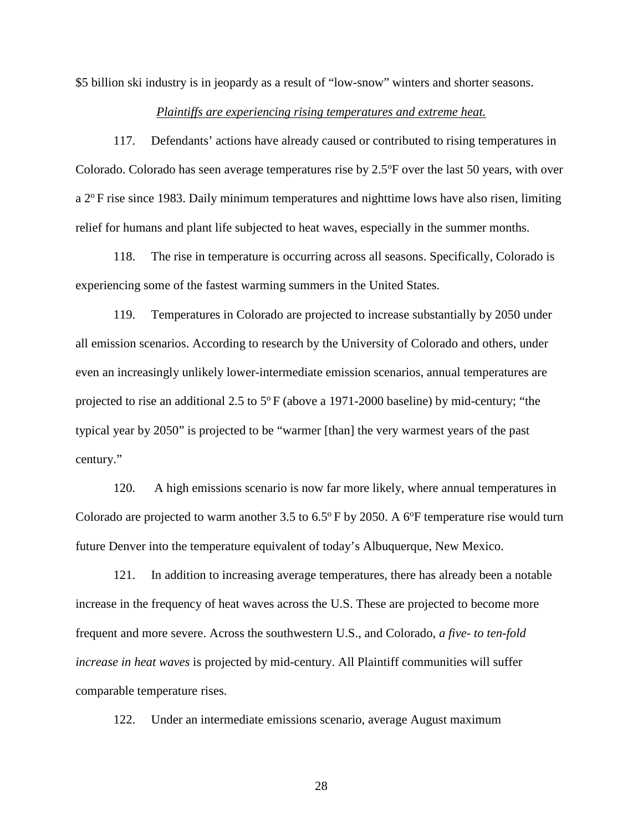\$5 billion ski industry is in jeopardy as a result of "low-snow" winters and shorter seasons.

### *Plaintiffs are experiencing rising temperatures and extreme heat.*

117. Defendants' actions have already caused or contributed to rising temperatures in Colorado. Colorado has seen average temperatures rise by  $2.5^{\circ}$ F over the last 50 years, with over  $a 2^{\circ}$ F rise since 1983. Daily minimum temperatures and nighttime lows have also risen, limiting relief for humans and plant life subjected to heat waves, especially in the summer months.

118. The rise in temperature is occurring across all seasons. Specifically, Colorado is experiencing some of the fastest warming summers in the United States.

119. Temperatures in Colorado are projected to increase substantially by 2050 under all emission scenarios. According to research by the University of Colorado and others, under even an increasingly unlikely lower-intermediate emission scenarios, annual temperatures are projected to rise an additional 2.5 to  $5^{\circ}$  F (above a 1971-2000 baseline) by mid-century; "the typical year by 2050" is projected to be "warmer [than] the very warmest years of the past century."

120. A high emissions scenario is now far more likely, where annual temperatures in Colorado are projected to warm another 3.5 to  $6.5^{\circ}$  F by 2050. A 6<sup>o</sup>F temperature rise would turn future Denver into the temperature equivalent of today's Albuquerque, New Mexico.

121. In addition to increasing average temperatures, there has already been a notable increase in the frequency of heat waves across the U.S. These are projected to become more frequent and more severe. Across the southwestern U.S., and Colorado, *a five- to ten-fold increase in heat waves* is projected by mid-century. All Plaintiff communities will suffer comparable temperature rises.

122. Under an intermediate emissions scenario, average August maximum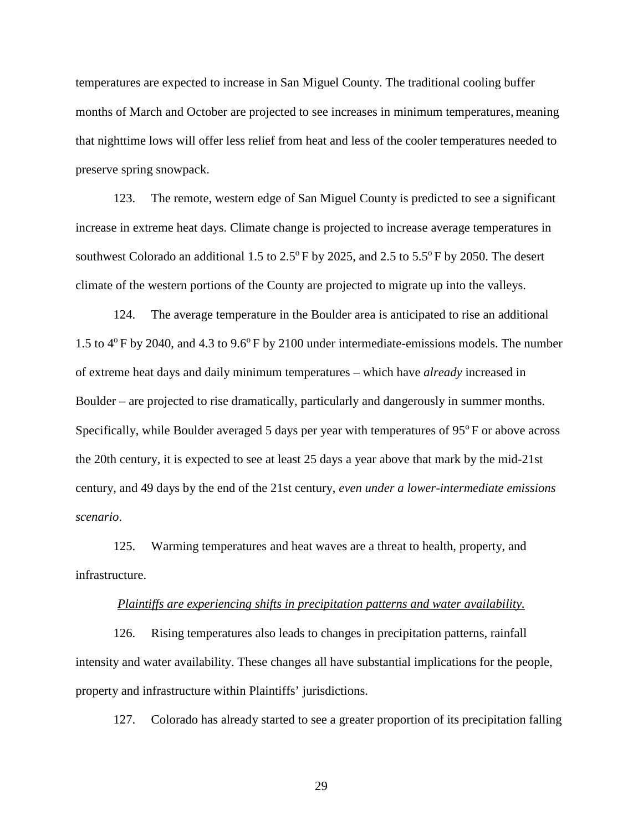temperatures are expected to increase in San Miguel County. The traditional cooling buffer months of March and October are projected to see increases in minimum temperatures, meaning that nighttime lows will offer less relief from heat and less of the cooler temperatures needed to preserve spring snowpack.

123. The remote, western edge of San Miguel County is predicted to see a significant increase in extreme heat days. Climate change is projected to increase average temperatures in southwest Colorado an additional 1.5 to  $2.5^{\circ}$  F by 2025, and 2.5 to  $5.5^{\circ}$  F by 2050. The desert climate of the western portions of the County are projected to migrate up into the valleys.

124. The average temperature in the Boulder area is anticipated to rise an additional 1.5 to  $4^{\circ}$  F by 2040, and 4.3 to 9.6 $^{\circ}$  F by 2100 under intermediate-emissions models. The number of extreme heat days and daily minimum temperatures – which have *already* increased in Boulder – are projected to rise dramatically, particularly and dangerously in summer months. Specifically, while Boulder averaged 5 days per year with temperatures of  $95^{\circ}$  F or above across the 20th century, it is expected to see at least 25 days a year above that mark by the mid-21st century, and 49 days by the end of the 21st century, *even under a lower-intermediate emissions scenario*.

125. Warming temperatures and heat waves are a threat to health, property, and infrastructure.

#### *Plaintiffs are experiencing shifts in precipitation patterns and water availability.*

126. Rising temperatures also leads to changes in precipitation patterns, rainfall intensity and water availability. These changes all have substantial implications for the people, property and infrastructure within Plaintiffs' jurisdictions.

127. Colorado has already started to see a greater proportion of its precipitation falling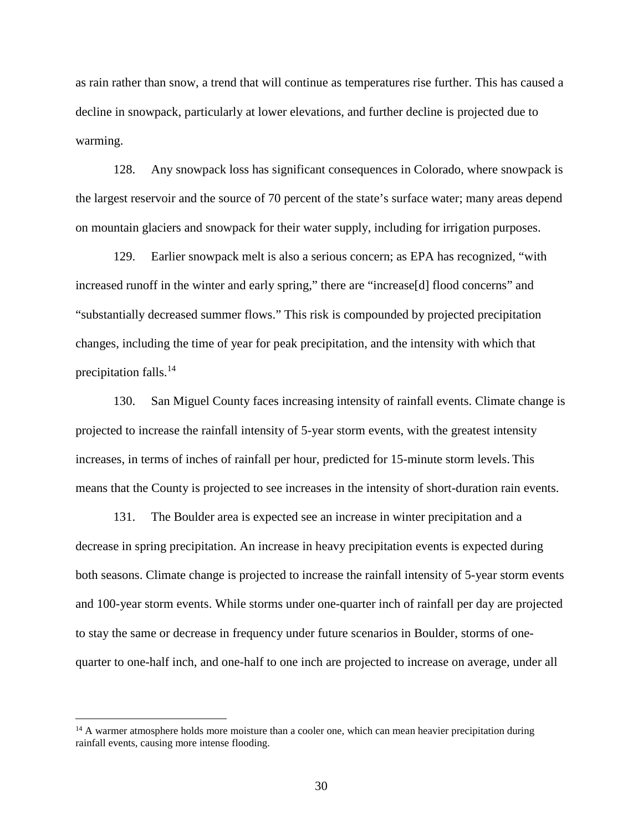as rain rather than snow, a trend that will continue as temperatures rise further. This has caused a decline in snowpack, particularly at lower elevations, and further decline is projected due to warming.

128. Any snowpack loss has significant consequences in Colorado, where snowpack is the largest reservoir and the source of 70 percent of the state's surface water; many areas depend on mountain glaciers and snowpack for their water supply, including for irrigation purposes.

129. Earlier snowpack melt is also a serious concern; as EPA has recognized, "with increased runoff in the winter and early spring," there are "increase[d] flood concerns" and "substantially decreased summer flows." This risk is compounded by projected precipitation changes, including the time of year for peak precipitation, and the intensity with which that precipitation falls.<sup>14</sup>

130. San Miguel County faces increasing intensity of rainfall events. Climate change is projected to increase the rainfall intensity of 5-year storm events, with the greatest intensity increases, in terms of inches of rainfall per hour, predicted for 15-minute storm levels. This means that the County is projected to see increases in the intensity of short-duration rain events.

131. The Boulder area is expected see an increase in winter precipitation and a decrease in spring precipitation. An increase in heavy precipitation events is expected during both seasons. Climate change is projected to increase the rainfall intensity of 5-year storm events and 100-year storm events. While storms under one-quarter inch of rainfall per day are projected to stay the same or decrease in frequency under future scenarios in Boulder, storms of onequarter to one-half inch, and one-half to one inch are projected to increase on average, under all

 $14$  A warmer atmosphere holds more moisture than a cooler one, which can mean heavier precipitation during rainfall events, causing more intense flooding.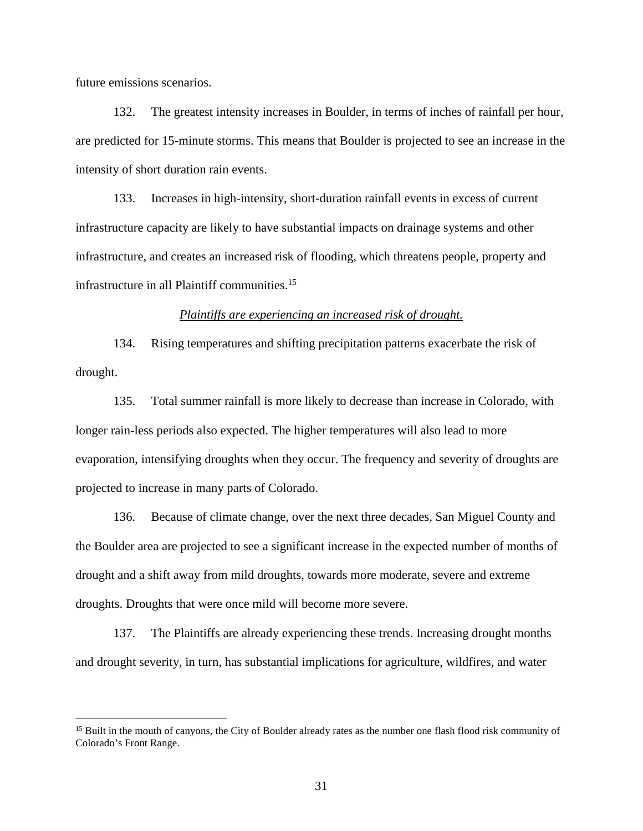future emissions scenarios.

 $\overline{a}$ 

132. The greatest intensity increases in Boulder, in terms of inches of rainfall per hour, are predicted for 15-minute storms. This means that Boulder is projected to see an increase in the intensity of short duration rain events.

133. Increases in high-intensity, short-duration rainfall events in excess of current infrastructure capacity are likely to have substantial impacts on drainage systems and other infrastructure, and creates an increased risk of flooding, which threatens people, property and infrastructure in all Plaintiff communities.<sup>15</sup>

### *Plaintiffs are experiencing an increased risk of drought.*

134. Rising temperatures and shifting precipitation patterns exacerbate the risk of drought.

135. Total summer rainfall is more likely to decrease than increase in Colorado, with longer rain-less periods also expected. The higher temperatures will also lead to more evaporation, intensifying droughts when they occur. The frequency and severity of droughts are projected to increase in many parts of Colorado.

136. Because of climate change, over the next three decades, San Miguel County and the Boulder area are projected to see a significant increase in the expected number of months of drought and a shift away from mild droughts, towards more moderate, severe and extreme droughts. Droughts that were once mild will become more severe.

137. The Plaintiffs are already experiencing these trends. Increasing drought months and drought severity, in turn, has substantial implications for agriculture, wildfires, and water

<sup>&</sup>lt;sup>15</sup> Built in the mouth of canyons, the City of Boulder already rates as the number one flash flood risk community of Colorado's Front Range.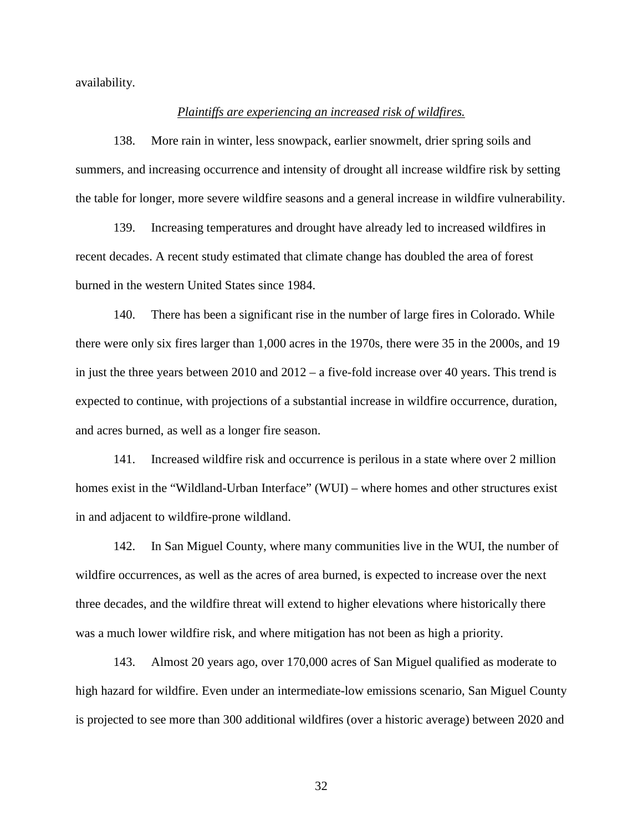availability.

### *Plaintiffs are experiencing an increased risk of wildfires.*

138. More rain in winter, less snowpack, earlier snowmelt, drier spring soils and summers, and increasing occurrence and intensity of drought all increase wildfire risk by setting the table for longer, more severe wildfire seasons and a general increase in wildfire vulnerability.

139. Increasing temperatures and drought have already led to increased wildfires in recent decades. A recent study estimated that climate change has doubled the area of forest burned in the western United States since 1984.

140. There has been a significant rise in the number of large fires in Colorado. While there were only six fires larger than 1,000 acres in the 1970s, there were 35 in the 2000s, and 19 in just the three years between 2010 and 2012 – a five-fold increase over 40 years. This trend is expected to continue, with projections of a substantial increase in wildfire occurrence, duration, and acres burned, as well as a longer fire season.

141. Increased wildfire risk and occurrence is perilous in a state where over 2 million homes exist in the "Wildland-Urban Interface" (WUI) – where homes and other structures exist in and adjacent to wildfire-prone wildland.

142. In San Miguel County, where many communities live in the WUI, the number of wildfire occurrences, as well as the acres of area burned, is expected to increase over the next three decades, and the wildfire threat will extend to higher elevations where historically there was a much lower wildfire risk, and where mitigation has not been as high a priority.

143. Almost 20 years ago, over 170,000 acres of San Miguel qualified as moderate to high hazard for wildfire. Even under an intermediate-low emissions scenario, San Miguel County is projected to see more than 300 additional wildfires (over a historic average) between 2020 and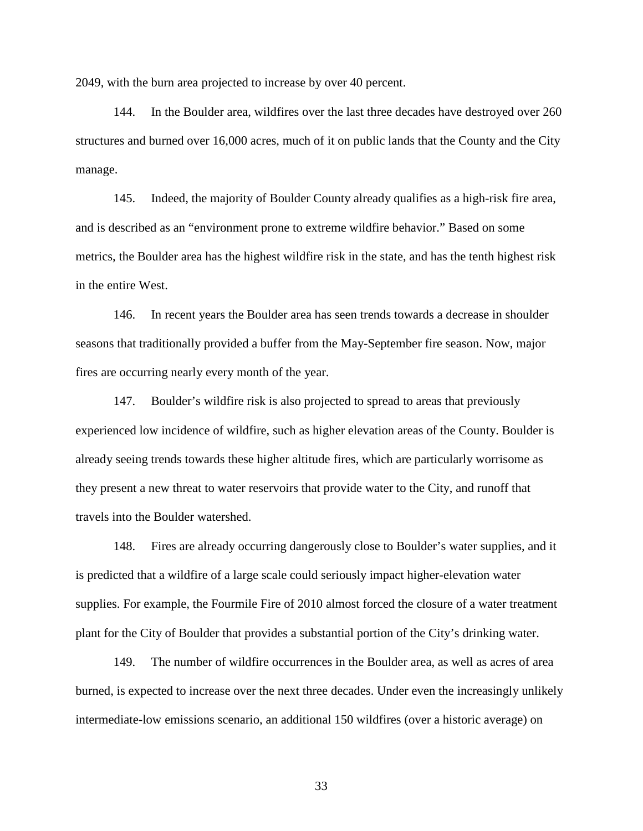2049, with the burn area projected to increase by over 40 percent.

144. In the Boulder area, wildfires over the last three decades have destroyed over 260 structures and burned over 16,000 acres, much of it on public lands that the County and the City manage.

145. Indeed, the majority of Boulder County already qualifies as a high-risk fire area, and is described as an "environment prone to extreme wildfire behavior." Based on some metrics, the Boulder area has the highest wildfire risk in the state, and has the tenth highest risk in the entire West.

146. In recent years the Boulder area has seen trends towards a decrease in shoulder seasons that traditionally provided a buffer from the May-September fire season. Now, major fires are occurring nearly every month of the year.

147. Boulder's wildfire risk is also projected to spread to areas that previously experienced low incidence of wildfire, such as higher elevation areas of the County. Boulder is already seeing trends towards these higher altitude fires, which are particularly worrisome as they present a new threat to water reservoirs that provide water to the City, and runoff that travels into the Boulder watershed.

148. Fires are already occurring dangerously close to Boulder's water supplies, and it is predicted that a wildfire of a large scale could seriously impact higher-elevation water supplies. For example, the Fourmile Fire of 2010 almost forced the closure of a water treatment plant for the City of Boulder that provides a substantial portion of the City's drinking water.

149. The number of wildfire occurrences in the Boulder area, as well as acres of area burned, is expected to increase over the next three decades. Under even the increasingly unlikely intermediate-low emissions scenario, an additional 150 wildfires (over a historic average) on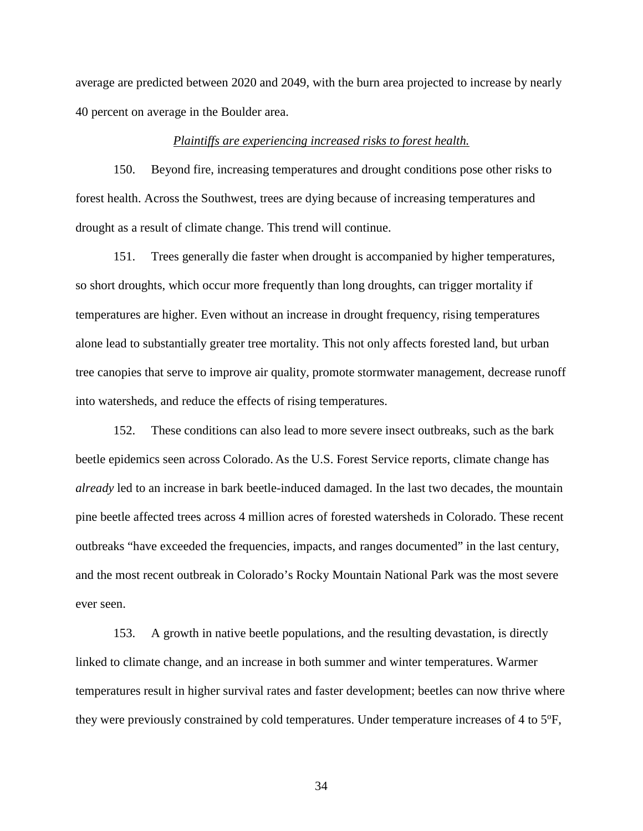average are predicted between 2020 and 2049, with the burn area projected to increase by nearly 40 percent on average in the Boulder area.

#### *Plaintiffs are experiencing increased risks to forest health.*

150. Beyond fire, increasing temperatures and drought conditions pose other risks to forest health. Across the Southwest, trees are dying because of increasing temperatures and drought as a result of climate change. This trend will continue.

151. Trees generally die faster when drought is accompanied by higher temperatures, so short droughts, which occur more frequently than long droughts, can trigger mortality if temperatures are higher. Even without an increase in drought frequency, rising temperatures alone lead to substantially greater tree mortality. This not only affects forested land, but urban tree canopies that serve to improve air quality, promote stormwater management, decrease runoff into watersheds, and reduce the effects of rising temperatures.

152. These conditions can also lead to more severe insect outbreaks, such as the bark beetle epidemics seen across Colorado. As the U.S. Forest Service reports, climate change has *already* led to an increase in bark beetle-induced damaged. In the last two decades, the mountain pine beetle affected trees across 4 million acres of forested watersheds in Colorado. These recent outbreaks "have exceeded the frequencies, impacts, and ranges documented" in the last century, and the most recent outbreak in Colorado's Rocky Mountain National Park was the most severe ever seen.

153. A growth in native beetle populations, and the resulting devastation, is directly linked to climate change, and an increase in both summer and winter temperatures. Warmer temperatures result in higher survival rates and faster development; beetles can now thrive where they were previously constrained by cold temperatures. Under temperature increases of 4 to  $5^{\circ}$ F,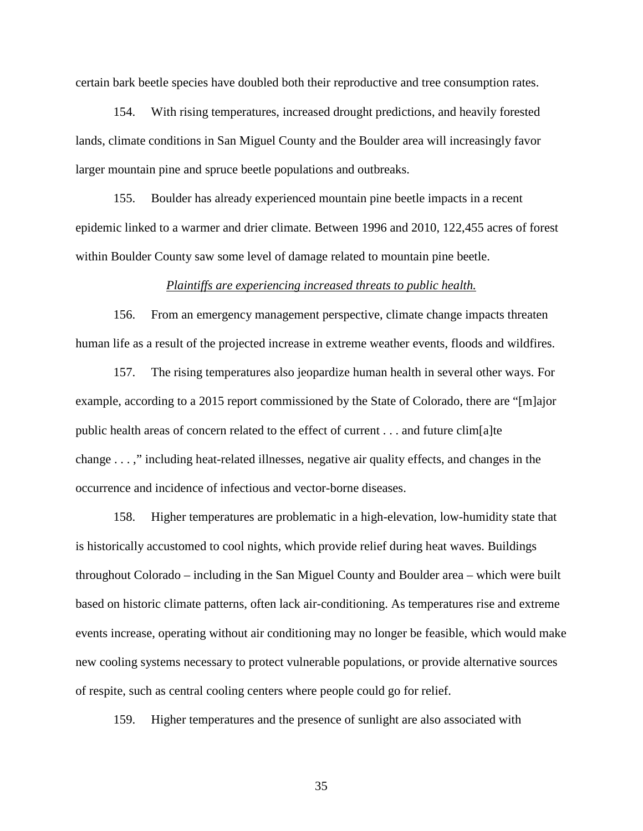certain bark beetle species have doubled both their reproductive and tree consumption rates.

154. With rising temperatures, increased drought predictions, and heavily forested lands, climate conditions in San Miguel County and the Boulder area will increasingly favor larger mountain pine and spruce beetle populations and outbreaks.

155. Boulder has already experienced mountain pine beetle impacts in a recent epidemic linked to a warmer and drier climate. Between 1996 and 2010, 122,455 acres of forest within Boulder County saw some level of damage related to mountain pine beetle.

#### *Plaintiffs are experiencing increased threats to public health.*

156. From an emergency management perspective, climate change impacts threaten human life as a result of the projected increase in extreme weather events, floods and wildfires.

157. The rising temperatures also jeopardize human health in several other ways. For example, according to a 2015 report commissioned by the State of Colorado, there are "[m]ajor public health areas of concern related to the effect of current . . . and future clim[a]te change . . . ," including heat-related illnesses, negative air quality effects, and changes in the occurrence and incidence of infectious and vector-borne diseases.

158. Higher temperatures are problematic in a high-elevation, low-humidity state that is historically accustomed to cool nights, which provide relief during heat waves. Buildings throughout Colorado – including in the San Miguel County and Boulder area – which were built based on historic climate patterns, often lack air-conditioning. As temperatures rise and extreme events increase, operating without air conditioning may no longer be feasible, which would make new cooling systems necessary to protect vulnerable populations, or provide alternative sources of respite, such as central cooling centers where people could go for relief.

159. Higher temperatures and the presence of sunlight are also associated with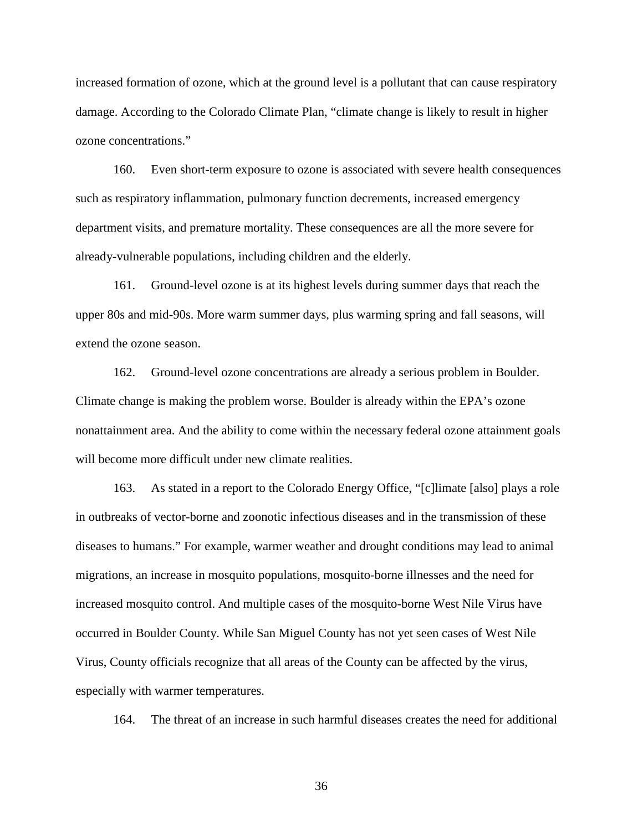increased formation of ozone, which at the ground level is a pollutant that can cause respiratory damage. According to the Colorado Climate Plan, "climate change is likely to result in higher ozone concentrations."

160. Even short-term exposure to ozone is associated with severe health consequences such as respiratory inflammation, pulmonary function decrements, increased emergency department visits, and premature mortality. These consequences are all the more severe for already-vulnerable populations, including children and the elderly.

161. Ground-level ozone is at its highest levels during summer days that reach the upper 80s and mid-90s. More warm summer days, plus warming spring and fall seasons, will extend the ozone season.

162. Ground-level ozone concentrations are already a serious problem in Boulder. Climate change is making the problem worse. Boulder is already within the EPA's ozone nonattainment area. And the ability to come within the necessary federal ozone attainment goals will become more difficult under new climate realities.

163. As stated in a report to the Colorado Energy Office, "[c]limate [also] plays a role in outbreaks of vector-borne and zoonotic infectious diseases and in the transmission of these diseases to humans." For example, warmer weather and drought conditions may lead to animal migrations, an increase in mosquito populations, mosquito-borne illnesses and the need for increased mosquito control. And multiple cases of the mosquito-borne West Nile Virus have occurred in Boulder County. While San Miguel County has not yet seen cases of West Nile Virus, County officials recognize that all areas of the County can be affected by the virus, especially with warmer temperatures.

164. The threat of an increase in such harmful diseases creates the need for additional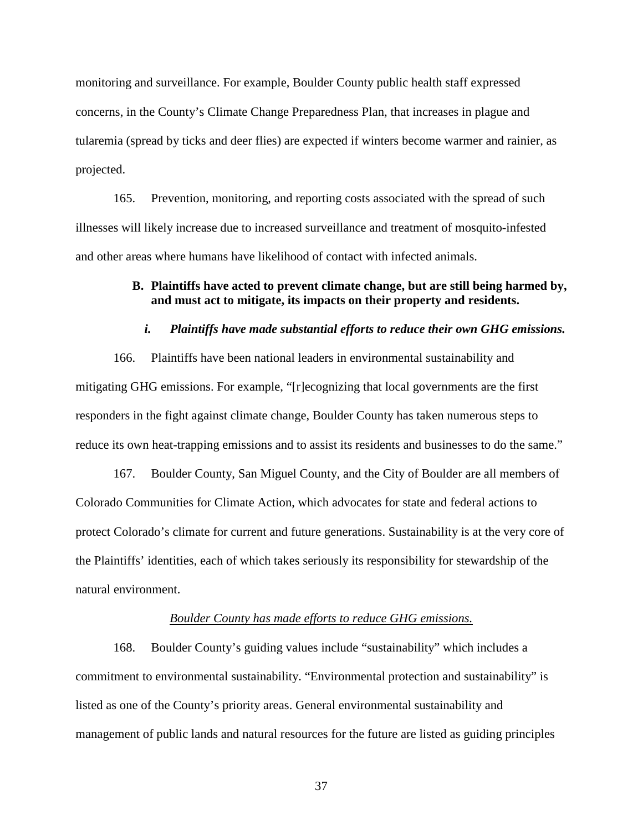monitoring and surveillance. For example, Boulder County public health staff expressed concerns, in the County's Climate Change Preparedness Plan, that increases in plague and tularemia (spread by ticks and deer flies) are expected if winters become warmer and rainier, as projected.

165. Prevention, monitoring, and reporting costs associated with the spread of such illnesses will likely increase due to increased surveillance and treatment of mosquito-infested and other areas where humans have likelihood of contact with infected animals.

# **B. Plaintiffs have acted to prevent climate change, but are still being harmed by, and must act to mitigate, its impacts on their property and residents.**

### *i. Plaintiffs have made substantial efforts to reduce their own GHG emissions.*

166. Plaintiffs have been national leaders in environmental sustainability and mitigating GHG emissions. For example, "[r]ecognizing that local governments are the first responders in the fight against climate change, Boulder County has taken numerous steps to reduce its own heat-trapping emissions and to assist its residents and businesses to do the same."

167. Boulder County, San Miguel County, and the City of Boulder are all members of Colorado Communities for Climate Action, which advocates for state and federal actions to protect Colorado's climate for current and future generations. Sustainability is at the very core of the Plaintiffs' identities, each of which takes seriously its responsibility for stewardship of the natural environment.

### *Boulder County has made efforts to reduce GHG emissions.*

168. Boulder County's guiding values include "sustainability" which includes a commitment to environmental sustainability. "Environmental protection and sustainability" is listed as one of the County's priority areas. General environmental sustainability and management of public lands and natural resources for the future are listed as guiding principles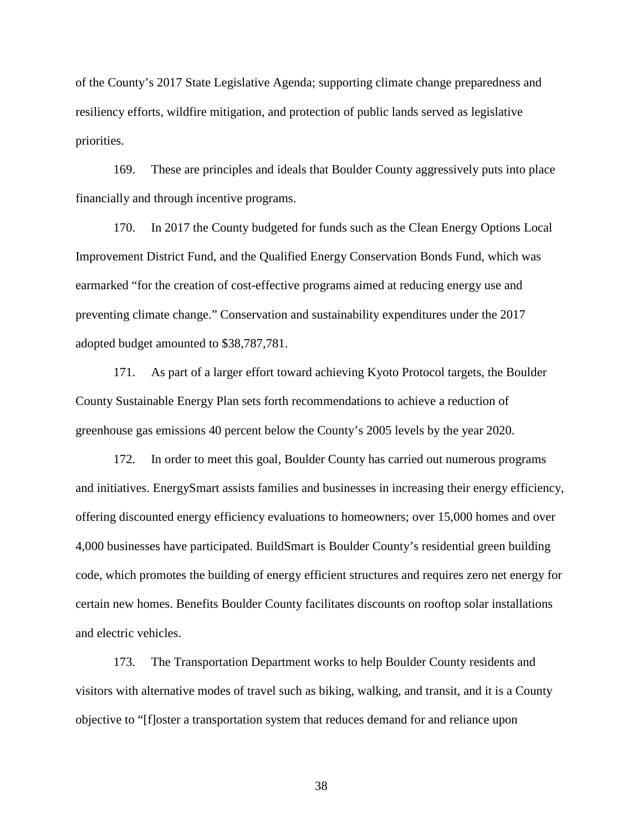of the County's 2017 State Legislative Agenda; supporting climate change preparedness and resiliency efforts, wildfire mitigation, and protection of public lands served as legislative priorities.

169. These are principles and ideals that Boulder County aggressively puts into place financially and through incentive programs.

170. In 2017 the County budgeted for funds such as the Clean Energy Options Local Improvement District Fund, and the Qualified Energy Conservation Bonds Fund, which was earmarked "for the creation of cost-effective programs aimed at reducing energy use and preventing climate change." Conservation and sustainability expenditures under the 2017 adopted budget amounted to \$38,787,781.

171. As part of a larger effort toward achieving Kyoto Protocol targets, the Boulder County Sustainable Energy Plan sets forth recommendations to achieve a reduction of greenhouse gas emissions 40 percent below the County's 2005 levels by the year 2020.

172. In order to meet this goal, Boulder County has carried out numerous programs and initiatives. EnergySmart assists families and businesses in increasing their energy efficiency, offering discounted energy efficiency evaluations to homeowners; over 15,000 homes and over 4,000 businesses have participated. BuildSmart is Boulder County's residential green building code, which promotes the building of energy efficient structures and requires zero net energy for certain new homes. Benefits Boulder County facilitates discounts on rooftop solar installations and electric vehicles.

173. The Transportation Department works to help Boulder County residents and visitors with alternative modes of travel such as biking, walking, and transit, and it is a County objective to "[f]oster a transportation system that reduces demand for and reliance upon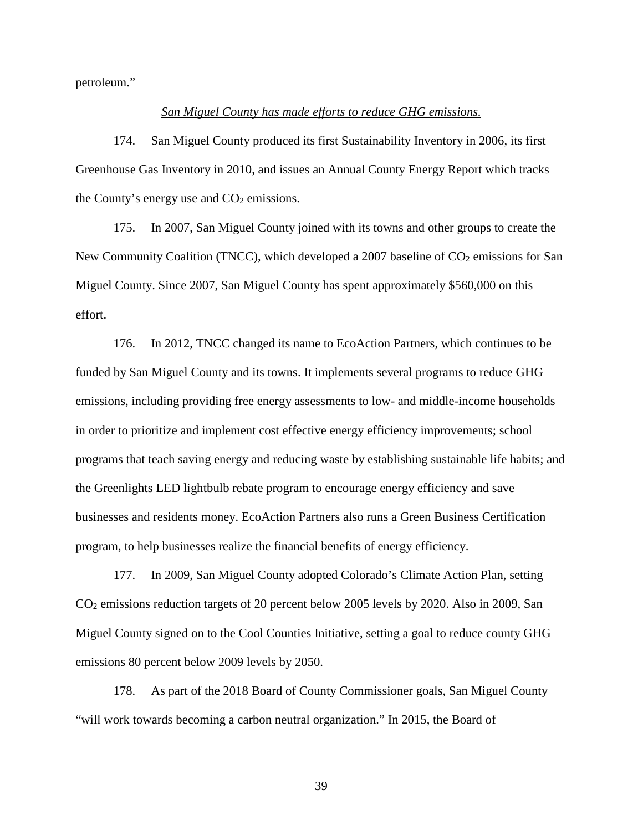petroleum."

### *San Miguel County has made efforts to reduce GHG emissions.*

174. San Miguel County produced its first Sustainability Inventory in 2006, its first Greenhouse Gas Inventory in 2010, and issues an Annual County Energy Report which tracks the County's energy use and  $CO<sub>2</sub>$  emissions.

175. In 2007, San Miguel County joined with its towns and other groups to create the New Community Coalition (TNCC), which developed a 2007 baseline of  $CO<sub>2</sub>$  emissions for San Miguel County. Since 2007, San Miguel County has spent approximately \$560,000 on this effort.

176. In 2012, TNCC changed its name to EcoAction Partners, which continues to be funded by San Miguel County and its towns. It implements several programs to reduce GHG emissions, including providing free energy assessments to low- and middle-income households in order to prioritize and implement cost effective energy efficiency improvements; school programs that teach saving energy and reducing waste by establishing sustainable life habits; and the Greenlights LED lightbulb rebate program to encourage energy efficiency and save businesses and residents money. EcoAction Partners also runs a Green Business Certification program, to help businesses realize the financial benefits of energy efficiency.

177. In 2009, San Miguel County adopted Colorado's Climate Action Plan, setting CO2 emissions reduction targets of 20 percent below 2005 levels by 2020. Also in 2009, San Miguel County signed on to the Cool Counties Initiative, setting a goal to reduce county GHG emissions 80 percent below 2009 levels by 2050.

178. As part of the 2018 Board of County Commissioner goals, San Miguel County "will work towards becoming a carbon neutral organization." In 2015, the Board of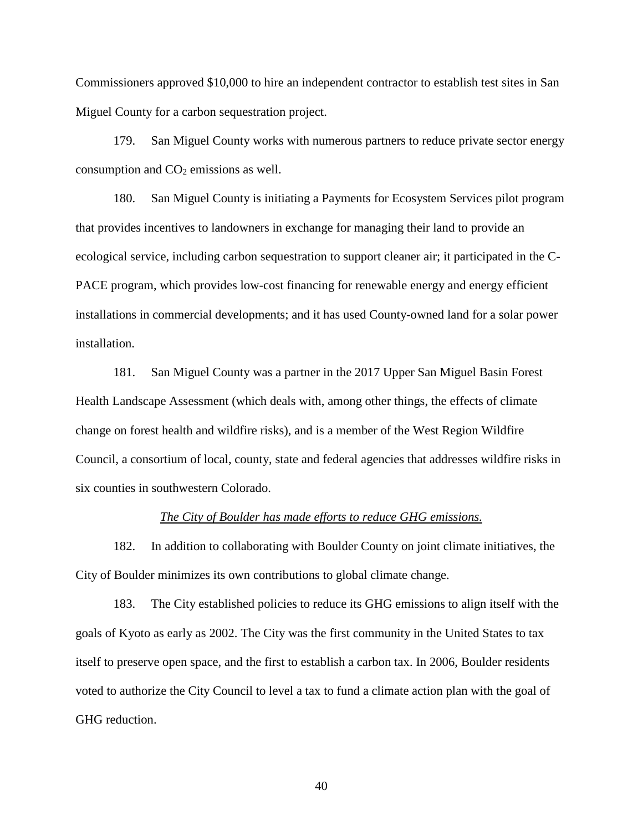Commissioners approved \$10,000 to hire an independent contractor to establish test sites in San Miguel County for a carbon sequestration project.

179. San Miguel County works with numerous partners to reduce private sector energy consumption and  $CO<sub>2</sub>$  emissions as well.

180. San Miguel County is initiating a Payments for Ecosystem Services pilot program that provides incentives to landowners in exchange for managing their land to provide an ecological service, including carbon sequestration to support cleaner air; it participated in the C-PACE program, which provides low-cost financing for renewable energy and energy efficient installations in commercial developments; and it has used County-owned land for a solar power installation.

181. San Miguel County was a partner in the 2017 Upper San Miguel Basin Forest Health Landscape Assessment (which deals with, among other things, the effects of climate change on forest health and wildfire risks), and is a member of the West Region Wildfire Council, a consortium of local, county, state and federal agencies that addresses wildfire risks in six counties in southwestern Colorado.

### *The City of Boulder has made efforts to reduce GHG emissions.*

182. In addition to collaborating with Boulder County on joint climate initiatives, the City of Boulder minimizes its own contributions to global climate change.

183. The City established policies to reduce its GHG emissions to align itself with the goals of Kyoto as early as 2002. The City was the first community in the United States to tax itself to preserve open space, and the first to establish a carbon tax. In 2006, Boulder residents voted to authorize the City Council to level a tax to fund a climate action plan with the goal of GHG reduction.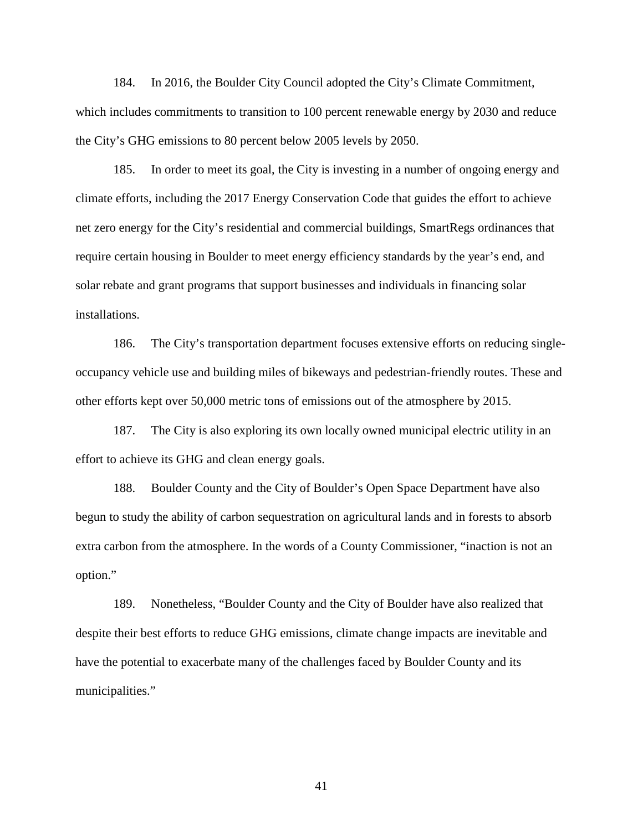184. In 2016, the Boulder City Council adopted the City's Climate Commitment, which includes commitments to transition to 100 percent renewable energy by 2030 and reduce the City's GHG emissions to 80 percent below 2005 levels by 2050.

185. In order to meet its goal, the City is investing in a number of ongoing energy and climate efforts, including the 2017 Energy Conservation Code that guides the effort to achieve net zero energy for the City's residential and commercial buildings, SmartRegs ordinances that require certain housing in Boulder to meet energy efficiency standards by the year's end, and solar rebate and grant programs that support businesses and individuals in financing solar installations.

186. The City's transportation department focuses extensive efforts on reducing singleoccupancy vehicle use and building miles of bikeways and pedestrian-friendly routes. These and other efforts kept over 50,000 metric tons of emissions out of the atmosphere by 2015.

187. The City is also exploring its own locally owned municipal electric utility in an effort to achieve its GHG and clean energy goals.

188. Boulder County and the City of Boulder's Open Space Department have also begun to study the ability of carbon sequestration on agricultural lands and in forests to absorb extra carbon from the atmosphere. In the words of a County Commissioner, "inaction is not an option."

189. Nonetheless, "Boulder County and the City of Boulder have also realized that despite their best efforts to reduce GHG emissions, climate change impacts are inevitable and have the potential to exacerbate many of the challenges faced by Boulder County and its municipalities."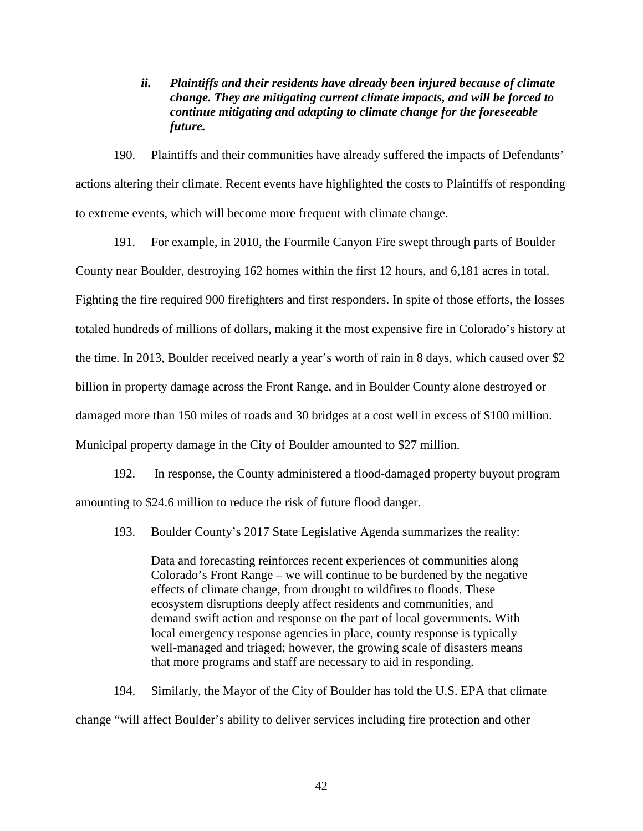*ii. Plaintiffs and their residents have already been injured because of climate change. They are mitigating current climate impacts, and will be forced to continue mitigating and adapting to climate change for the foreseeable future.*

190. Plaintiffs and their communities have already suffered the impacts of Defendants' actions altering their climate. Recent events have highlighted the costs to Plaintiffs of responding to extreme events, which will become more frequent with climate change.

191. For example, in 2010, the Fourmile Canyon Fire swept through parts of Boulder County near Boulder, destroying 162 homes within the first 12 hours, and 6,181 acres in total. Fighting the fire required 900 firefighters and first responders. In spite of those efforts, the losses totaled hundreds of millions of dollars, making it the most expensive fire in Colorado's history at the time. In 2013, Boulder received nearly a year's worth of rain in 8 days, which caused over \$2 billion in property damage across the Front Range, and in Boulder County alone destroyed or damaged more than 150 miles of roads and 30 bridges at a cost well in excess of \$100 million. Municipal property damage in the City of Boulder amounted to \$27 million.

192. In response, the County administered a flood-damaged property buyout program amounting to \$24.6 million to reduce the risk of future flood danger.

193. Boulder County's 2017 State Legislative Agenda summarizes the reality:

Data and forecasting reinforces recent experiences of communities along Colorado's Front Range – we will continue to be burdened by the negative effects of climate change, from drought to wildfires to floods. These ecosystem disruptions deeply affect residents and communities, and demand swift action and response on the part of local governments. With local emergency response agencies in place, county response is typically well-managed and triaged; however, the growing scale of disasters means that more programs and staff are necessary to aid in responding.

194. Similarly, the Mayor of the City of Boulder has told the U.S. EPA that climate change "will affect Boulder's ability to deliver services including fire protection and other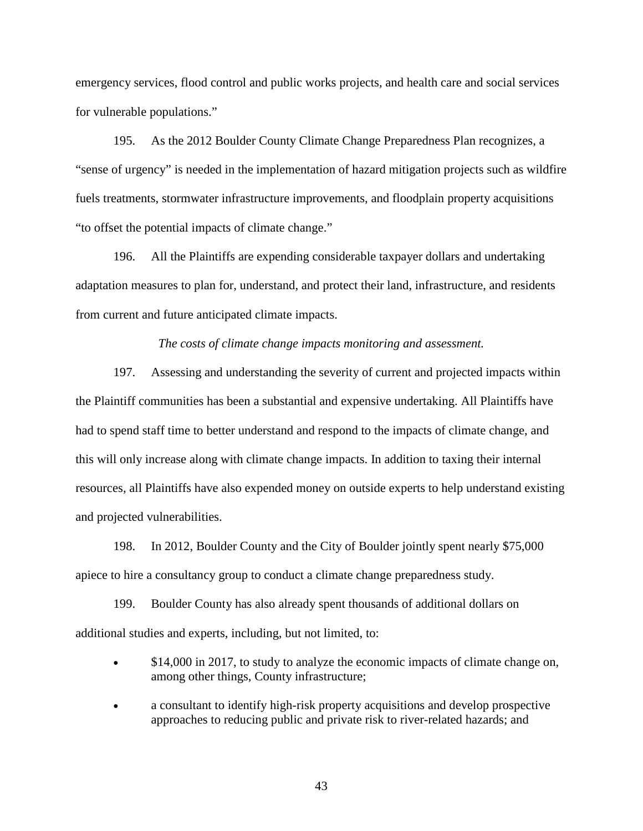emergency services, flood control and public works projects, and health care and social services for vulnerable populations."

195. As the 2012 Boulder County Climate Change Preparedness Plan recognizes, a "sense of urgency" is needed in the implementation of hazard mitigation projects such as wildfire fuels treatments, stormwater infrastructure improvements, and floodplain property acquisitions "to offset the potential impacts of climate change."

196. All the Plaintiffs are expending considerable taxpayer dollars and undertaking adaptation measures to plan for, understand, and protect their land, infrastructure, and residents from current and future anticipated climate impacts.

### *The costs of climate change impacts monitoring and assessment.*

197. Assessing and understanding the severity of current and projected impacts within the Plaintiff communities has been a substantial and expensive undertaking. All Plaintiffs have had to spend staff time to better understand and respond to the impacts of climate change, and this will only increase along with climate change impacts. In addition to taxing their internal resources, all Plaintiffs have also expended money on outside experts to help understand existing and projected vulnerabilities.

198. In 2012, Boulder County and the City of Boulder jointly spent nearly \$75,000 apiece to hire a consultancy group to conduct a climate change preparedness study.

199. Boulder County has also already spent thousands of additional dollars on additional studies and experts, including, but not limited, to:

- \$14,000 in 2017, to study to analyze the economic impacts of climate change on, among other things, County infrastructure;
- a consultant to identify high-risk property acquisitions and develop prospective approaches to reducing public and private risk to river-related hazards; and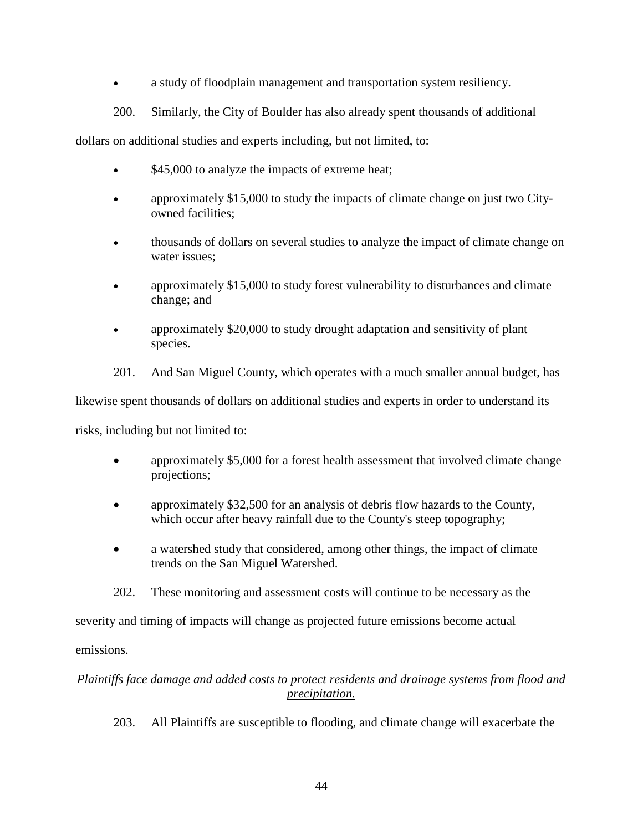- a study of floodplain management and transportation system resiliency.
- 200. Similarly, the City of Boulder has also already spent thousands of additional

dollars on additional studies and experts including, but not limited, to:

- \$45,000 to analyze the impacts of extreme heat;
- approximately \$15,000 to study the impacts of climate change on just two Cityowned facilities;
- thousands of dollars on several studies to analyze the impact of climate change on water issues;
- approximately \$15,000 to study forest vulnerability to disturbances and climate change; and
- approximately \$20,000 to study drought adaptation and sensitivity of plant species.
- 201. And San Miguel County, which operates with a much smaller annual budget, has

likewise spent thousands of dollars on additional studies and experts in order to understand its

risks, including but not limited to:

- approximately \$5,000 for a forest health assessment that involved climate change projections;
- approximately \$32,500 for an analysis of debris flow hazards to the County, which occur after heavy rainfall due to the County's steep topography;
- a watershed study that considered, among other things, the impact of climate trends on the San Miguel Watershed.
- 202. These monitoring and assessment costs will continue to be necessary as the

severity and timing of impacts will change as projected future emissions become actual

emissions.

# *Plaintiffs face damage and added costs to protect residents and drainage systems from flood and precipitation.*

203. All Plaintiffs are susceptible to flooding, and climate change will exacerbate the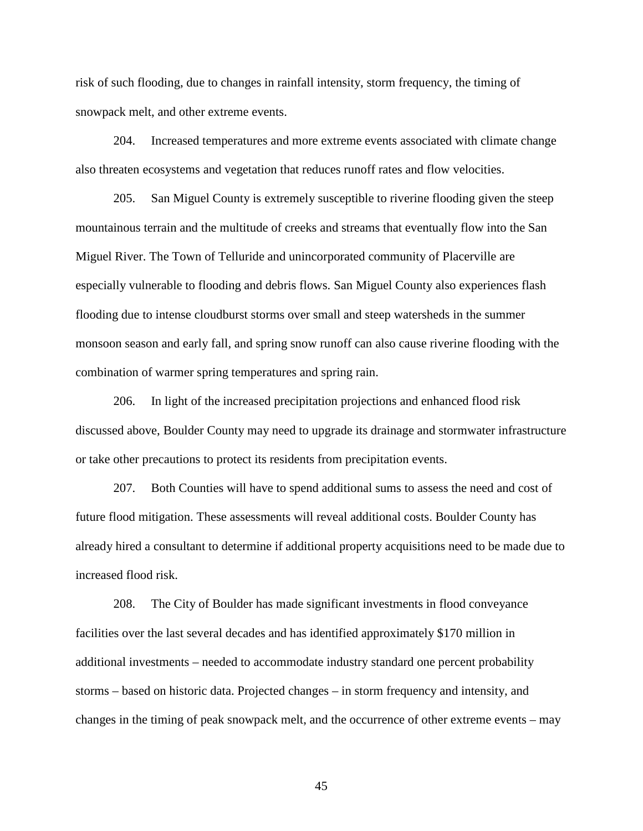risk of such flooding, due to changes in rainfall intensity, storm frequency, the timing of snowpack melt, and other extreme events.

204. Increased temperatures and more extreme events associated with climate change also threaten ecosystems and vegetation that reduces runoff rates and flow velocities.

205. San Miguel County is extremely susceptible to riverine flooding given the steep mountainous terrain and the multitude of creeks and streams that eventually flow into the San Miguel River. The Town of Telluride and unincorporated community of Placerville are especially vulnerable to flooding and debris flows. San Miguel County also experiences flash flooding due to intense cloudburst storms over small and steep watersheds in the summer monsoon season and early fall, and spring snow runoff can also cause riverine flooding with the combination of warmer spring temperatures and spring rain.

206. In light of the increased precipitation projections and enhanced flood risk discussed above, Boulder County may need to upgrade its drainage and stormwater infrastructure or take other precautions to protect its residents from precipitation events.

207. Both Counties will have to spend additional sums to assess the need and cost of future flood mitigation. These assessments will reveal additional costs. Boulder County has already hired a consultant to determine if additional property acquisitions need to be made due to increased flood risk.

208. The City of Boulder has made significant investments in flood conveyance facilities over the last several decades and has identified approximately \$170 million in additional investments – needed to accommodate industry standard one percent probability storms – based on historic data. Projected changes – in storm frequency and intensity, and changes in the timing of peak snowpack melt, and the occurrence of other extreme events – may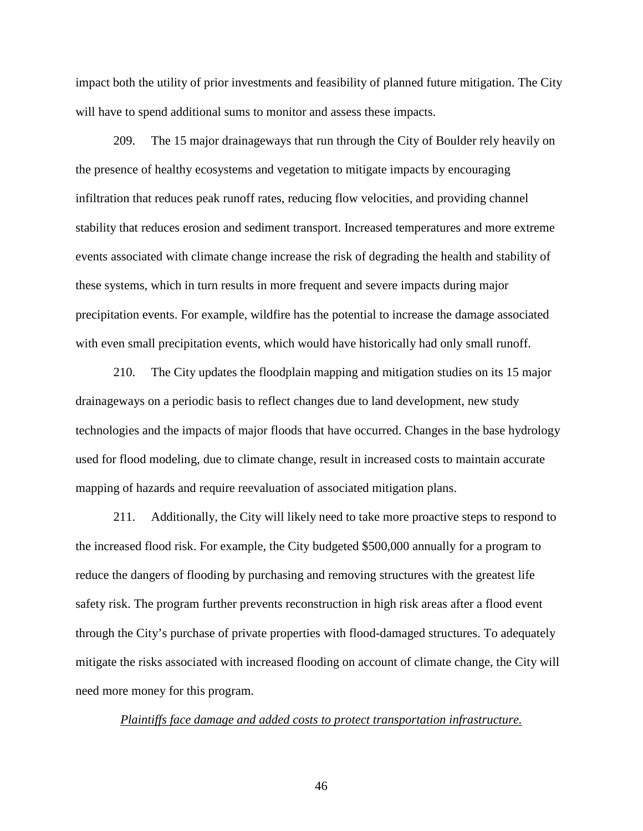impact both the utility of prior investments and feasibility of planned future mitigation. The City will have to spend additional sums to monitor and assess these impacts.

209. The 15 major drainageways that run through the City of Boulder rely heavily on the presence of healthy ecosystems and vegetation to mitigate impacts by encouraging infiltration that reduces peak runoff rates, reducing flow velocities, and providing channel stability that reduces erosion and sediment transport. Increased temperatures and more extreme events associated with climate change increase the risk of degrading the health and stability of these systems, which in turn results in more frequent and severe impacts during major precipitation events. For example, wildfire has the potential to increase the damage associated with even small precipitation events, which would have historically had only small runoff.

210. The City updates the floodplain mapping and mitigation studies on its 15 major drainageways on a periodic basis to reflect changes due to land development, new study technologies and the impacts of major floods that have occurred. Changes in the base hydrology used for flood modeling, due to climate change, result in increased costs to maintain accurate mapping of hazards and require reevaluation of associated mitigation plans.

211. Additionally, the City will likely need to take more proactive steps to respond to the increased flood risk. For example, the City budgeted \$500,000 annually for a program to reduce the dangers of flooding by purchasing and removing structures with the greatest life safety risk. The program further prevents reconstruction in high risk areas after a flood event through the City's purchase of private properties with flood-damaged structures. To adequately mitigate the risks associated with increased flooding on account of climate change, the City will need more money for this program.

*Plaintiffs face damage and added costs to protect transportation infrastructure.*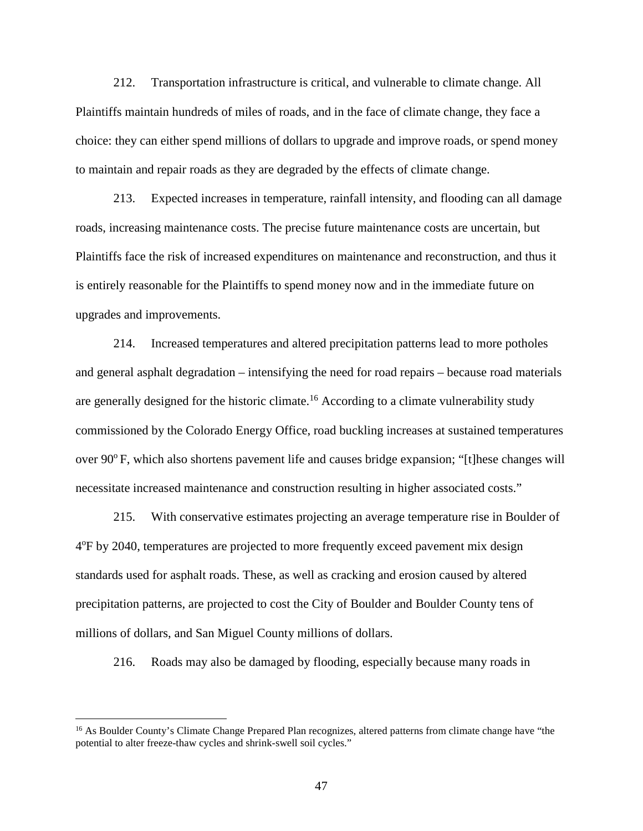212. Transportation infrastructure is critical, and vulnerable to climate change. All Plaintiffs maintain hundreds of miles of roads, and in the face of climate change, they face a choice: they can either spend millions of dollars to upgrade and improve roads, or spend money to maintain and repair roads as they are degraded by the effects of climate change.

213. Expected increases in temperature, rainfall intensity, and flooding can all damage roads, increasing maintenance costs. The precise future maintenance costs are uncertain, but Plaintiffs face the risk of increased expenditures on maintenance and reconstruction, and thus it is entirely reasonable for the Plaintiffs to spend money now and in the immediate future on upgrades and improvements.

214. Increased temperatures and altered precipitation patterns lead to more potholes and general asphalt degradation – intensifying the need for road repairs – because road materials are generally designed for the historic climate.<sup>16</sup> According to a climate vulnerability study commissioned by the Colorado Energy Office, road buckling increases at sustained temperatures over  $90^{\circ}$  F, which also shortens pavement life and causes bridge expansion; "[t]hese changes will necessitate increased maintenance and construction resulting in higher associated costs."

215. With conservative estimates projecting an average temperature rise in Boulder of 4°F by 2040, temperatures are projected to more frequently exceed pavement mix design standards used for asphalt roads. These, as well as cracking and erosion caused by altered precipitation patterns, are projected to cost the City of Boulder and Boulder County tens of millions of dollars, and San Miguel County millions of dollars.

216. Roads may also be damaged by flooding, especially because many roads in

 $\overline{a}$ 

<sup>&</sup>lt;sup>16</sup> As Boulder County's Climate Change Prepared Plan recognizes, altered patterns from climate change have "the potential to alter freeze-thaw cycles and shrink-swell soil cycles."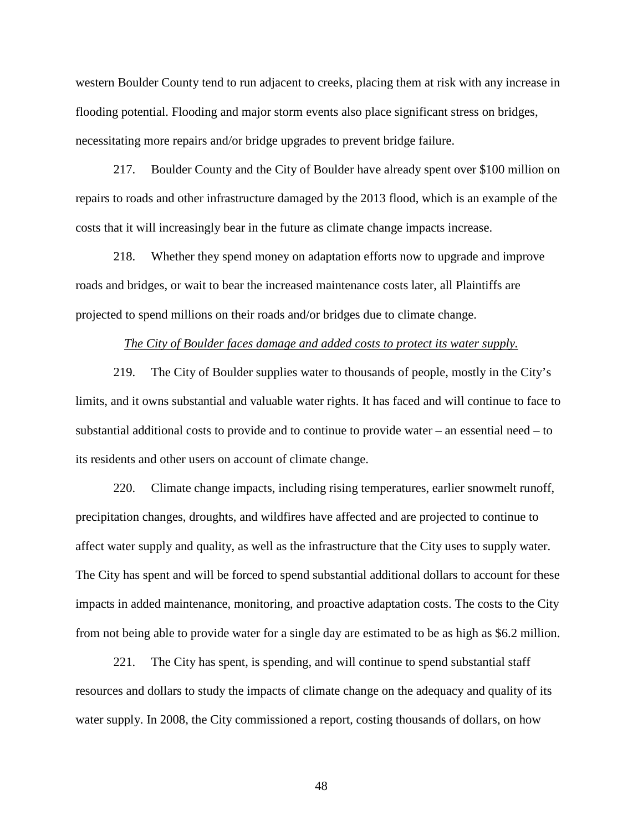western Boulder County tend to run adjacent to creeks, placing them at risk with any increase in flooding potential. Flooding and major storm events also place significant stress on bridges, necessitating more repairs and/or bridge upgrades to prevent bridge failure.

217. Boulder County and the City of Boulder have already spent over \$100 million on repairs to roads and other infrastructure damaged by the 2013 flood, which is an example of the costs that it will increasingly bear in the future as climate change impacts increase.

218. Whether they spend money on adaptation efforts now to upgrade and improve roads and bridges, or wait to bear the increased maintenance costs later, all Plaintiffs are projected to spend millions on their roads and/or bridges due to climate change.

#### *The City of Boulder faces damage and added costs to protect its water supply.*

219. The City of Boulder supplies water to thousands of people, mostly in the City's limits, and it owns substantial and valuable water rights. It has faced and will continue to face to substantial additional costs to provide and to continue to provide water – an essential need – to its residents and other users on account of climate change.

220. Climate change impacts, including rising temperatures, earlier snowmelt runoff, precipitation changes, droughts, and wildfires have affected and are projected to continue to affect water supply and quality, as well as the infrastructure that the City uses to supply water. The City has spent and will be forced to spend substantial additional dollars to account for these impacts in added maintenance, monitoring, and proactive adaptation costs. The costs to the City from not being able to provide water for a single day are estimated to be as high as \$6.2 million.

221. The City has spent, is spending, and will continue to spend substantial staff resources and dollars to study the impacts of climate change on the adequacy and quality of its water supply. In 2008, the City commissioned a report, costing thousands of dollars, on how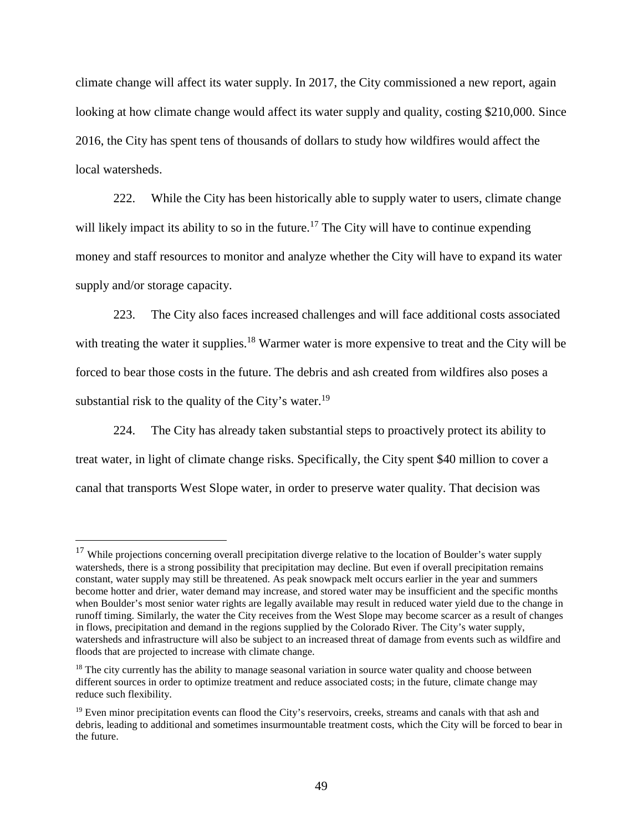climate change will affect its water supply. In 2017, the City commissioned a new report, again looking at how climate change would affect its water supply and quality, costing \$210,000. Since 2016, the City has spent tens of thousands of dollars to study how wildfires would affect the local watersheds.

222. While the City has been historically able to supply water to users, climate change will likely impact its ability to so in the future.<sup>17</sup> The City will have to continue expending money and staff resources to monitor and analyze whether the City will have to expand its water supply and/or storage capacity.

223. The City also faces increased challenges and will face additional costs associated with treating the water it supplies.<sup>18</sup> Warmer water is more expensive to treat and the City will be forced to bear those costs in the future. The debris and ash created from wildfires also poses a substantial risk to the quality of the City's water.<sup>19</sup>

224. The City has already taken substantial steps to proactively protect its ability to treat water, in light of climate change risks. Specifically, the City spent \$40 million to cover a canal that transports West Slope water, in order to preserve water quality. That decision was

 $\overline{a}$ 

<sup>&</sup>lt;sup>17</sup> While projections concerning overall precipitation diverge relative to the location of Boulder's water supply watersheds, there is a strong possibility that precipitation may decline. But even if overall precipitation remains constant, water supply may still be threatened. As peak snowpack melt occurs earlier in the year and summers become hotter and drier, water demand may increase, and stored water may be insufficient and the specific months when Boulder's most senior water rights are legally available may result in reduced water yield due to the change in runoff timing. Similarly, the water the City receives from the West Slope may become scarcer as a result of changes in flows, precipitation and demand in the regions supplied by the Colorado River. The City's water supply, watersheds and infrastructure will also be subject to an increased threat of damage from events such as wildfire and floods that are projected to increase with climate change.

<sup>&</sup>lt;sup>18</sup> The city currently has the ability to manage seasonal variation in source water quality and choose between different sources in order to optimize treatment and reduce associated costs; in the future, climate change may reduce such flexibility.

 $19$  Even minor precipitation events can flood the City's reservoirs, creeks, streams and canals with that ash and debris, leading to additional and sometimes insurmountable treatment costs, which the City will be forced to bear in the future.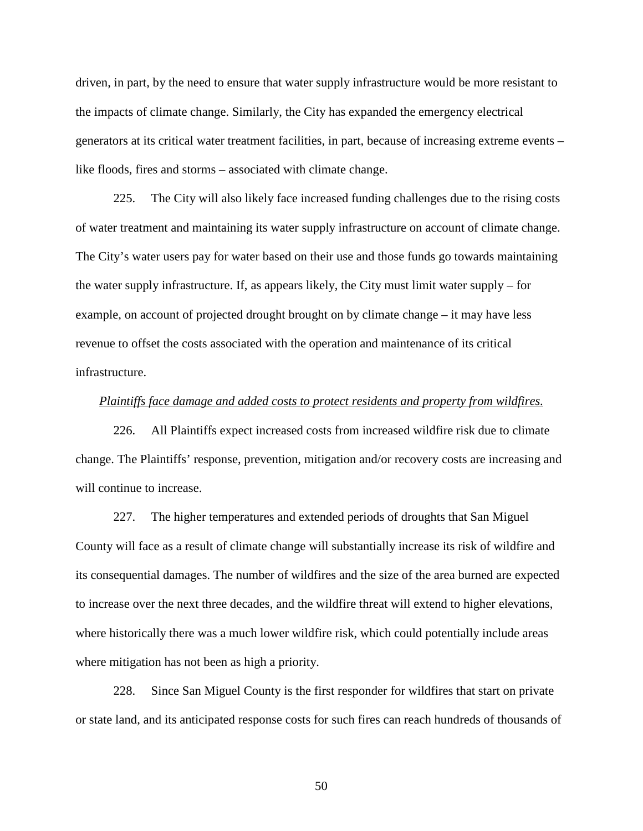driven, in part, by the need to ensure that water supply infrastructure would be more resistant to the impacts of climate change. Similarly, the City has expanded the emergency electrical generators at its critical water treatment facilities, in part, because of increasing extreme events – like floods, fires and storms – associated with climate change.

225. The City will also likely face increased funding challenges due to the rising costs of water treatment and maintaining its water supply infrastructure on account of climate change. The City's water users pay for water based on their use and those funds go towards maintaining the water supply infrastructure. If, as appears likely, the City must limit water supply – for example, on account of projected drought brought on by climate change – it may have less revenue to offset the costs associated with the operation and maintenance of its critical infrastructure.

### *Plaintiffs face damage and added costs to protect residents and property from wildfires.*

226. All Plaintiffs expect increased costs from increased wildfire risk due to climate change. The Plaintiffs' response, prevention, mitigation and/or recovery costs are increasing and will continue to increase.

227. The higher temperatures and extended periods of droughts that San Miguel County will face as a result of climate change will substantially increase its risk of wildfire and its consequential damages. The number of wildfires and the size of the area burned are expected to increase over the next three decades, and the wildfire threat will extend to higher elevations, where historically there was a much lower wildfire risk, which could potentially include areas where mitigation has not been as high a priority.

228. Since San Miguel County is the first responder for wildfires that start on private or state land, and its anticipated response costs for such fires can reach hundreds of thousands of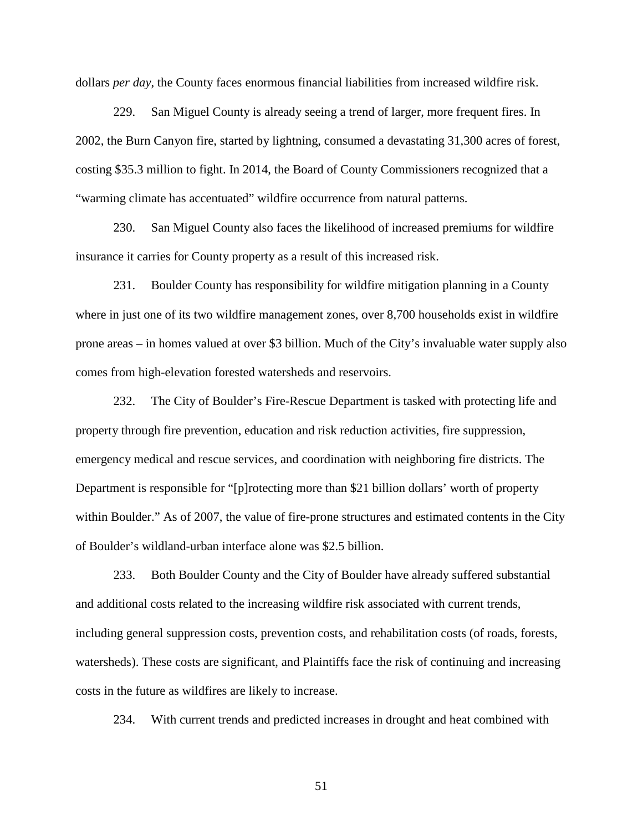dollars *per day*, the County faces enormous financial liabilities from increased wildfire risk.

229. San Miguel County is already seeing a trend of larger, more frequent fires. In 2002, the Burn Canyon fire, started by lightning, consumed a devastating 31,300 acres of forest, costing \$35.3 million to fight. In 2014, the Board of County Commissioners recognized that a "warming climate has accentuated" wildfire occurrence from natural patterns.

230. San Miguel County also faces the likelihood of increased premiums for wildfire insurance it carries for County property as a result of this increased risk.

231. Boulder County has responsibility for wildfire mitigation planning in a County where in just one of its two wildfire management zones, over 8,700 households exist in wildfire prone areas – in homes valued at over \$3 billion. Much of the City's invaluable water supply also comes from high-elevation forested watersheds and reservoirs.

232. The City of Boulder's Fire-Rescue Department is tasked with protecting life and property through fire prevention, education and risk reduction activities, fire suppression, emergency medical and rescue services, and coordination with neighboring fire districts. The Department is responsible for "[p]rotecting more than \$21 billion dollars' worth of property within Boulder." As of 2007, the value of fire-prone structures and estimated contents in the City of Boulder's wildland-urban interface alone was \$2.5 billion.

233. Both Boulder County and the City of Boulder have already suffered substantial and additional costs related to the increasing wildfire risk associated with current trends, including general suppression costs, prevention costs, and rehabilitation costs (of roads, forests, watersheds). These costs are significant, and Plaintiffs face the risk of continuing and increasing costs in the future as wildfires are likely to increase.

234. With current trends and predicted increases in drought and heat combined with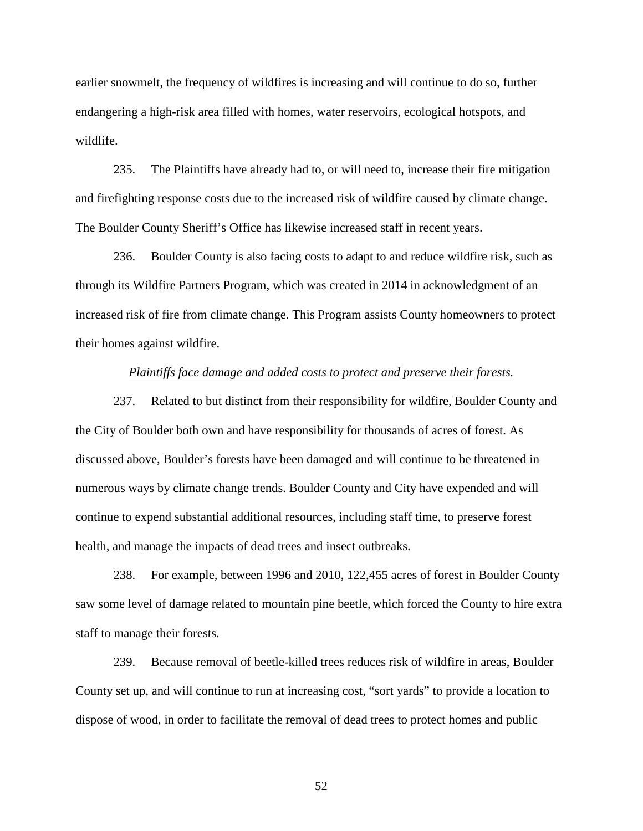earlier snowmelt, the frequency of wildfires is increasing and will continue to do so, further endangering a high-risk area filled with homes, water reservoirs, ecological hotspots, and wildlife.

235. The Plaintiffs have already had to, or will need to, increase their fire mitigation and firefighting response costs due to the increased risk of wildfire caused by climate change. The Boulder County Sheriff's Office has likewise increased staff in recent years.

236. Boulder County is also facing costs to adapt to and reduce wildfire risk, such as through its Wildfire Partners Program, which was created in 2014 in acknowledgment of an increased risk of fire from climate change. This Program assists County homeowners to protect their homes against wildfire.

### *Plaintiffs face damage and added costs to protect and preserve their forests.*

237. Related to but distinct from their responsibility for wildfire, Boulder County and the City of Boulder both own and have responsibility for thousands of acres of forest. As discussed above, Boulder's forests have been damaged and will continue to be threatened in numerous ways by climate change trends. Boulder County and City have expended and will continue to expend substantial additional resources, including staff time, to preserve forest health, and manage the impacts of dead trees and insect outbreaks.

238. For example, between 1996 and 2010, 122,455 acres of forest in Boulder County saw some level of damage related to mountain pine beetle, which forced the County to hire extra staff to manage their forests.

239. Because removal of beetle-killed trees reduces risk of wildfire in areas, Boulder County set up, and will continue to run at increasing cost, "sort yards" to provide a location to dispose of wood, in order to facilitate the removal of dead trees to protect homes and public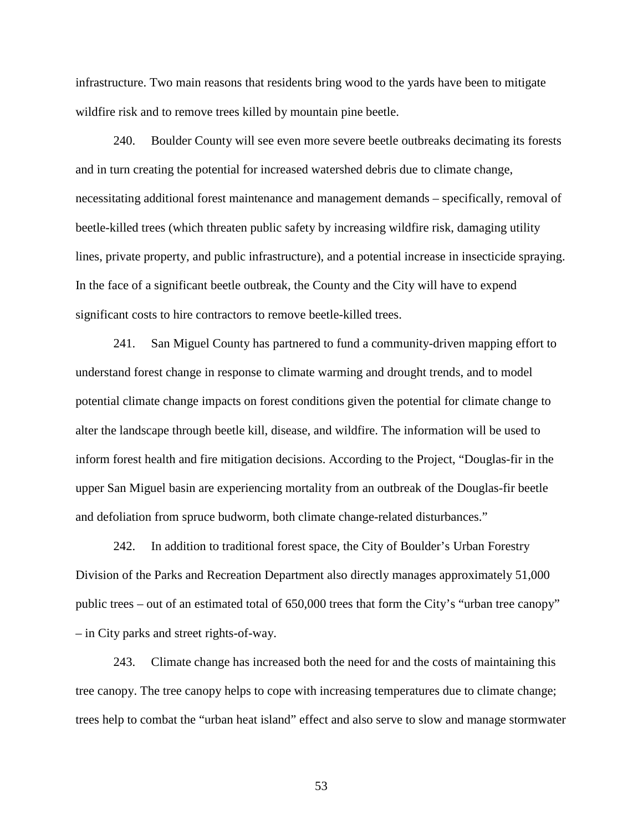infrastructure. Two main reasons that residents bring wood to the yards have been to mitigate wildfire risk and to remove trees killed by mountain pine beetle.

240. Boulder County will see even more severe beetle outbreaks decimating its forests and in turn creating the potential for increased watershed debris due to climate change, necessitating additional forest maintenance and management demands – specifically, removal of beetle-killed trees (which threaten public safety by increasing wildfire risk, damaging utility lines, private property, and public infrastructure), and a potential increase in insecticide spraying. In the face of a significant beetle outbreak, the County and the City will have to expend significant costs to hire contractors to remove beetle-killed trees.

241. San Miguel County has partnered to fund a community-driven mapping effort to understand forest change in response to climate warming and drought trends, and to model potential climate change impacts on forest conditions given the potential for climate change to alter the landscape through beetle kill, disease, and wildfire. The information will be used to inform forest health and fire mitigation decisions. According to the Project, "Douglas-fir in the upper San Miguel basin are experiencing mortality from an outbreak of the Douglas-fir beetle and defoliation from spruce budworm, both climate change-related disturbances."

242. In addition to traditional forest space, the City of Boulder's Urban Forestry Division of the Parks and Recreation Department also directly manages approximately 51,000 public trees – out of an estimated total of 650,000 trees that form the City's "urban tree canopy" – in City parks and street rights-of-way.

243. Climate change has increased both the need for and the costs of maintaining this tree canopy. The tree canopy helps to cope with increasing temperatures due to climate change; trees help to combat the "urban heat island" effect and also serve to slow and manage stormwater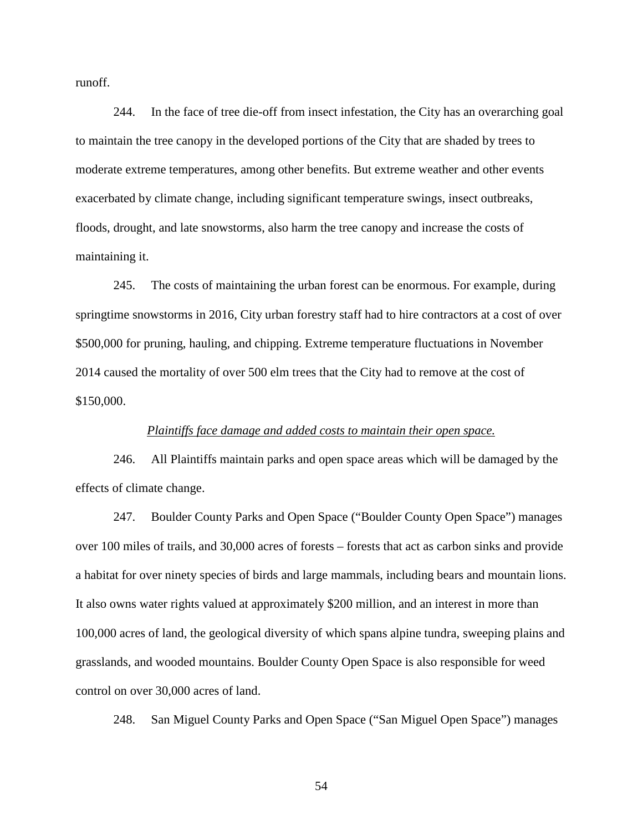runoff.

244. In the face of tree die-off from insect infestation, the City has an overarching goal to maintain the tree canopy in the developed portions of the City that are shaded by trees to moderate extreme temperatures, among other benefits. But extreme weather and other events exacerbated by climate change, including significant temperature swings, insect outbreaks, floods, drought, and late snowstorms, also harm the tree canopy and increase the costs of maintaining it.

245. The costs of maintaining the urban forest can be enormous. For example, during springtime snowstorms in 2016, City urban forestry staff had to hire contractors at a cost of over \$500,000 for pruning, hauling, and chipping. Extreme temperature fluctuations in November 2014 caused the mortality of over 500 elm trees that the City had to remove at the cost of \$150,000.

### *Plaintiffs face damage and added costs to maintain their open space.*

246. All Plaintiffs maintain parks and open space areas which will be damaged by the effects of climate change.

247. Boulder County Parks and Open Space ("Boulder County Open Space") manages over 100 miles of trails, and 30,000 acres of forests – forests that act as carbon sinks and provide a habitat for over ninety species of birds and large mammals, including bears and mountain lions. It also owns water rights valued at approximately \$200 million, and an interest in more than 100,000 acres of land, the geological diversity of which spans alpine tundra, sweeping plains and grasslands, and wooded mountains. Boulder County Open Space is also responsible for weed control on over 30,000 acres of land.

248. San Miguel County Parks and Open Space ("San Miguel Open Space") manages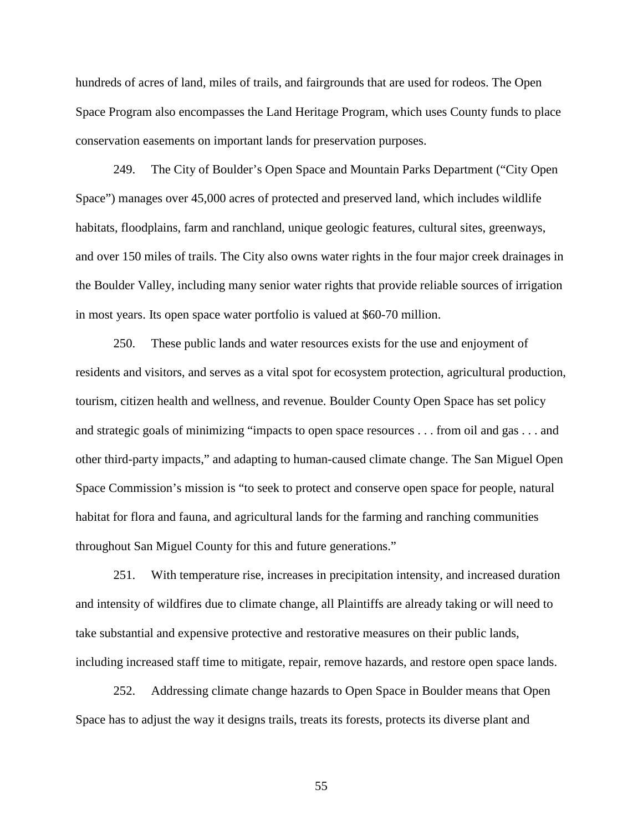hundreds of acres of land, miles of trails, and fairgrounds that are used for rodeos. The Open Space Program also encompasses the Land Heritage Program, which uses County funds to place conservation easements on important lands for preservation purposes.

249. The City of Boulder's Open Space and Mountain Parks Department ("City Open Space") manages over 45,000 acres of protected and preserved land, which includes wildlife habitats, floodplains, farm and ranchland, unique geologic features, cultural sites, greenways, and over 150 miles of trails. The City also owns water rights in the four major creek drainages in the Boulder Valley, including many senior water rights that provide reliable sources of irrigation in most years. Its open space water portfolio is valued at \$60-70 million.

250. These public lands and water resources exists for the use and enjoyment of residents and visitors, and serves as a vital spot for ecosystem protection, agricultural production, tourism, citizen health and wellness, and revenue. Boulder County Open Space has set policy and strategic goals of minimizing "impacts to open space resources . . . from oil and gas . . . and other third-party impacts," and adapting to human-caused climate change. The San Miguel Open Space Commission's mission is "to seek to protect and conserve open space for people, natural habitat for flora and fauna, and agricultural lands for the farming and ranching communities throughout San Miguel County for this and future generations."

251. With temperature rise, increases in precipitation intensity, and increased duration and intensity of wildfires due to climate change, all Plaintiffs are already taking or will need to take substantial and expensive protective and restorative measures on their public lands, including increased staff time to mitigate, repair, remove hazards, and restore open space lands.

252. Addressing climate change hazards to Open Space in Boulder means that Open Space has to adjust the way it designs trails, treats its forests, protects its diverse plant and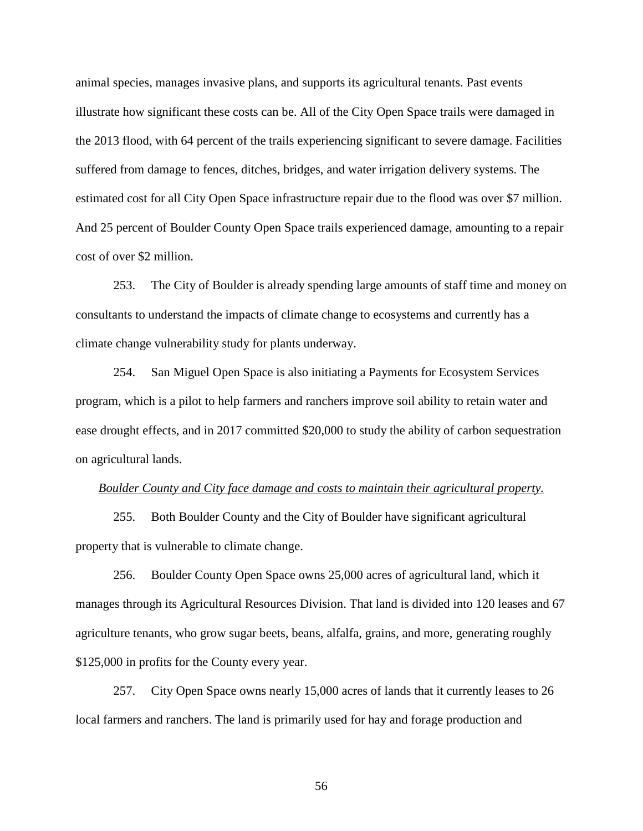animal species, manages invasive plans, and supports its agricultural tenants. Past events illustrate how significant these costs can be. All of the City Open Space trails were damaged in the 2013 flood, with 64 percent of the trails experiencing significant to severe damage. Facilities suffered from damage to fences, ditches, bridges, and water irrigation delivery systems. The estimated cost for all City Open Space infrastructure repair due to the flood was over \$7 million. And 25 percent of Boulder County Open Space trails experienced damage, amounting to a repair cost of over \$2 million.

253. The City of Boulder is already spending large amounts of staff time and money on consultants to understand the impacts of climate change to ecosystems and currently has a climate change vulnerability study for plants underway.

254. San Miguel Open Space is also initiating a Payments for Ecosystem Services program, which is a pilot to help farmers and ranchers improve soil ability to retain water and ease drought effects, and in 2017 committed \$20,000 to study the ability of carbon sequestration on agricultural lands.

#### *Boulder County and City face damage and costs to maintain their agricultural property.*

255. Both Boulder County and the City of Boulder have significant agricultural property that is vulnerable to climate change.

256. Boulder County Open Space owns 25,000 acres of agricultural land, which it manages through its Agricultural Resources Division. That land is divided into 120 leases and 67 agriculture tenants, who grow sugar beets, beans, alfalfa, grains, and more, generating roughly \$125,000 in profits for the County every year.

257. City Open Space owns nearly 15,000 acres of lands that it currently leases to 26 local farmers and ranchers. The land is primarily used for hay and forage production and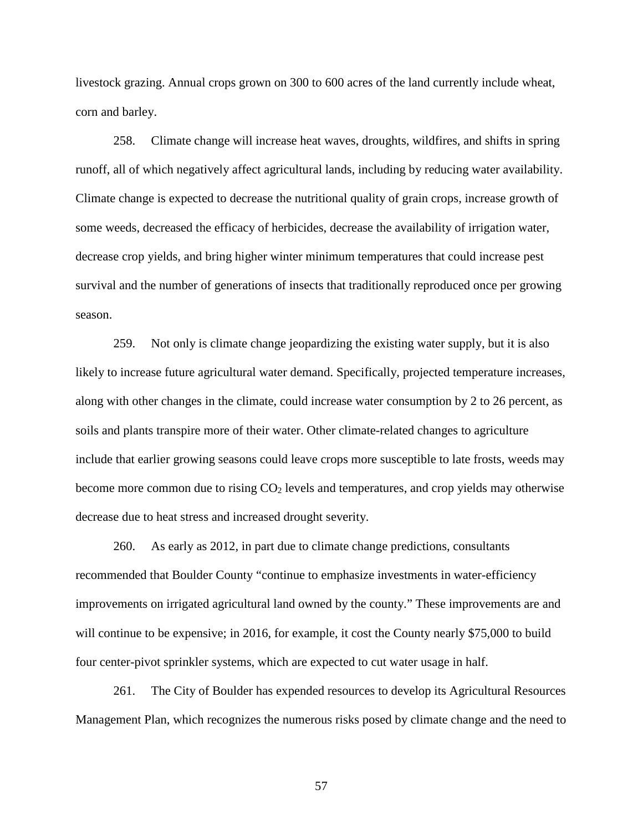livestock grazing. Annual crops grown on 300 to 600 acres of the land currently include wheat, corn and barley.

258. Climate change will increase heat waves, droughts, wildfires, and shifts in spring runoff, all of which negatively affect agricultural lands, including by reducing water availability. Climate change is expected to decrease the nutritional quality of grain crops, increase growth of some weeds, decreased the efficacy of herbicides, decrease the availability of irrigation water, decrease crop yields, and bring higher winter minimum temperatures that could increase pest survival and the number of generations of insects that traditionally reproduced once per growing season.

259. Not only is climate change jeopardizing the existing water supply, but it is also likely to increase future agricultural water demand. Specifically, projected temperature increases, along with other changes in the climate, could increase water consumption by 2 to 26 percent, as soils and plants transpire more of their water. Other climate-related changes to agriculture include that earlier growing seasons could leave crops more susceptible to late frosts, weeds may become more common due to rising  $CO<sub>2</sub>$  levels and temperatures, and crop yields may otherwise decrease due to heat stress and increased drought severity.

260. As early as 2012, in part due to climate change predictions, consultants recommended that Boulder County "continue to emphasize investments in water-efficiency improvements on irrigated agricultural land owned by the county." These improvements are and will continue to be expensive; in 2016, for example, it cost the County nearly \$75,000 to build four center-pivot sprinkler systems, which are expected to cut water usage in half.

261. The City of Boulder has expended resources to develop its Agricultural Resources Management Plan, which recognizes the numerous risks posed by climate change and the need to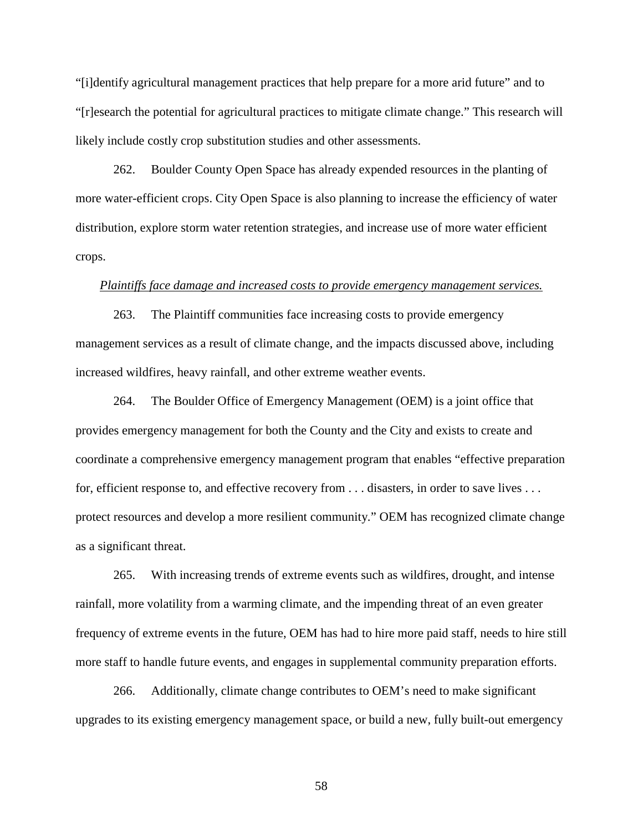"[i]dentify agricultural management practices that help prepare for a more arid future" and to "[r]esearch the potential for agricultural practices to mitigate climate change." This research will likely include costly crop substitution studies and other assessments.

262. Boulder County Open Space has already expended resources in the planting of more water-efficient crops. City Open Space is also planning to increase the efficiency of water distribution, explore storm water retention strategies, and increase use of more water efficient crops.

#### *Plaintiffs face damage and increased costs to provide emergency management services.*

263. The Plaintiff communities face increasing costs to provide emergency management services as a result of climate change, and the impacts discussed above, including increased wildfires, heavy rainfall, and other extreme weather events.

264. The Boulder Office of Emergency Management (OEM) is a joint office that provides emergency management for both the County and the City and exists to create and coordinate a comprehensive emergency management program that enables "effective preparation for, efficient response to, and effective recovery from . . . disasters, in order to save lives . . . protect resources and develop a more resilient community." OEM has recognized climate change as a significant threat.

265. With increasing trends of extreme events such as wildfires, drought, and intense rainfall, more volatility from a warming climate, and the impending threat of an even greater frequency of extreme events in the future, OEM has had to hire more paid staff, needs to hire still more staff to handle future events, and engages in supplemental community preparation efforts.

266. Additionally, climate change contributes to OEM's need to make significant upgrades to its existing emergency management space, or build a new, fully built-out emergency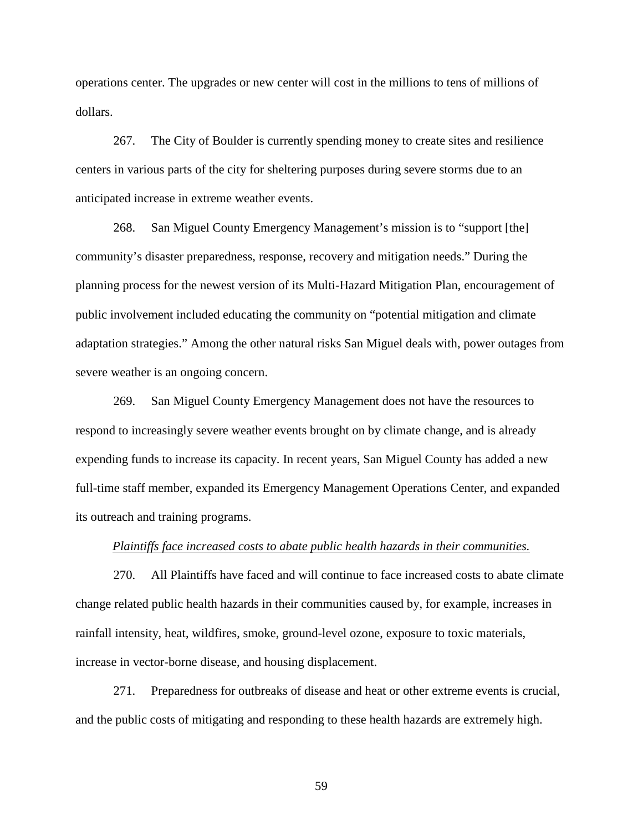operations center. The upgrades or new center will cost in the millions to tens of millions of dollars.

267. The City of Boulder is currently spending money to create sites and resilience centers in various parts of the city for sheltering purposes during severe storms due to an anticipated increase in extreme weather events.

268. San Miguel County Emergency Management's mission is to "support [the] community's disaster preparedness, response, recovery and mitigation needs." During the planning process for the newest version of its Multi-Hazard Mitigation Plan, encouragement of public involvement included educating the community on "potential mitigation and climate adaptation strategies." Among the other natural risks San Miguel deals with, power outages from severe weather is an ongoing concern.

269. San Miguel County Emergency Management does not have the resources to respond to increasingly severe weather events brought on by climate change, and is already expending funds to increase its capacity. In recent years, San Miguel County has added a new full-time staff member, expanded its Emergency Management Operations Center, and expanded its outreach and training programs.

#### *Plaintiffs face increased costs to abate public health hazards in their communities.*

270. All Plaintiffs have faced and will continue to face increased costs to abate climate change related public health hazards in their communities caused by, for example, increases in rainfall intensity, heat, wildfires, smoke, ground-level ozone, exposure to toxic materials, increase in vector-borne disease, and housing displacement.

271. Preparedness for outbreaks of disease and heat or other extreme events is crucial, and the public costs of mitigating and responding to these health hazards are extremely high.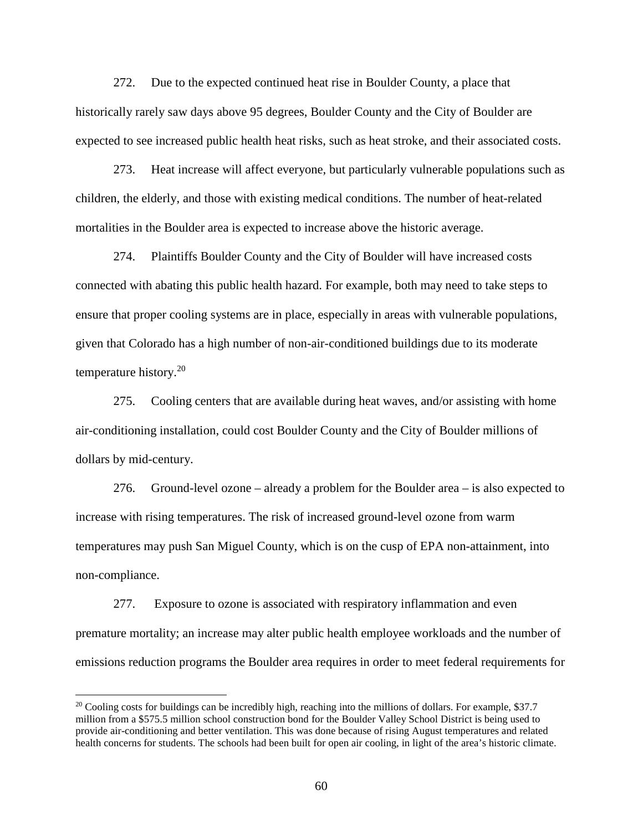272. Due to the expected continued heat rise in Boulder County, a place that historically rarely saw days above 95 degrees, Boulder County and the City of Boulder are expected to see increased public health heat risks, such as heat stroke, and their associated costs.

273. Heat increase will affect everyone, but particularly vulnerable populations such as children, the elderly, and those with existing medical conditions. The number of heat-related mortalities in the Boulder area is expected to increase above the historic average.

274. Plaintiffs Boulder County and the City of Boulder will have increased costs connected with abating this public health hazard. For example, both may need to take steps to ensure that proper cooling systems are in place, especially in areas with vulnerable populations, given that Colorado has a high number of non-air-conditioned buildings due to its moderate temperature history.<sup>20</sup>

275. Cooling centers that are available during heat waves, and/or assisting with home air-conditioning installation, could cost Boulder County and the City of Boulder millions of dollars by mid-century.

276. Ground-level ozone – already a problem for the Boulder area – is also expected to increase with rising temperatures. The risk of increased ground-level ozone from warm temperatures may push San Miguel County, which is on the cusp of EPA non-attainment, into non-compliance.

277. Exposure to ozone is associated with respiratory inflammation and even premature mortality; an increase may alter public health employee workloads and the number of emissions reduction programs the Boulder area requires in order to meet federal requirements for

 $\overline{a}$ 

 $20$  Cooling costs for buildings can be incredibly high, reaching into the millions of dollars. For example, \$37.7 million from a \$575.5 million school construction bond for the Boulder Valley School District is being used to provide air-conditioning and better ventilation. This was done because of rising August temperatures and related health concerns for students. The schools had been built for open air cooling, in light of the area's historic climate.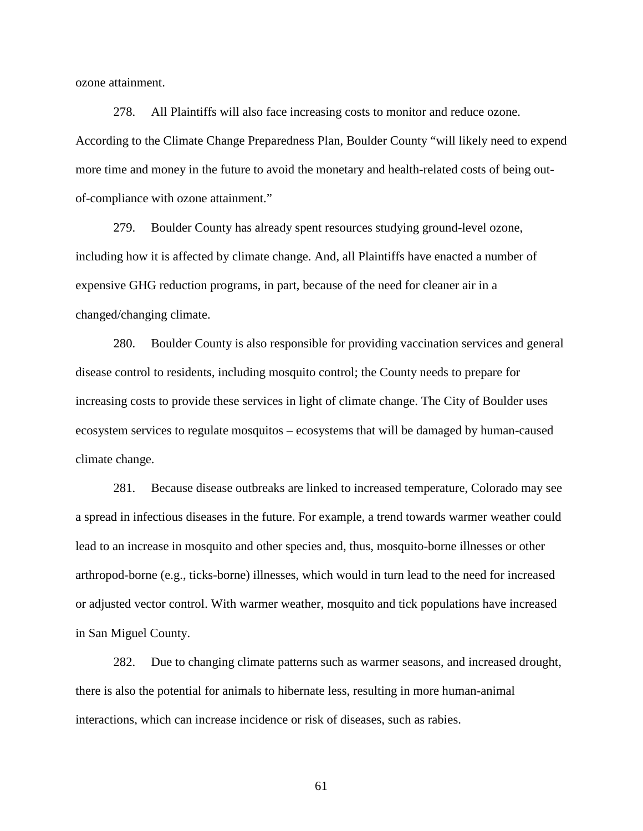ozone attainment.

278. All Plaintiffs will also face increasing costs to monitor and reduce ozone. According to the Climate Change Preparedness Plan, Boulder County "will likely need to expend more time and money in the future to avoid the monetary and health-related costs of being outof-compliance with ozone attainment."

279. Boulder County has already spent resources studying ground-level ozone, including how it is affected by climate change. And, all Plaintiffs have enacted a number of expensive GHG reduction programs, in part, because of the need for cleaner air in a changed/changing climate.

280. Boulder County is also responsible for providing vaccination services and general disease control to residents, including mosquito control; the County needs to prepare for increasing costs to provide these services in light of climate change. The City of Boulder uses ecosystem services to regulate mosquitos – ecosystems that will be damaged by human-caused climate change.

281. Because disease outbreaks are linked to increased temperature, Colorado may see a spread in infectious diseases in the future. For example, a trend towards warmer weather could lead to an increase in mosquito and other species and, thus, mosquito-borne illnesses or other arthropod-borne (e.g., ticks-borne) illnesses, which would in turn lead to the need for increased or adjusted vector control. With warmer weather, mosquito and tick populations have increased in San Miguel County.

282. Due to changing climate patterns such as warmer seasons, and increased drought, there is also the potential for animals to hibernate less, resulting in more human-animal interactions, which can increase incidence or risk of diseases, such as rabies.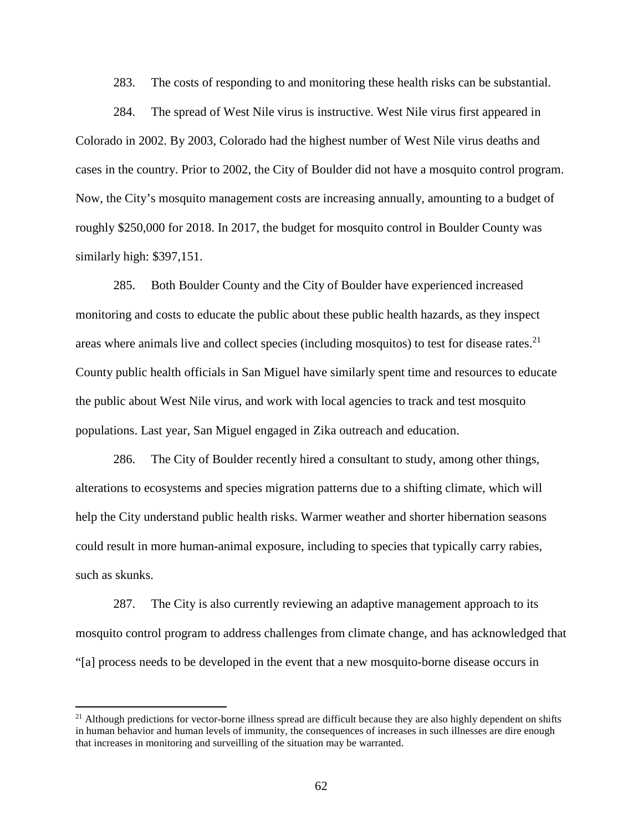283. The costs of responding to and monitoring these health risks can be substantial.

284. The spread of West Nile virus is instructive. West Nile virus first appeared in Colorado in 2002. By 2003, Colorado had the highest number of West Nile virus deaths and cases in the country. Prior to 2002, the City of Boulder did not have a mosquito control program. Now, the City's mosquito management costs are increasing annually, amounting to a budget of roughly \$250,000 for 2018. In 2017, the budget for mosquito control in Boulder County was similarly high: \$397,151.

285. Both Boulder County and the City of Boulder have experienced increased monitoring and costs to educate the public about these public health hazards, as they inspect areas where animals live and collect species (including mosquitos) to test for disease rates.<sup>21</sup> County public health officials in San Miguel have similarly spent time and resources to educate the public about West Nile virus, and work with local agencies to track and test mosquito populations. Last year, San Miguel engaged in Zika outreach and education.

286. The City of Boulder recently hired a consultant to study, among other things, alterations to ecosystems and species migration patterns due to a shifting climate, which will help the City understand public health risks. Warmer weather and shorter hibernation seasons could result in more human-animal exposure, including to species that typically carry rabies, such as skunks.

287. The City is also currently reviewing an adaptive management approach to its mosquito control program to address challenges from climate change, and has acknowledged that "[a] process needs to be developed in the event that a new mosquito-borne disease occurs in

 $\overline{a}$ 

 $21$  Although predictions for vector-borne illness spread are difficult because they are also highly dependent on shifts in human behavior and human levels of immunity, the consequences of increases in such illnesses are dire enough that increases in monitoring and surveilling of the situation may be warranted.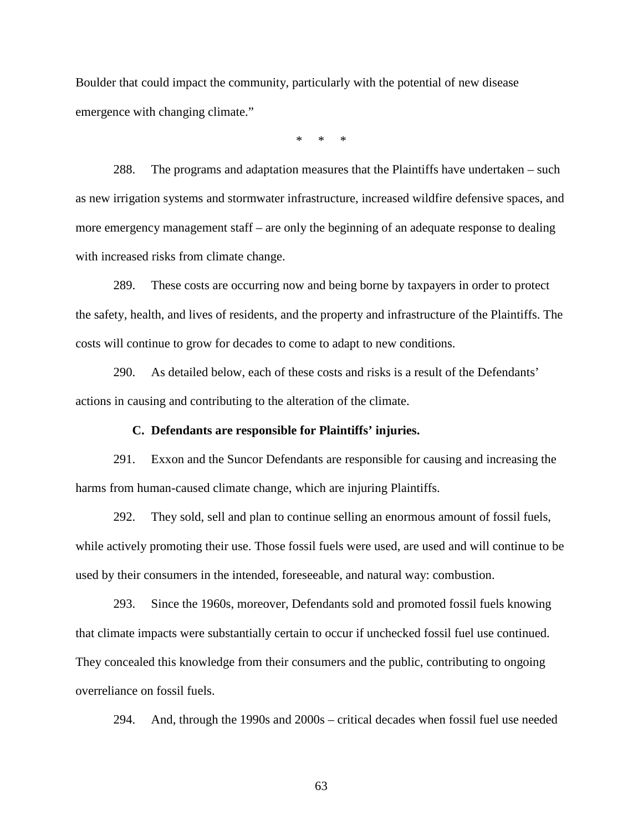Boulder that could impact the community, particularly with the potential of new disease emergence with changing climate."

\* \* \*

288. The programs and adaptation measures that the Plaintiffs have undertaken – such as new irrigation systems and stormwater infrastructure, increased wildfire defensive spaces, and more emergency management staff – are only the beginning of an adequate response to dealing with increased risks from climate change.

289. These costs are occurring now and being borne by taxpayers in order to protect the safety, health, and lives of residents, and the property and infrastructure of the Plaintiffs. The costs will continue to grow for decades to come to adapt to new conditions.

290. As detailed below, each of these costs and risks is a result of the Defendants' actions in causing and contributing to the alteration of the climate.

#### **C. Defendants are responsible for Plaintiffs' injuries.**

291. Exxon and the Suncor Defendants are responsible for causing and increasing the harms from human-caused climate change, which are injuring Plaintiffs.

292. They sold, sell and plan to continue selling an enormous amount of fossil fuels, while actively promoting their use. Those fossil fuels were used, are used and will continue to be used by their consumers in the intended, foreseeable, and natural way: combustion.

293. Since the 1960s, moreover, Defendants sold and promoted fossil fuels knowing that climate impacts were substantially certain to occur if unchecked fossil fuel use continued. They concealed this knowledge from their consumers and the public, contributing to ongoing overreliance on fossil fuels.

294. And, through the 1990s and 2000s – critical decades when fossil fuel use needed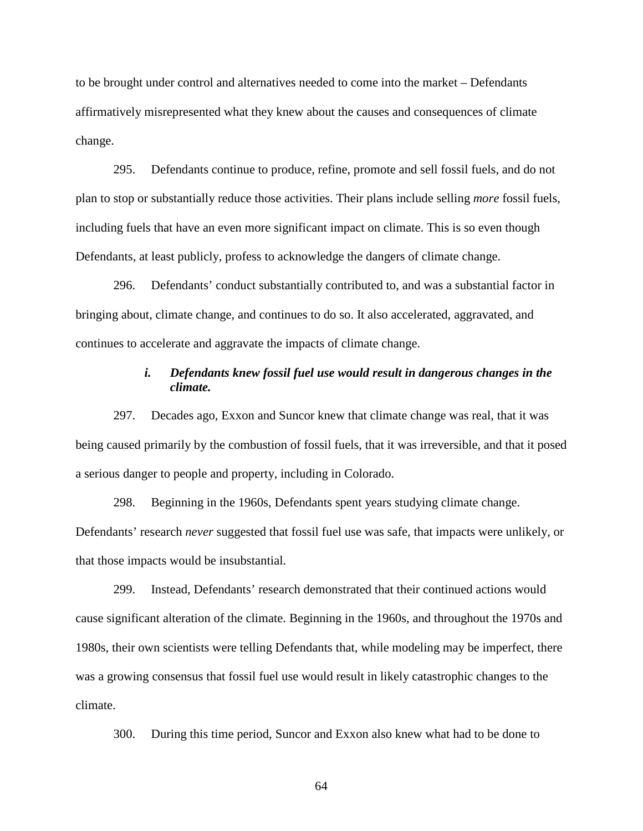to be brought under control and alternatives needed to come into the market – Defendants affirmatively misrepresented what they knew about the causes and consequences of climate change.

295. Defendants continue to produce, refine, promote and sell fossil fuels, and do not plan to stop or substantially reduce those activities. Their plans include selling *more* fossil fuels, including fuels that have an even more significant impact on climate. This is so even though Defendants, at least publicly, profess to acknowledge the dangers of climate change.

296. Defendants' conduct substantially contributed to, and was a substantial factor in bringing about, climate change, and continues to do so. It also accelerated, aggravated, and continues to accelerate and aggravate the impacts of climate change.

# *i. Defendants knew fossil fuel use would result in dangerous changes in the climate.*

297. Decades ago, Exxon and Suncor knew that climate change was real, that it was being caused primarily by the combustion of fossil fuels, that it was irreversible, and that it posed a serious danger to people and property, including in Colorado.

298. Beginning in the 1960s, Defendants spent years studying climate change. Defendants' research *never* suggested that fossil fuel use was safe, that impacts were unlikely, or that those impacts would be insubstantial.

299. Instead, Defendants' research demonstrated that their continued actions would cause significant alteration of the climate. Beginning in the 1960s, and throughout the 1970s and 1980s, their own scientists were telling Defendants that, while modeling may be imperfect, there was a growing consensus that fossil fuel use would result in likely catastrophic changes to the climate.

300. During this time period, Suncor and Exxon also knew what had to be done to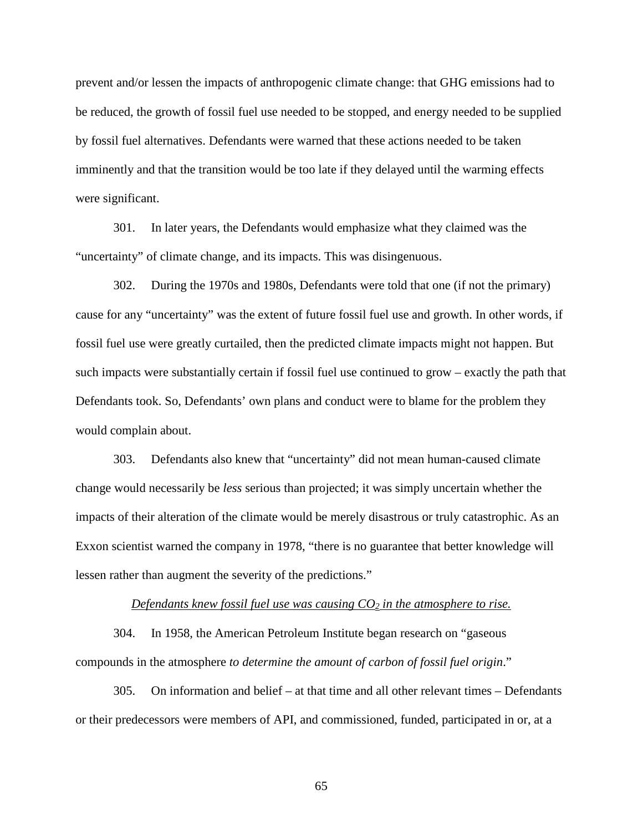prevent and/or lessen the impacts of anthropogenic climate change: that GHG emissions had to be reduced, the growth of fossil fuel use needed to be stopped, and energy needed to be supplied by fossil fuel alternatives. Defendants were warned that these actions needed to be taken imminently and that the transition would be too late if they delayed until the warming effects were significant.

301. In later years, the Defendants would emphasize what they claimed was the "uncertainty" of climate change, and its impacts. This was disingenuous.

302. During the 1970s and 1980s, Defendants were told that one (if not the primary) cause for any "uncertainty" was the extent of future fossil fuel use and growth. In other words, if fossil fuel use were greatly curtailed, then the predicted climate impacts might not happen. But such impacts were substantially certain if fossil fuel use continued to grow – exactly the path that Defendants took. So, Defendants' own plans and conduct were to blame for the problem they would complain about.

303. Defendants also knew that "uncertainty" did not mean human-caused climate change would necessarily be *less* serious than projected; it was simply uncertain whether the impacts of their alteration of the climate would be merely disastrous or truly catastrophic. As an Exxon scientist warned the company in 1978, "there is no guarantee that better knowledge will lessen rather than augment the severity of the predictions."

#### *Defendants knew fossil fuel use was causing CO2 in the atmosphere to rise.*

304. In 1958, the American Petroleum Institute began research on "gaseous compounds in the atmosphere *to determine the amount of carbon of fossil fuel origin*."

305. On information and belief – at that time and all other relevant times – Defendants or their predecessors were members of API, and commissioned, funded, participated in or, at a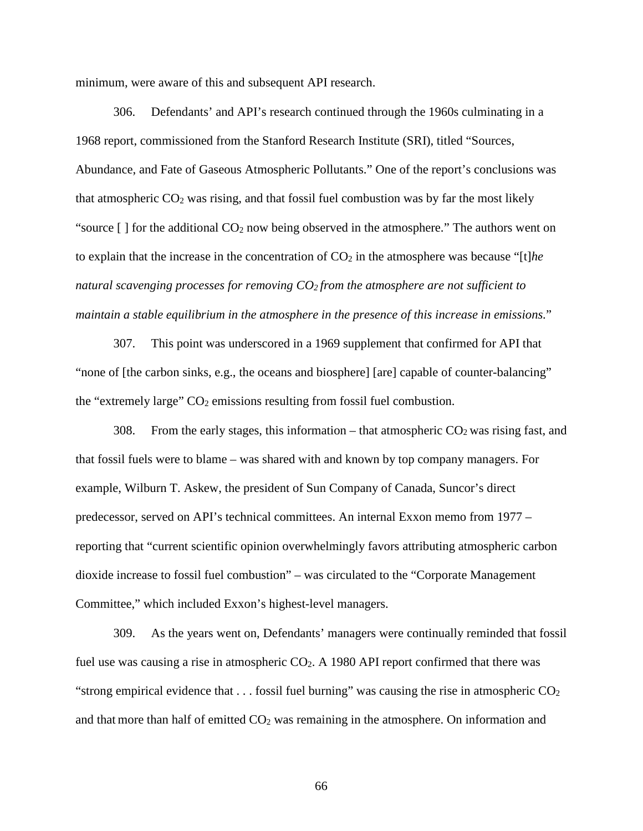minimum, were aware of this and subsequent API research.

306. Defendants' and API's research continued through the 1960s culminating in a 1968 report, commissioned from the Stanford Research Institute (SRI), titled "Sources, Abundance, and Fate of Gaseous Atmospheric Pollutants." One of the report's conclusions was that atmospheric  $CO<sub>2</sub>$  was rising, and that fossil fuel combustion was by far the most likely "source  $\lceil \cdot \rceil$  for the additional CO<sub>2</sub> now being observed in the atmosphere." The authors went on to explain that the increase in the concentration of  $CO<sub>2</sub>$  in the atmosphere was because "[t]*he natural scavenging processes for removing CO<sup>2</sup> from the atmosphere are not sufficient to maintain a stable equilibrium in the atmosphere in the presence of this increase in emissions.*"

307. This point was underscored in a 1969 supplement that confirmed for API that "none of [the carbon sinks, e.g., the oceans and biosphere] [are] capable of counter-balancing" the "extremely large"  $CO<sub>2</sub>$  emissions resulting from fossil fuel combustion.

308. From the early stages, this information – that atmospheric  $CO<sub>2</sub>$  was rising fast, and that fossil fuels were to blame – was shared with and known by top company managers. For example, Wilburn T. Askew, the president of Sun Company of Canada, Suncor's direct predecessor, served on API's technical committees. An internal Exxon memo from 1977 – reporting that "current scientific opinion overwhelmingly favors attributing atmospheric carbon dioxide increase to fossil fuel combustion" – was circulated to the "Corporate Management Committee," which included Exxon's highest-level managers.

309. As the years went on, Defendants' managers were continually reminded that fossil fuel use was causing a rise in atmospheric CO<sub>2</sub>. A 1980 API report confirmed that there was "strong empirical evidence that  $\dots$  fossil fuel burning" was causing the rise in atmospheric  $CO<sub>2</sub>$ and that more than half of emitted  $CO<sub>2</sub>$  was remaining in the atmosphere. On information and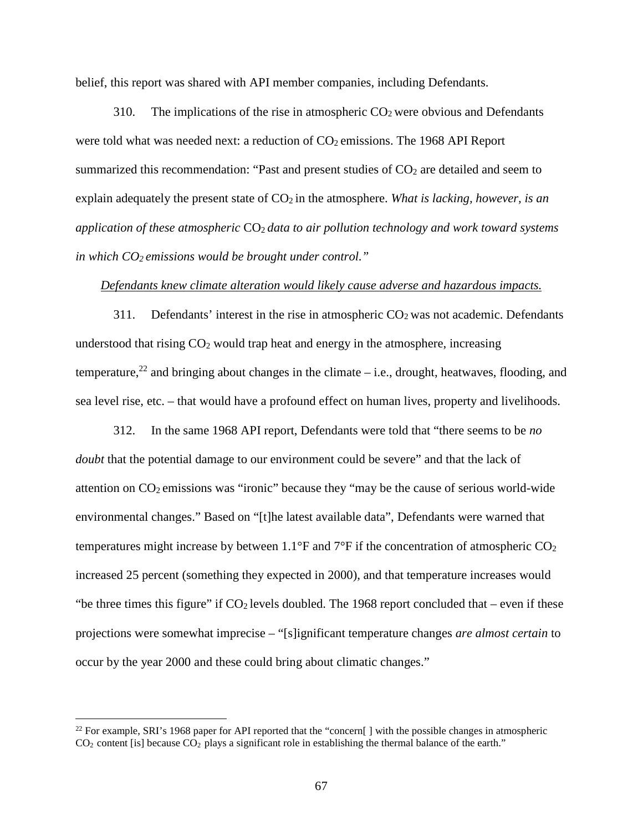belief, this report was shared with API member companies, including Defendants.

310. The implications of the rise in atmospheric  $CO<sub>2</sub>$  were obvious and Defendants were told what was needed next: a reduction of  $CO<sub>2</sub>$  emissions. The 1968 API Report summarized this recommendation: "Past and present studies of CO<sub>2</sub> are detailed and seem to explain adequately the present state of  $CO<sub>2</sub>$  in the atmosphere. *What is lacking, however, is an application of these atmospheric* CO2 *data to air pollution technology and work toward systems in which CO<sup>2</sup> emissions would be brought under control."*

### *Defendants knew climate alteration would likely cause adverse and hazardous impacts.*

311. Defendants' interest in the rise in atmospheric  $CO<sub>2</sub>$  was not academic. Defendants understood that rising  $CO<sub>2</sub>$  would trap heat and energy in the atmosphere, increasing temperature,<sup>22</sup> and bringing about changes in the climate – i.e., drought, heatwaves, flooding, and sea level rise, etc. – that would have a profound effect on human lives, property and livelihoods.

312. In the same 1968 API report, Defendants were told that "there seems to be *no doubt* that the potential damage to our environment could be severe" and that the lack of attention on  $CO<sub>2</sub>$  emissions was "ironic" because they "may be the cause of serious world-wide environmental changes." Based on "[t]he latest available data", Defendants were warned that temperatures might increase by between  $1.1^{\circ}$ F and  $7^{\circ}$ F if the concentration of atmospheric CO<sub>2</sub> increased 25 percent (something they expected in 2000), and that temperature increases would "be three times this figure" if  $CO<sub>2</sub>$  levels doubled. The 1968 report concluded that – even if these projections were somewhat imprecise – "[s]ignificant temperature changes *are almost certain* to occur by the year 2000 and these could bring about climatic changes."

 $\overline{a}$ 

<sup>&</sup>lt;sup>22</sup> For example, SRI's 1968 paper for API reported that the "concern[] with the possible changes in atmospheric  $CO<sub>2</sub>$  content [is] because  $CO<sub>2</sub>$  plays a significant role in establishing the thermal balance of the earth."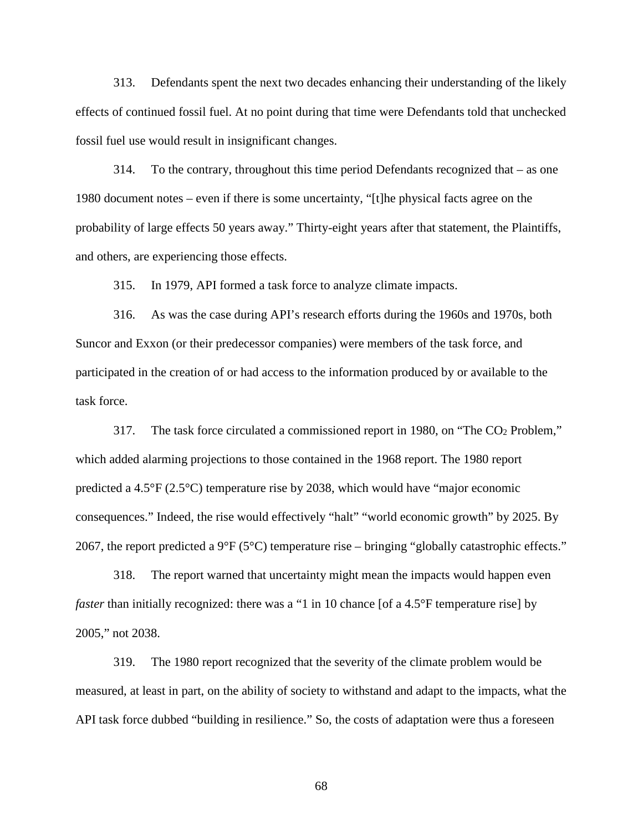313. Defendants spent the next two decades enhancing their understanding of the likely effects of continued fossil fuel. At no point during that time were Defendants told that unchecked fossil fuel use would result in insignificant changes.

314. To the contrary, throughout this time period Defendants recognized that – as one 1980 document notes – even if there is some uncertainty, "[t]he physical facts agree on the probability of large effects 50 years away." Thirty-eight years after that statement, the Plaintiffs, and others, are experiencing those effects.

315. In 1979, API formed a task force to analyze climate impacts.

316. As was the case during API's research efforts during the 1960s and 1970s, both Suncor and Exxon (or their predecessor companies) were members of the task force, and participated in the creation of or had access to the information produced by or available to the task force.

317. The task force circulated a commissioned report in 1980, on "The CO2 Problem," which added alarming projections to those contained in the 1968 report. The 1980 report predicted a 4.5°F (2.5°C) temperature rise by 2038, which would have "major economic consequences." Indeed, the rise would effectively "halt" "world economic growth" by 2025. By 2067, the report predicted a  $9^{\circ}F(5^{\circ}C)$  temperature rise – bringing "globally catastrophic effects."

318. The report warned that uncertainty might mean the impacts would happen even *faster* than initially recognized: there was a "1 in 10 chance [of a 4.5°F temperature rise] by 2005," not 2038.

319. The 1980 report recognized that the severity of the climate problem would be measured, at least in part, on the ability of society to withstand and adapt to the impacts, what the API task force dubbed "building in resilience." So, the costs of adaptation were thus a foreseen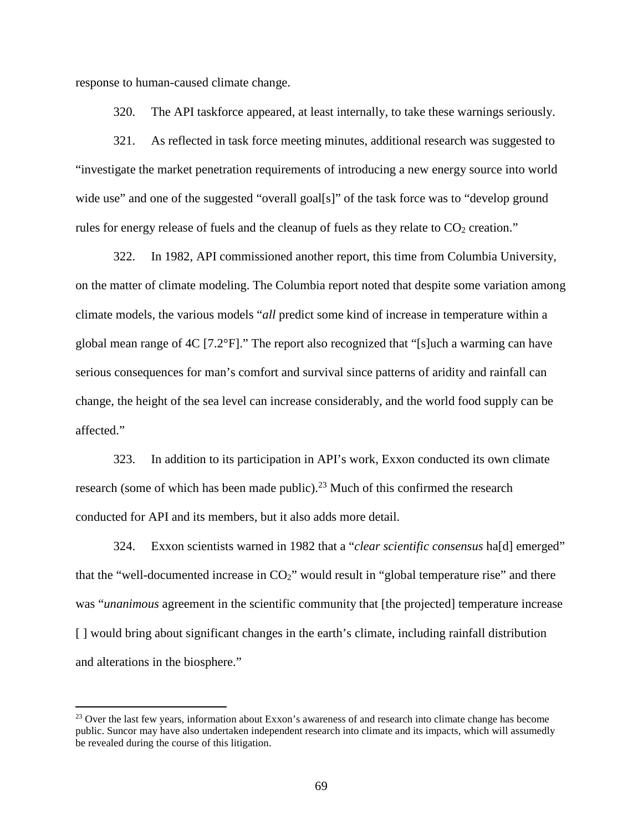response to human-caused climate change.

 $\overline{a}$ 

320. The API taskforce appeared, at least internally, to take these warnings seriously.

321. As reflected in task force meeting minutes, additional research was suggested to "investigate the market penetration requirements of introducing a new energy source into world wide use" and one of the suggested "overall goal[s]" of the task force was to "develop ground rules for energy release of fuels and the cleanup of fuels as they relate to  $CO<sub>2</sub>$  creation."

322. In 1982, API commissioned another report, this time from Columbia University, on the matter of climate modeling. The Columbia report noted that despite some variation among climate models, the various models "*all* predict some kind of increase in temperature within a global mean range of 4C [7.2°F]." The report also recognized that "[s]uch a warming can have serious consequences for man's comfort and survival since patterns of aridity and rainfall can change, the height of the sea level can increase considerably, and the world food supply can be affected."

323. In addition to its participation in API's work, Exxon conducted its own climate research (some of which has been made public).<sup>23</sup> Much of this confirmed the research conducted for API and its members, but it also adds more detail.

324. Exxon scientists warned in 1982 that a "*clear scientific consensus* ha[d] emerged" that the "well-documented increase in  $CO<sub>2</sub>$ " would result in "global temperature rise" and there was "*unanimous* agreement in the scientific community that [the projected] temperature increase [] would bring about significant changes in the earth's climate, including rainfall distribution and alterations in the biosphere."

<sup>&</sup>lt;sup>23</sup> Over the last few years, information about Exxon's awareness of and research into climate change has become public. Suncor may have also undertaken independent research into climate and its impacts, which will assumedly be revealed during the course of this litigation.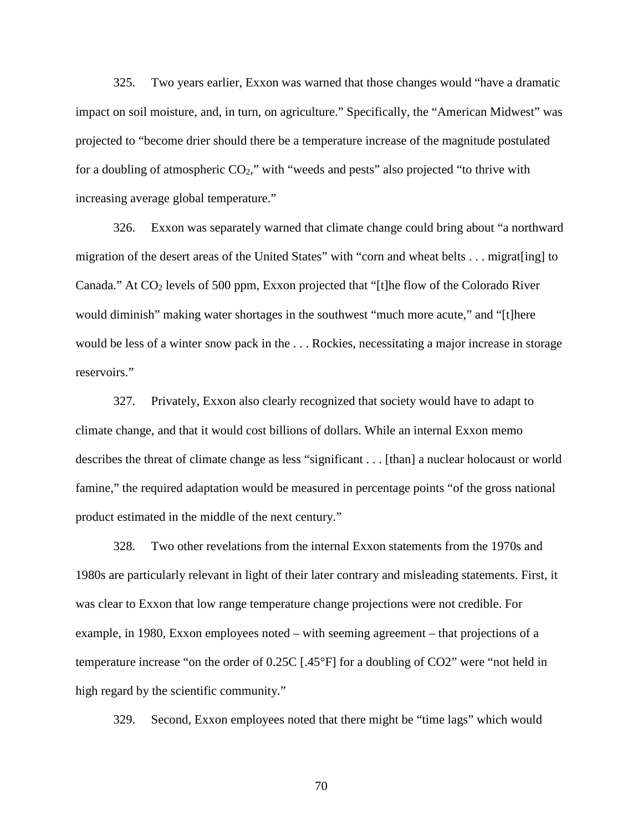325. Two years earlier, Exxon was warned that those changes would "have a dramatic impact on soil moisture, and, in turn, on agriculture." Specifically, the "American Midwest" was projected to "become drier should there be a temperature increase of the magnitude postulated for a doubling of atmospheric  $CO<sub>2</sub>$ ," with "weeds and pests" also projected "to thrive with increasing average global temperature."

326. Exxon was separately warned that climate change could bring about "a northward migration of the desert areas of the United States" with "corn and wheat belts . . . migrat[ing] to Canada." At CO<sub>2</sub> levels of 500 ppm, Exxon projected that "[t]he flow of the Colorado River would diminish" making water shortages in the southwest "much more acute," and "[t]here would be less of a winter snow pack in the . . . Rockies, necessitating a major increase in storage reservoirs."

327. Privately, Exxon also clearly recognized that society would have to adapt to climate change, and that it would cost billions of dollars. While an internal Exxon memo describes the threat of climate change as less "significant . . . [than] a nuclear holocaust or world famine," the required adaptation would be measured in percentage points "of the gross national product estimated in the middle of the next century."

328. Two other revelations from the internal Exxon statements from the 1970s and 1980s are particularly relevant in light of their later contrary and misleading statements. First, it was clear to Exxon that low range temperature change projections were not credible. For example, in 1980, Exxon employees noted – with seeming agreement – that projections of a temperature increase "on the order of 0.25C [.45°F] for a doubling of CO2" were "not held in high regard by the scientific community."

329. Second, Exxon employees noted that there might be "time lags" which would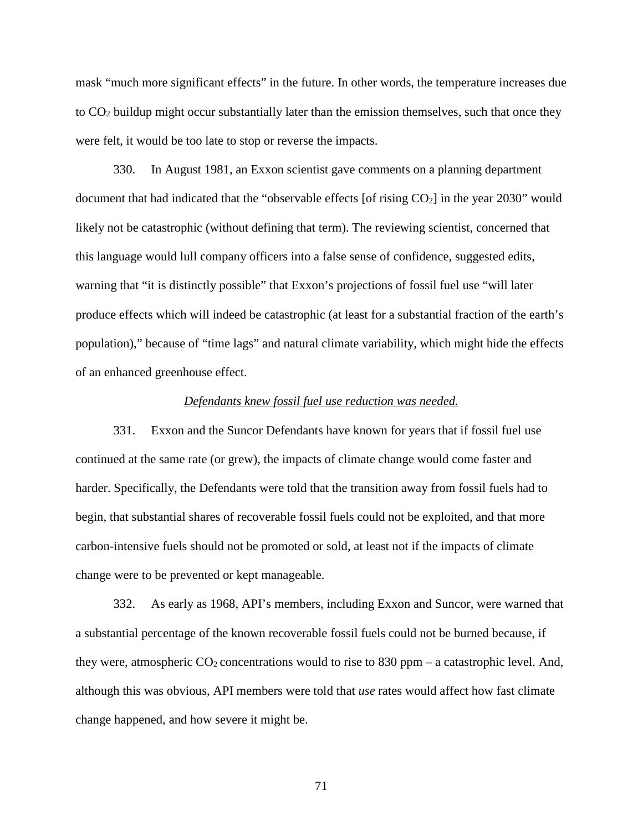mask "much more significant effects" in the future. In other words, the temperature increases due to CO2 buildup might occur substantially later than the emission themselves, such that once they were felt, it would be too late to stop or reverse the impacts.

330. In August 1981, an Exxon scientist gave comments on a planning department document that had indicated that the "observable effects [of rising CO<sub>2</sub>] in the year 2030" would likely not be catastrophic (without defining that term). The reviewing scientist, concerned that this language would lull company officers into a false sense of confidence, suggested edits, warning that "it is distinctly possible" that Exxon's projections of fossil fuel use "will later produce effects which will indeed be catastrophic (at least for a substantial fraction of the earth's population)," because of "time lags" and natural climate variability, which might hide the effects of an enhanced greenhouse effect.

#### *Defendants knew fossil fuel use reduction was needed.*

331. Exxon and the Suncor Defendants have known for years that if fossil fuel use continued at the same rate (or grew), the impacts of climate change would come faster and harder. Specifically, the Defendants were told that the transition away from fossil fuels had to begin, that substantial shares of recoverable fossil fuels could not be exploited, and that more carbon-intensive fuels should not be promoted or sold, at least not if the impacts of climate change were to be prevented or kept manageable.

332. As early as 1968, API's members, including Exxon and Suncor, were warned that a substantial percentage of the known recoverable fossil fuels could not be burned because, if they were, atmospheric  $CO_2$  concentrations would to rise to 830 ppm – a catastrophic level. And, although this was obvious, API members were told that *use* rates would affect how fast climate change happened, and how severe it might be.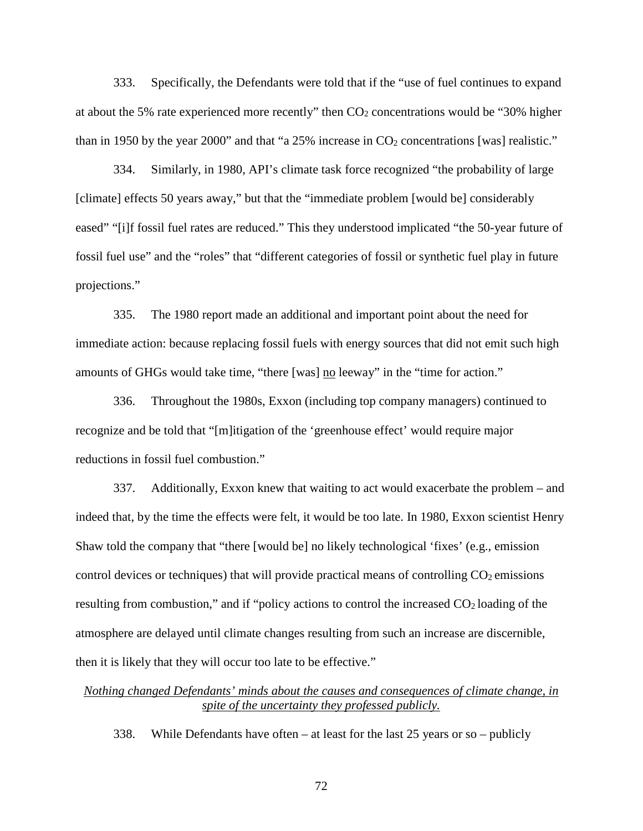333. Specifically, the Defendants were told that if the "use of fuel continues to expand at about the 5% rate experienced more recently" then  $CO<sub>2</sub>$  concentrations would be "30% higher than in 1950 by the year 2000" and that "a 25% increase in  $CO_2$  concentrations [was] realistic."

334. Similarly, in 1980, API's climate task force recognized "the probability of large [climate] effects 50 years away," but that the "immediate problem [would be] considerably eased" "[i]f fossil fuel rates are reduced." This they understood implicated "the 50-year future of fossil fuel use" and the "roles" that "different categories of fossil or synthetic fuel play in future projections."

335. The 1980 report made an additional and important point about the need for immediate action: because replacing fossil fuels with energy sources that did not emit such high amounts of GHGs would take time, "there [was] no leeway" in the "time for action."

336. Throughout the 1980s, Exxon (including top company managers) continued to recognize and be told that "[m]itigation of the 'greenhouse effect' would require major reductions in fossil fuel combustion."

337. Additionally, Exxon knew that waiting to act would exacerbate the problem – and indeed that, by the time the effects were felt, it would be too late. In 1980, Exxon scientist Henry Shaw told the company that "there [would be] no likely technological 'fixes' (e.g., emission control devices or techniques) that will provide practical means of controlling  $CO<sub>2</sub>$  emissions resulting from combustion," and if "policy actions to control the increased CO2 loading of the atmosphere are delayed until climate changes resulting from such an increase are discernible, then it is likely that they will occur too late to be effective."

# *Nothing changed Defendants' minds about the causes and consequences of climate change, in spite of the uncertainty they professed publicly.*

338. While Defendants have often – at least for the last 25 years or so – publicly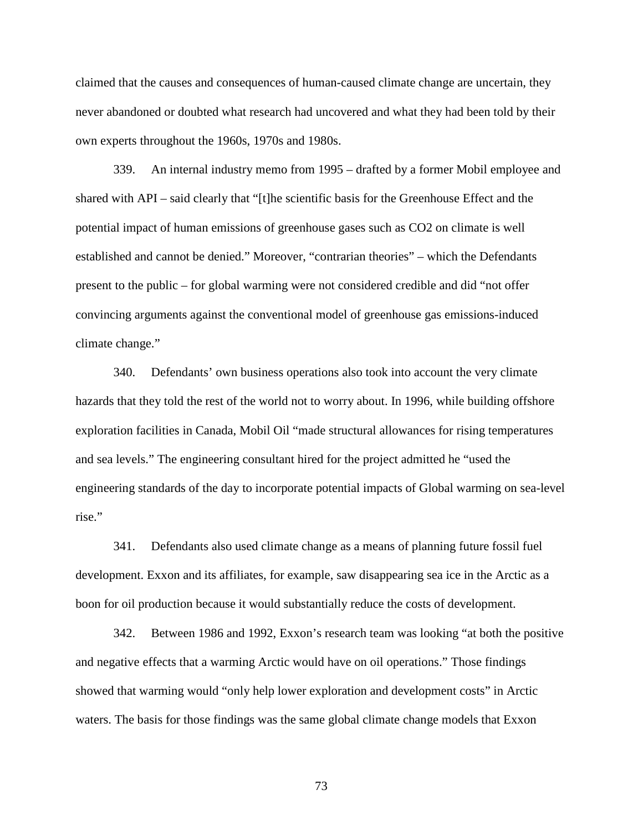claimed that the causes and consequences of human-caused climate change are uncertain, they never abandoned or doubted what research had uncovered and what they had been told by their own experts throughout the 1960s, 1970s and 1980s.

339. An internal industry memo from 1995 – drafted by a former Mobil employee and shared with API – said clearly that "[t]he scientific basis for the Greenhouse Effect and the potential impact of human emissions of greenhouse gases such as CO2 on climate is well established and cannot be denied." Moreover, "contrarian theories" – which the Defendants present to the public – for global warming were not considered credible and did "not offer convincing arguments against the conventional model of greenhouse gas emissions-induced climate change."

340. Defendants' own business operations also took into account the very climate hazards that they told the rest of the world not to worry about. In 1996, while building offshore exploration facilities in Canada, Mobil Oil "made structural allowances for rising temperatures and sea levels." The engineering consultant hired for the project admitted he "used the engineering standards of the day to incorporate potential impacts of Global warming on sea-level rise."

341. Defendants also used climate change as a means of planning future fossil fuel development. Exxon and its affiliates, for example, saw disappearing sea ice in the Arctic as a boon for oil production because it would substantially reduce the costs of development.

342. Between 1986 and 1992, Exxon's research team was looking "at both the positive and negative effects that a warming Arctic would have on oil operations." Those findings showed that warming would "only help lower exploration and development costs" in Arctic waters. The basis for those findings was the same global climate change models that Exxon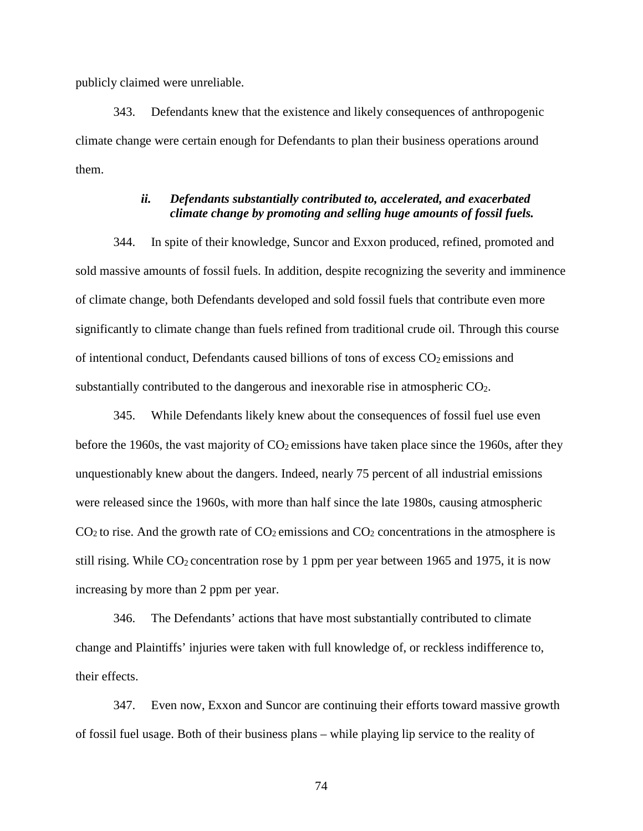publicly claimed were unreliable.

343. Defendants knew that the existence and likely consequences of anthropogenic climate change were certain enough for Defendants to plan their business operations around them.

## *ii. Defendants substantially contributed to, accelerated, and exacerbated climate change by promoting and selling huge amounts of fossil fuels.*

344. In spite of their knowledge, Suncor and Exxon produced, refined, promoted and sold massive amounts of fossil fuels. In addition, despite recognizing the severity and imminence of climate change, both Defendants developed and sold fossil fuels that contribute even more significantly to climate change than fuels refined from traditional crude oil. Through this course of intentional conduct, Defendants caused billions of tons of excess  $CO<sub>2</sub>$  emissions and substantially contributed to the dangerous and inexorable rise in atmospheric CO2.

345. While Defendants likely knew about the consequences of fossil fuel use even before the 1960s, the vast majority of  $CO<sub>2</sub>$  emissions have taken place since the 1960s, after they unquestionably knew about the dangers. Indeed, nearly 75 percent of all industrial emissions were released since the 1960s, with more than half since the late 1980s, causing atmospheric  $CO<sub>2</sub>$  to rise. And the growth rate of  $CO<sub>2</sub>$  emissions and  $CO<sub>2</sub>$  concentrations in the atmosphere is still rising. While  $CO_2$  concentration rose by 1 ppm per year between 1965 and 1975, it is now increasing by more than 2 ppm per year.

346. The Defendants' actions that have most substantially contributed to climate change and Plaintiffs' injuries were taken with full knowledge of, or reckless indifference to, their effects.

347. Even now, Exxon and Suncor are continuing their efforts toward massive growth of fossil fuel usage. Both of their business plans – while playing lip service to the reality of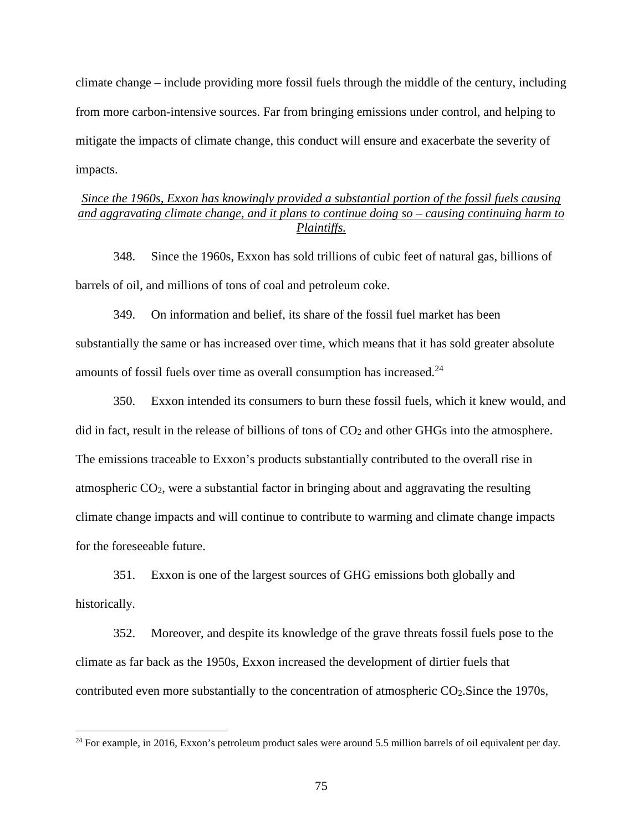climate change – include providing more fossil fuels through the middle of the century, including from more carbon-intensive sources. Far from bringing emissions under control, and helping to mitigate the impacts of climate change, this conduct will ensure and exacerbate the severity of impacts.

# *Since the 1960s, Exxon has knowingly provided a substantial portion of the fossil fuels causing and aggravating climate change, and it plans to continue doing so – causing continuing harm to Plaintiffs.*

348. Since the 1960s, Exxon has sold trillions of cubic feet of natural gas, billions of barrels of oil, and millions of tons of coal and petroleum coke.

349. On information and belief, its share of the fossil fuel market has been substantially the same or has increased over time, which means that it has sold greater absolute amounts of fossil fuels over time as overall consumption has increased.<sup>24</sup>

350. Exxon intended its consumers to burn these fossil fuels, which it knew would, and did in fact, result in the release of billions of tons of  $CO<sub>2</sub>$  and other GHGs into the atmosphere. The emissions traceable to Exxon's products substantially contributed to the overall rise in atmospheric CO2, were a substantial factor in bringing about and aggravating the resulting climate change impacts and will continue to contribute to warming and climate change impacts for the foreseeable future.

351. Exxon is one of the largest sources of GHG emissions both globally and historically.

352. Moreover, and despite its knowledge of the grave threats fossil fuels pose to the climate as far back as the 1950s, Exxon increased the development of dirtier fuels that contributed even more substantially to the concentration of atmospheric  $CO<sub>2</sub>$ . Since the 1970s,

 $\overline{a}$ 

<sup>&</sup>lt;sup>24</sup> For example, in 2016, Exxon's petroleum product sales were around 5.5 million barrels of oil equivalent per day.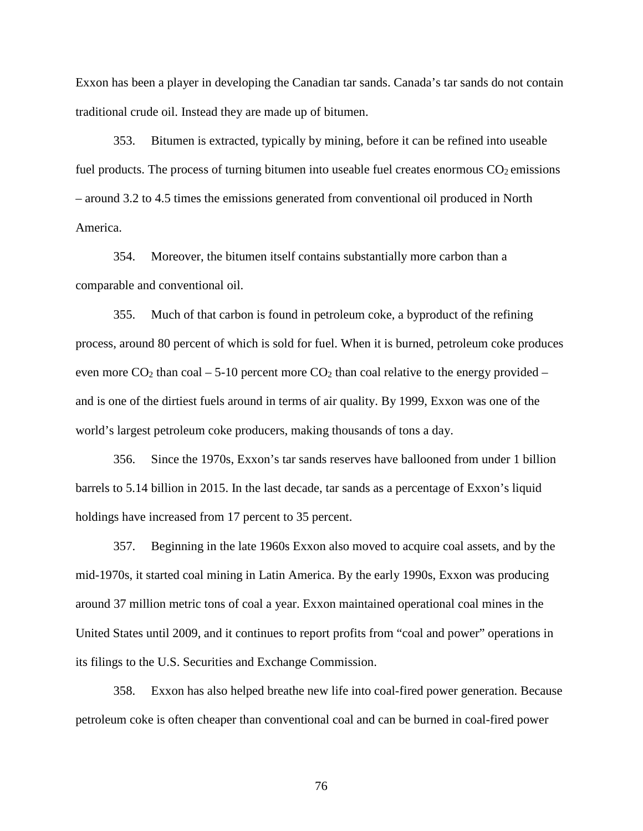Exxon has been a player in developing the Canadian tar sands. Canada's tar sands do not contain traditional crude oil. Instead they are made up of bitumen.

353. Bitumen is extracted, typically by mining, before it can be refined into useable fuel products. The process of turning bitumen into useable fuel creates enormous  $CO<sub>2</sub>$  emissions – around 3.2 to 4.5 times the emissions generated from conventional oil produced in North America.

354. Moreover, the bitumen itself contains substantially more carbon than a comparable and conventional oil.

355. Much of that carbon is found in petroleum coke, a byproduct of the refining process, around 80 percent of which is sold for fuel. When it is burned, petroleum coke produces even more  $CO_2$  than coal – 5-10 percent more  $CO_2$  than coal relative to the energy provided – and is one of the dirtiest fuels around in terms of air quality. By 1999, Exxon was one of the world's largest petroleum coke producers, making thousands of tons a day.

356. Since the 1970s, Exxon's tar sands reserves have ballooned from under 1 billion barrels to 5.14 billion in 2015. In the last decade, tar sands as a percentage of Exxon's liquid holdings have increased from 17 percent to 35 percent.

357. Beginning in the late 1960s Exxon also moved to acquire coal assets, and by the mid-1970s, it started coal mining in Latin America. By the early 1990s, Exxon was producing around 37 million metric tons of coal a year. Exxon maintained operational coal mines in the United States until 2009, and it continues to report profits from "coal and power" operations in its filings to the U.S. Securities and Exchange Commission.

358. Exxon has also helped breathe new life into coal-fired power generation. Because petroleum coke is often cheaper than conventional coal and can be burned in coal-fired power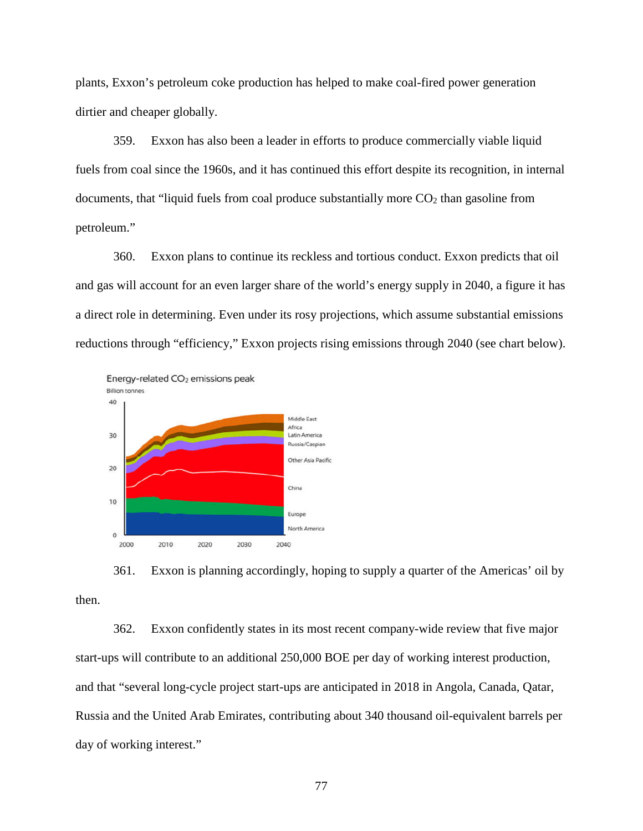plants, Exxon's petroleum coke production has helped to make coal-fired power generation dirtier and cheaper globally.

359. Exxon has also been a leader in efforts to produce commercially viable liquid fuels from coal since the 1960s, and it has continued this effort despite its recognition, in internal documents, that "liquid fuels from coal produce substantially more  $CO<sub>2</sub>$  than gasoline from petroleum."

360. Exxon plans to continue its reckless and tortious conduct. Exxon predicts that oil and gas will account for an even larger share of the world's energy supply in 2040, a figure it has a direct role in determining. Even under its rosy projections, which assume substantial emissions reductions through "efficiency," Exxon projects rising emissions through 2040 (see chart below).



361. Exxon is planning accordingly, hoping to supply a quarter of the Americas' oil by then.

362. Exxon confidently states in its most recent company-wide review that five major start-ups will contribute to an additional 250,000 BOE per day of working interest production, and that "several long-cycle project start-ups are anticipated in 2018 in Angola, Canada, Qatar, Russia and the United Arab Emirates, contributing about 340 thousand oil-equivalent barrels per day of working interest."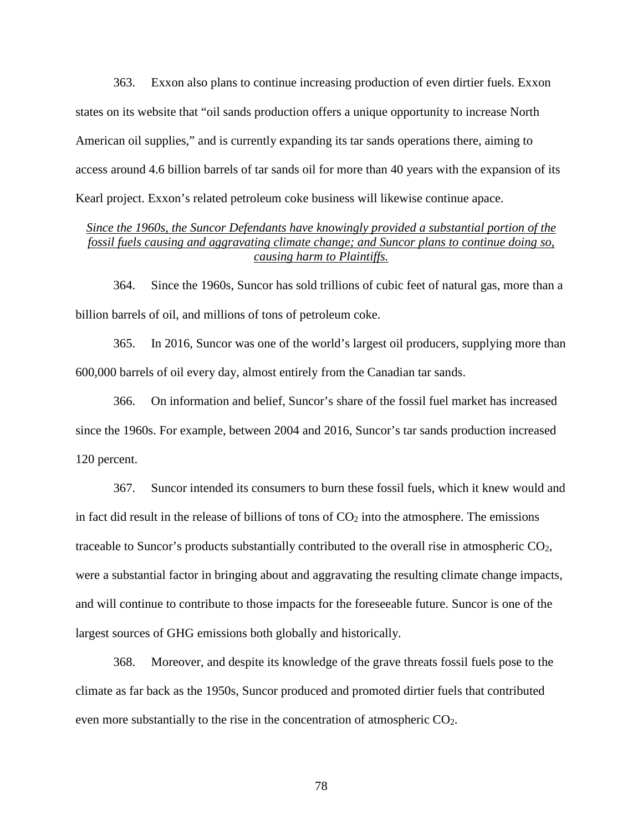363. Exxon also plans to continue increasing production of even dirtier fuels. Exxon states on its website that "oil sands production offers a unique opportunity to increase North American oil supplies," and is currently expanding its tar sands operations there, aiming to access around 4.6 billion barrels of tar sands oil for more than 40 years with the expansion of its Kearl project. Exxon's related petroleum coke business will likewise continue apace.

# *Since the 1960s, the Suncor Defendants have knowingly provided a substantial portion of the fossil fuels causing and aggravating climate change; and Suncor plans to continue doing so, causing harm to Plaintiffs.*

364. Since the 1960s, Suncor has sold trillions of cubic feet of natural gas, more than a billion barrels of oil, and millions of tons of petroleum coke.

365. In 2016, Suncor was one of the world's largest oil producers, supplying more than 600,000 barrels of oil every day, almost entirely from the Canadian tar sands.

366. On information and belief, Suncor's share of the fossil fuel market has increased since the 1960s. For example, between 2004 and 2016, Suncor's tar sands production increased 120 percent.

367. Suncor intended its consumers to burn these fossil fuels, which it knew would and in fact did result in the release of billions of tons of  $CO<sub>2</sub>$  into the atmosphere. The emissions traceable to Suncor's products substantially contributed to the overall rise in atmospheric  $CO<sub>2</sub>$ , were a substantial factor in bringing about and aggravating the resulting climate change impacts, and will continue to contribute to those impacts for the foreseeable future. Suncor is one of the largest sources of GHG emissions both globally and historically.

368. Moreover, and despite its knowledge of the grave threats fossil fuels pose to the climate as far back as the 1950s, Suncor produced and promoted dirtier fuels that contributed even more substantially to the rise in the concentration of atmospheric  $CO<sub>2</sub>$ .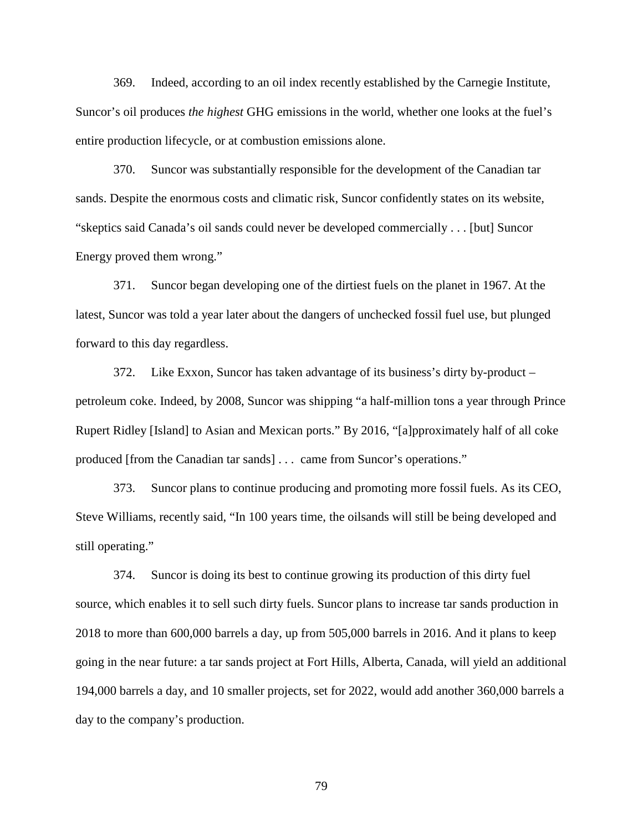369. Indeed, according to an oil index recently established by the Carnegie Institute, Suncor's oil produces *the highest* GHG emissions in the world, whether one looks at the fuel's entire production lifecycle, or at combustion emissions alone.

370. Suncor was substantially responsible for the development of the Canadian tar sands. Despite the enormous costs and climatic risk, Suncor confidently states on its website, "skeptics said Canada's oil sands could never be developed commercially . . . [but] Suncor Energy proved them wrong."

371. Suncor began developing one of the dirtiest fuels on the planet in 1967. At the latest, Suncor was told a year later about the dangers of unchecked fossil fuel use, but plunged forward to this day regardless.

372. Like Exxon, Suncor has taken advantage of its business's dirty by-product – petroleum coke. Indeed, by 2008, Suncor was shipping "a half-million tons a year through Prince Rupert Ridley [Island] to Asian and Mexican ports." By 2016, "[a]pproximately half of all coke produced [from the Canadian tar sands] . . . came from Suncor's operations."

373. Suncor plans to continue producing and promoting more fossil fuels. As its CEO, Steve Williams, recently said, "In 100 years time, the oilsands will still be being developed and still operating."

374. Suncor is doing its best to continue growing its production of this dirty fuel source, which enables it to sell such dirty fuels. Suncor plans to increase tar sands production in 2018 to more than 600,000 barrels a day, up from 505,000 barrels in 2016. And it plans to keep going in the near future: a tar sands project at Fort Hills, Alberta, Canada, will yield an additional 194,000 barrels a day, and 10 smaller projects, set for 2022, would add another 360,000 barrels a day to the company's production.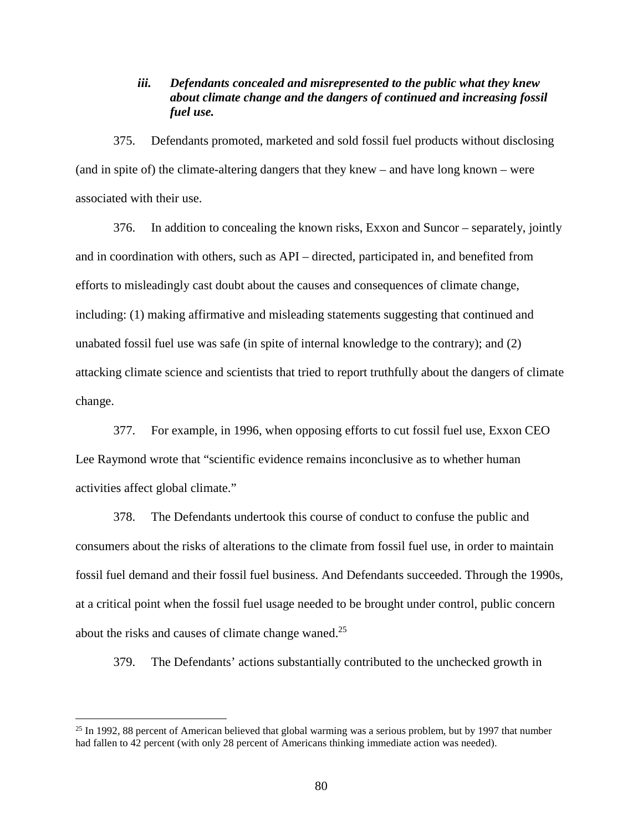# *iii. Defendants concealed and misrepresented to the public what they knew about climate change and the dangers of continued and increasing fossil fuel use.*

375. Defendants promoted, marketed and sold fossil fuel products without disclosing (and in spite of) the climate-altering dangers that they knew – and have long known – were associated with their use.

376. In addition to concealing the known risks, Exxon and Suncor – separately, jointly and in coordination with others, such as API – directed, participated in, and benefited from efforts to misleadingly cast doubt about the causes and consequences of climate change, including: (1) making affirmative and misleading statements suggesting that continued and unabated fossil fuel use was safe (in spite of internal knowledge to the contrary); and (2) attacking climate science and scientists that tried to report truthfully about the dangers of climate change.

377. For example, in 1996, when opposing efforts to cut fossil fuel use, Exxon CEO Lee Raymond wrote that "scientific evidence remains inconclusive as to whether human activities affect global climate."

378. The Defendants undertook this course of conduct to confuse the public and consumers about the risks of alterations to the climate from fossil fuel use, in order to maintain fossil fuel demand and their fossil fuel business. And Defendants succeeded. Through the 1990s, at a critical point when the fossil fuel usage needed to be brought under control, public concern about the risks and causes of climate change waned.<sup>25</sup>

379. The Defendants' actions substantially contributed to the unchecked growth in

 $\overline{a}$ 

<sup>&</sup>lt;sup>25</sup> In 1992, 88 percent of American believed that global warming was a serious problem, but by 1997 that number had fallen to 42 percent (with only 28 percent of Americans thinking immediate action was needed).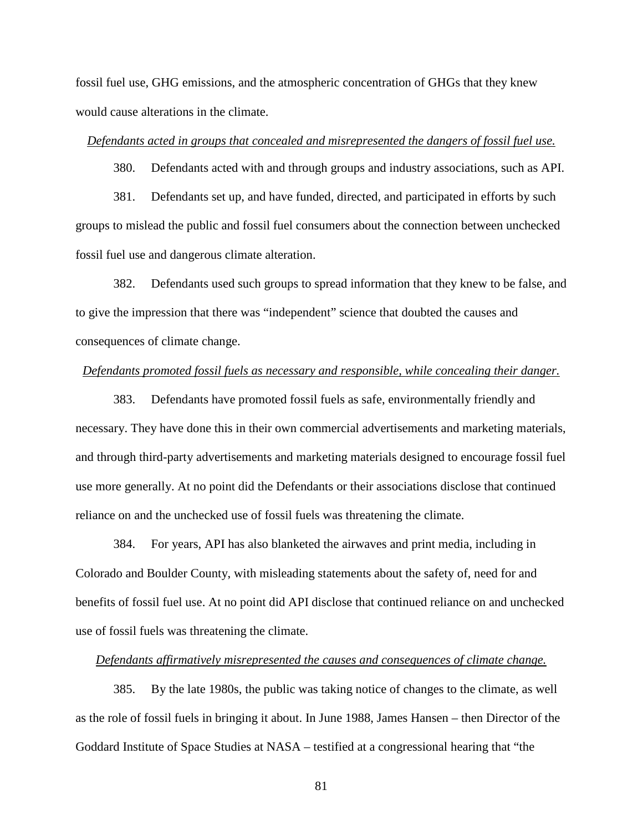fossil fuel use, GHG emissions, and the atmospheric concentration of GHGs that they knew would cause alterations in the climate.

### *Defendants acted in groups that concealed and misrepresented the dangers of fossil fuel use.*

380. Defendants acted with and through groups and industry associations, such as API.

381. Defendants set up, and have funded, directed, and participated in efforts by such groups to mislead the public and fossil fuel consumers about the connection between unchecked fossil fuel use and dangerous climate alteration.

382. Defendants used such groups to spread information that they knew to be false, and to give the impression that there was "independent" science that doubted the causes and consequences of climate change.

### *Defendants promoted fossil fuels as necessary and responsible, while concealing their danger.*

383. Defendants have promoted fossil fuels as safe, environmentally friendly and necessary. They have done this in their own commercial advertisements and marketing materials, and through third-party advertisements and marketing materials designed to encourage fossil fuel use more generally. At no point did the Defendants or their associations disclose that continued reliance on and the unchecked use of fossil fuels was threatening the climate.

384. For years, API has also blanketed the airwaves and print media, including in Colorado and Boulder County, with misleading statements about the safety of, need for and benefits of fossil fuel use. At no point did API disclose that continued reliance on and unchecked use of fossil fuels was threatening the climate.

### *Defendants affirmatively misrepresented the causes and consequences of climate change.*

385. By the late 1980s, the public was taking notice of changes to the climate, as well as the role of fossil fuels in bringing it about. In June 1988, James Hansen – then Director of the Goddard Institute of Space Studies at NASA – testified at a congressional hearing that "the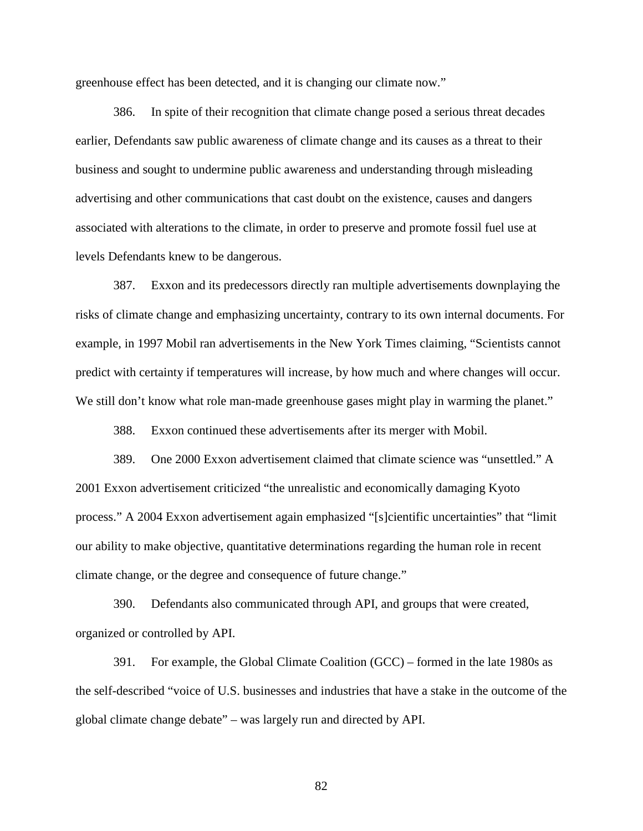greenhouse effect has been detected, and it is changing our climate now."

386. In spite of their recognition that climate change posed a serious threat decades earlier, Defendants saw public awareness of climate change and its causes as a threat to their business and sought to undermine public awareness and understanding through misleading advertising and other communications that cast doubt on the existence, causes and dangers associated with alterations to the climate, in order to preserve and promote fossil fuel use at levels Defendants knew to be dangerous.

387. Exxon and its predecessors directly ran multiple advertisements downplaying the risks of climate change and emphasizing uncertainty, contrary to its own internal documents. For example, in 1997 Mobil ran advertisements in the New York Times claiming, "Scientists cannot predict with certainty if temperatures will increase, by how much and where changes will occur. We still don't know what role man-made greenhouse gases might play in warming the planet."

388. Exxon continued these advertisements after its merger with Mobil.

389. One 2000 Exxon advertisement claimed that climate science was "unsettled." A 2001 Exxon advertisement criticized "the unrealistic and economically damaging Kyoto process." A 2004 Exxon advertisement again emphasized "[s]cientific uncertainties" that "limit our ability to make objective, quantitative determinations regarding the human role in recent climate change, or the degree and consequence of future change."

390. Defendants also communicated through API, and groups that were created, organized or controlled by API.

391. For example, the Global Climate Coalition (GCC) – formed in the late 1980s as the self-described "voice of U.S. businesses and industries that have a stake in the outcome of the global climate change debate" – was largely run and directed by API.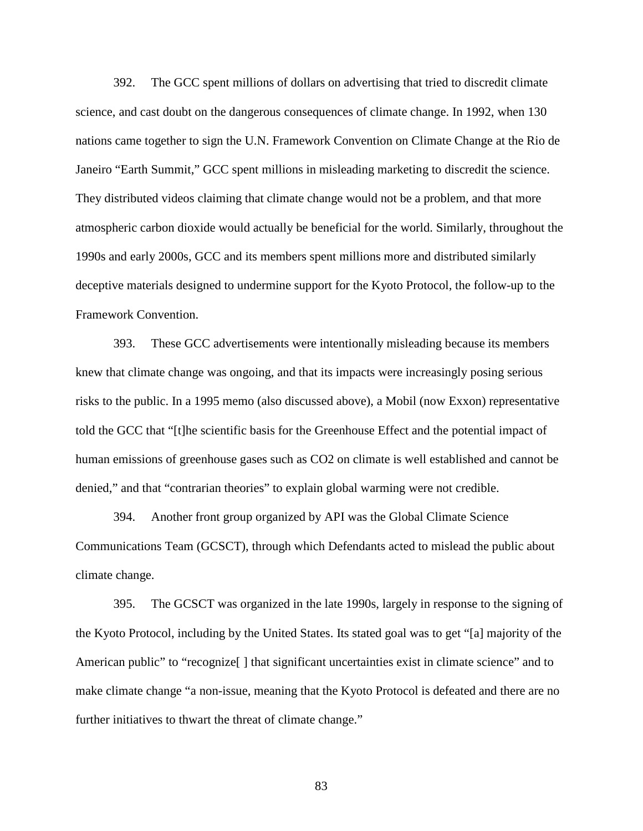392. The GCC spent millions of dollars on advertising that tried to discredit climate science, and cast doubt on the dangerous consequences of climate change. In 1992, when 130 nations came together to sign the U.N. Framework Convention on Climate Change at the Rio de Janeiro "Earth Summit," GCC spent millions in misleading marketing to discredit the science. They distributed videos claiming that climate change would not be a problem, and that more atmospheric carbon dioxide would actually be beneficial for the world. Similarly, throughout the 1990s and early 2000s, GCC and its members spent millions more and distributed similarly deceptive materials designed to undermine support for the Kyoto Protocol, the follow-up to the Framework Convention.

393. These GCC advertisements were intentionally misleading because its members knew that climate change was ongoing, and that its impacts were increasingly posing serious risks to the public. In a 1995 memo (also discussed above), a Mobil (now Exxon) representative told the GCC that "[t]he scientific basis for the Greenhouse Effect and the potential impact of human emissions of greenhouse gases such as CO2 on climate is well established and cannot be denied," and that "contrarian theories" to explain global warming were not credible.

394. Another front group organized by API was the Global Climate Science Communications Team (GCSCT), through which Defendants acted to mislead the public about climate change.

395. The GCSCT was organized in the late 1990s, largely in response to the signing of the Kyoto Protocol, including by the United States. Its stated goal was to get "[a] majority of the American public" to "recognize<sup>[]</sup> that significant uncertainties exist in climate science" and to make climate change "a non-issue, meaning that the Kyoto Protocol is defeated and there are no further initiatives to thwart the threat of climate change."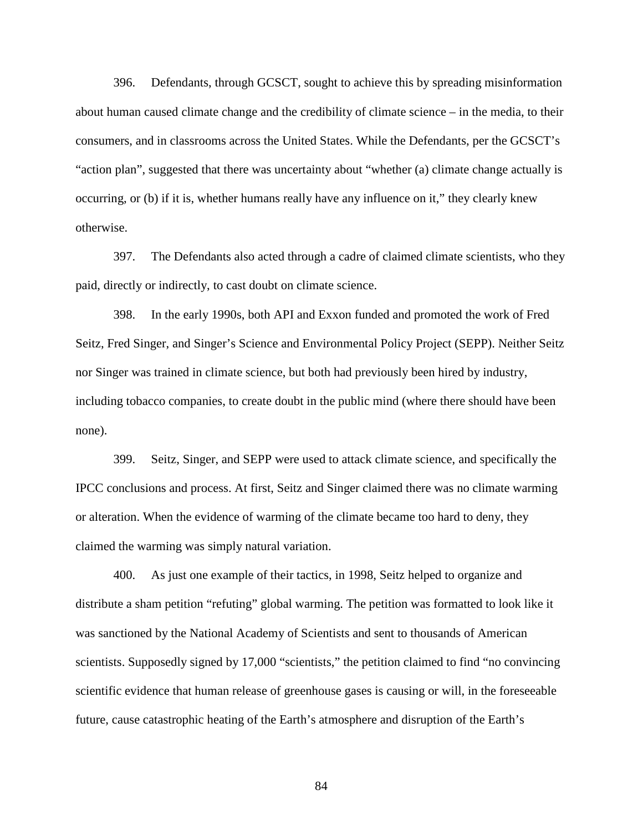396. Defendants, through GCSCT, sought to achieve this by spreading misinformation about human caused climate change and the credibility of climate science – in the media, to their consumers, and in classrooms across the United States. While the Defendants, per the GCSCT's "action plan", suggested that there was uncertainty about "whether (a) climate change actually is occurring, or (b) if it is, whether humans really have any influence on it," they clearly knew otherwise.

397. The Defendants also acted through a cadre of claimed climate scientists, who they paid, directly or indirectly, to cast doubt on climate science.

398. In the early 1990s, both API and Exxon funded and promoted the work of Fred Seitz, Fred Singer, and Singer's Science and Environmental Policy Project (SEPP). Neither Seitz nor Singer was trained in climate science, but both had previously been hired by industry, including tobacco companies, to create doubt in the public mind (where there should have been none).

399. Seitz, Singer, and SEPP were used to attack climate science, and specifically the IPCC conclusions and process. At first, Seitz and Singer claimed there was no climate warming or alteration. When the evidence of warming of the climate became too hard to deny, they claimed the warming was simply natural variation.

400. As just one example of their tactics, in 1998, Seitz helped to organize and distribute a sham petition "refuting" global warming. The petition was formatted to look like it was sanctioned by the National Academy of Scientists and sent to thousands of American scientists. Supposedly signed by 17,000 "scientists," the petition claimed to find "no convincing scientific evidence that human release of greenhouse gases is causing or will, in the foreseeable future, cause catastrophic heating of the Earth's atmosphere and disruption of the Earth's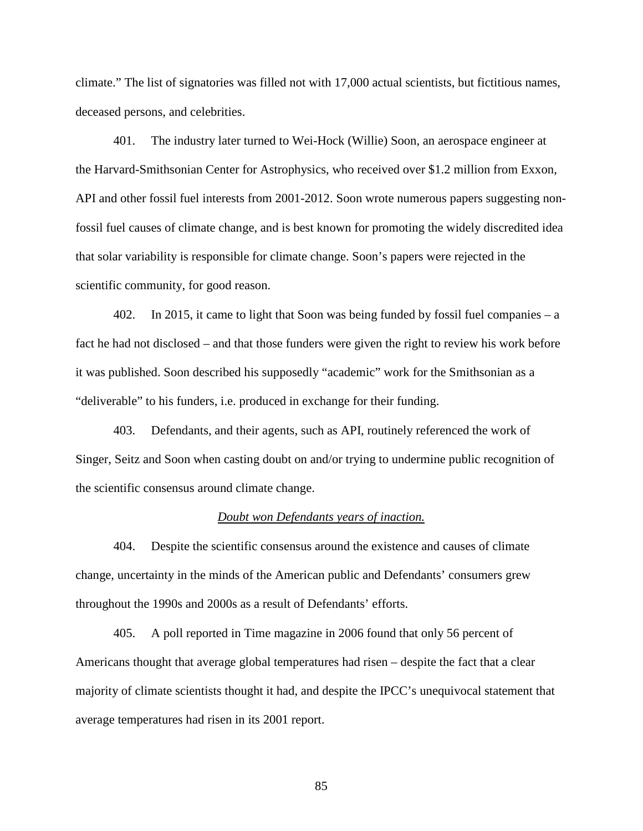climate." The list of signatories was filled not with 17,000 actual scientists, but fictitious names, deceased persons, and celebrities.

401. The industry later turned to Wei-Hock (Willie) Soon, an aerospace engineer at the Harvard-Smithsonian Center for Astrophysics, who received over \$1.2 million from Exxon, API and other fossil fuel interests from 2001-2012. Soon wrote numerous papers suggesting nonfossil fuel causes of climate change, and is best known for promoting the widely discredited idea that solar variability is responsible for climate change. Soon's papers were rejected in the scientific community, for good reason.

402. In 2015, it came to light that Soon was being funded by fossil fuel companies – a fact he had not disclosed – and that those funders were given the right to review his work before it was published. Soon described his supposedly "academic" work for the Smithsonian as a "deliverable" to his funders, i.e. produced in exchange for their funding.

403. Defendants, and their agents, such as API, routinely referenced the work of Singer, Seitz and Soon when casting doubt on and/or trying to undermine public recognition of the scientific consensus around climate change.

### *Doubt won Defendants years of inaction.*

404. Despite the scientific consensus around the existence and causes of climate change, uncertainty in the minds of the American public and Defendants' consumers grew throughout the 1990s and 2000s as a result of Defendants' efforts.

405. A poll reported in Time magazine in 2006 found that only 56 percent of Americans thought that average global temperatures had risen – despite the fact that a clear majority of climate scientists thought it had, and despite the IPCC's unequivocal statement that average temperatures had risen in its 2001 report.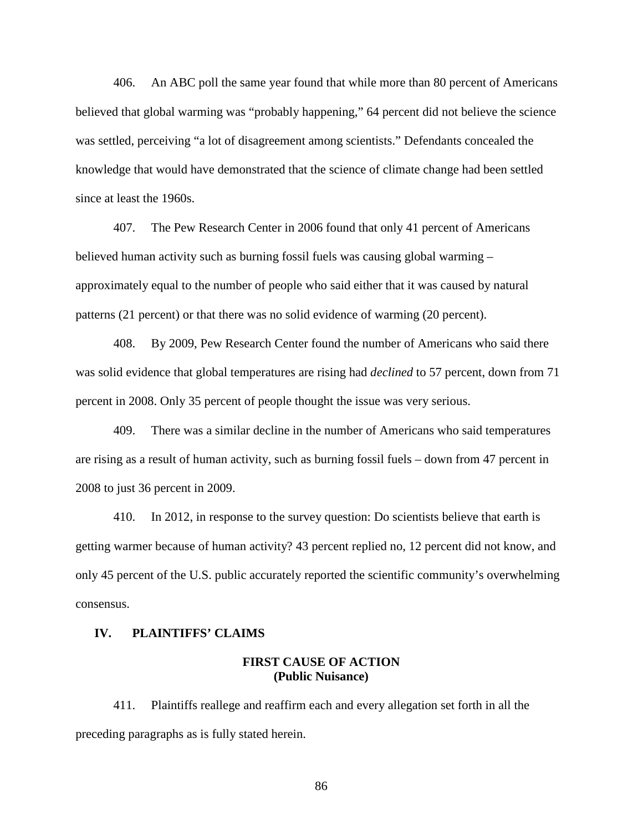406. An ABC poll the same year found that while more than 80 percent of Americans believed that global warming was "probably happening," 64 percent did not believe the science was settled, perceiving "a lot of disagreement among scientists." Defendants concealed the knowledge that would have demonstrated that the science of climate change had been settled since at least the 1960s.

407. The Pew Research Center in 2006 found that only 41 percent of Americans believed human activity such as burning fossil fuels was causing global warming – approximately equal to the number of people who said either that it was caused by natural patterns (21 percent) or that there was no solid evidence of warming (20 percent).

408. By 2009, Pew Research Center found the number of Americans who said there was solid evidence that global temperatures are rising had *declined* to 57 percent, down from 71 percent in 2008. Only 35 percent of people thought the issue was very serious.

409. There was a similar decline in the number of Americans who said temperatures are rising as a result of human activity, such as burning fossil fuels – down from 47 percent in 2008 to just 36 percent in 2009.

410. In 2012, in response to the survey question: Do scientists believe that earth is getting warmer because of human activity? 43 percent replied no, 12 percent did not know, and only 45 percent of the U.S. public accurately reported the scientific community's overwhelming consensus.

### **IV. PLAINTIFFS' CLAIMS**

## **FIRST CAUSE OF ACTION (Public Nuisance)**

411. Plaintiffs reallege and reaffirm each and every allegation set forth in all the preceding paragraphs as is fully stated herein.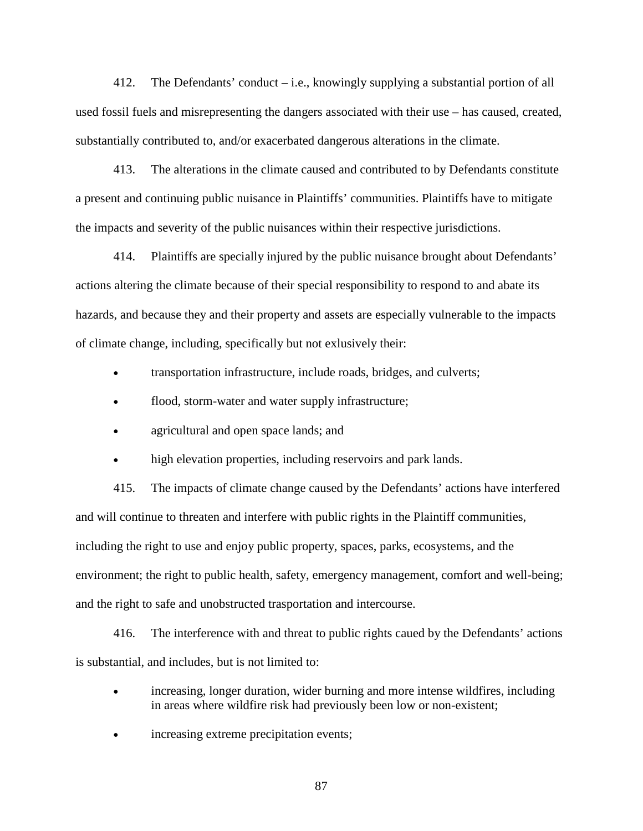412. The Defendants' conduct – i.e., knowingly supplying a substantial portion of all used fossil fuels and misrepresenting the dangers associated with their use – has caused, created, substantially contributed to, and/or exacerbated dangerous alterations in the climate.

413. The alterations in the climate caused and contributed to by Defendants constitute a present and continuing public nuisance in Plaintiffs' communities. Plaintiffs have to mitigate the impacts and severity of the public nuisances within their respective jurisdictions.

414. Plaintiffs are specially injured by the public nuisance brought about Defendants' actions altering the climate because of their special responsibility to respond to and abate its hazards, and because they and their property and assets are especially vulnerable to the impacts of climate change, including, specifically but not exlusively their:

- transportation infrastructure, include roads, bridges, and culverts;
- flood, storm-water and water supply infrastructure;
- agricultural and open space lands; and
- high elevation properties, including reservoirs and park lands.

415. The impacts of climate change caused by the Defendants' actions have interfered and will continue to threaten and interfere with public rights in the Plaintiff communities, including the right to use and enjoy public property, spaces, parks, ecosystems, and the environment; the right to public health, safety, emergency management, comfort and well-being; and the right to safe and unobstructed trasportation and intercourse.

416. The interference with and threat to public rights caued by the Defendants' actions is substantial, and includes, but is not limited to:

- increasing, longer duration, wider burning and more intense wildfires, including in areas where wildfire risk had previously been low or non-existent;
- increasing extreme precipitation events;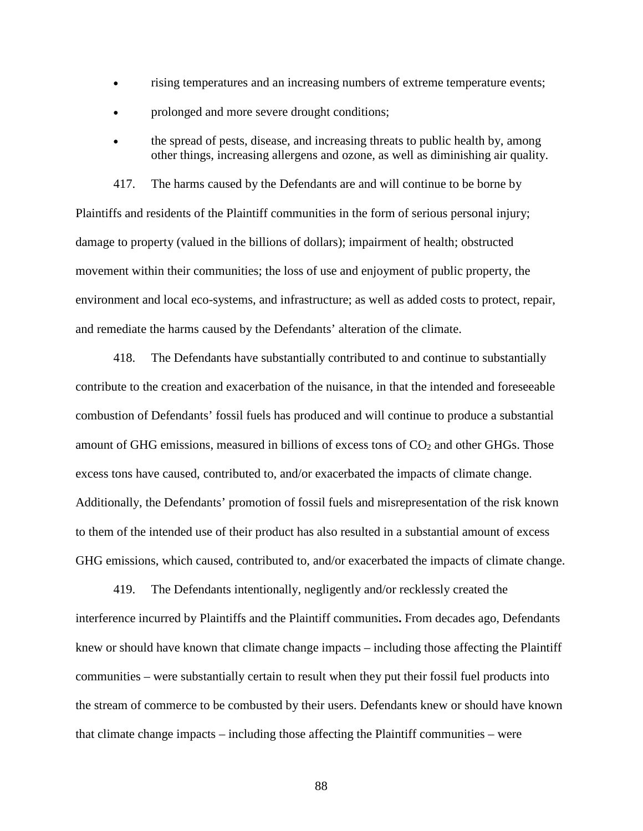- rising temperatures and an increasing numbers of extreme temperature events;
- prolonged and more severe drought conditions;
- the spread of pests, disease, and increasing threats to public health by, among other things, increasing allergens and ozone, as well as diminishing air quality.

417. The harms caused by the Defendants are and will continue to be borne by Plaintiffs and residents of the Plaintiff communities in the form of serious personal injury; damage to property (valued in the billions of dollars); impairment of health; obstructed movement within their communities; the loss of use and enjoyment of public property, the environment and local eco-systems, and infrastructure; as well as added costs to protect, repair, and remediate the harms caused by the Defendants' alteration of the climate.

418. The Defendants have substantially contributed to and continue to substantially contribute to the creation and exacerbation of the nuisance, in that the intended and foreseeable combustion of Defendants' fossil fuels has produced and will continue to produce a substantial amount of GHG emissions, measured in billions of excess tons of  $CO<sub>2</sub>$  and other GHGs. Those excess tons have caused, contributed to, and/or exacerbated the impacts of climate change. Additionally, the Defendants' promotion of fossil fuels and misrepresentation of the risk known to them of the intended use of their product has also resulted in a substantial amount of excess GHG emissions, which caused, contributed to, and/or exacerbated the impacts of climate change.

419. The Defendants intentionally, negligently and/or recklessly created the interference incurred by Plaintiffs and the Plaintiff communities**.** From decades ago, Defendants knew or should have known that climate change impacts – including those affecting the Plaintiff communities – were substantially certain to result when they put their fossil fuel products into the stream of commerce to be combusted by their users. Defendants knew or should have known that climate change impacts – including those affecting the Plaintiff communities – were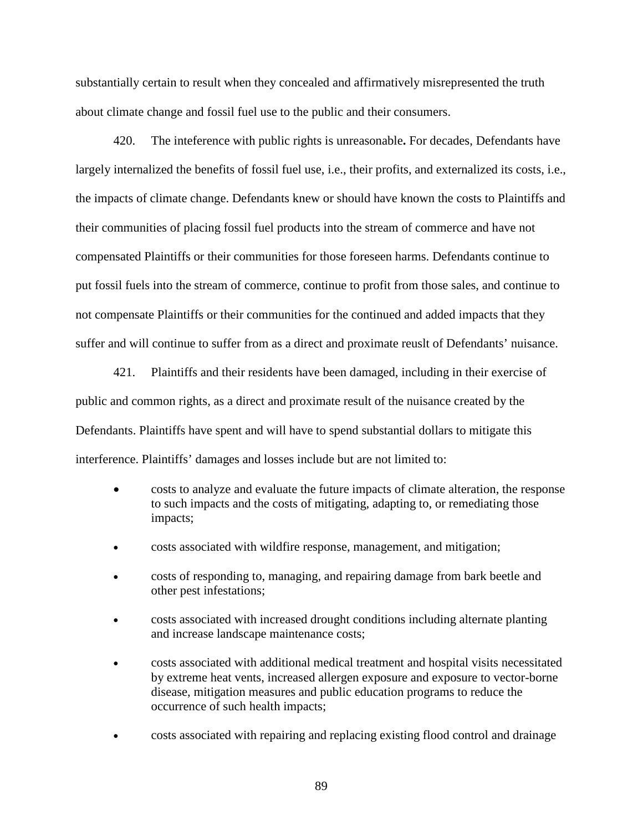substantially certain to result when they concealed and affirmatively misrepresented the truth about climate change and fossil fuel use to the public and their consumers.

420. The inteference with public rights is unreasonable**.** For decades, Defendants have largely internalized the benefits of fossil fuel use, i.e., their profits, and externalized its costs, i.e., the impacts of climate change. Defendants knew or should have known the costs to Plaintiffs and their communities of placing fossil fuel products into the stream of commerce and have not compensated Plaintiffs or their communities for those foreseen harms. Defendants continue to put fossil fuels into the stream of commerce, continue to profit from those sales, and continue to not compensate Plaintiffs or their communities for the continued and added impacts that they suffer and will continue to suffer from as a direct and proximate reuslt of Defendants' nuisance.

421. Plaintiffs and their residents have been damaged, including in their exercise of public and common rights, as a direct and proximate result of the nuisance created by the Defendants. Plaintiffs have spent and will have to spend substantial dollars to mitigate this interference. Plaintiffs' damages and losses include but are not limited to:

- costs to analyze and evaluate the future impacts of climate alteration, the response to such impacts and the costs of mitigating, adapting to, or remediating those impacts;
- costs associated with wildfire response, management, and mitigation;
- costs of responding to, managing, and repairing damage from bark beetle and other pest infestations;
- costs associated with increased drought conditions including alternate planting and increase landscape maintenance costs;
- costs associated with additional medical treatment and hospital visits necessitated by extreme heat vents, increased allergen exposure and exposure to vector-borne disease, mitigation measures and public education programs to reduce the occurrence of such health impacts;
- costs associated with repairing and replacing existing flood control and drainage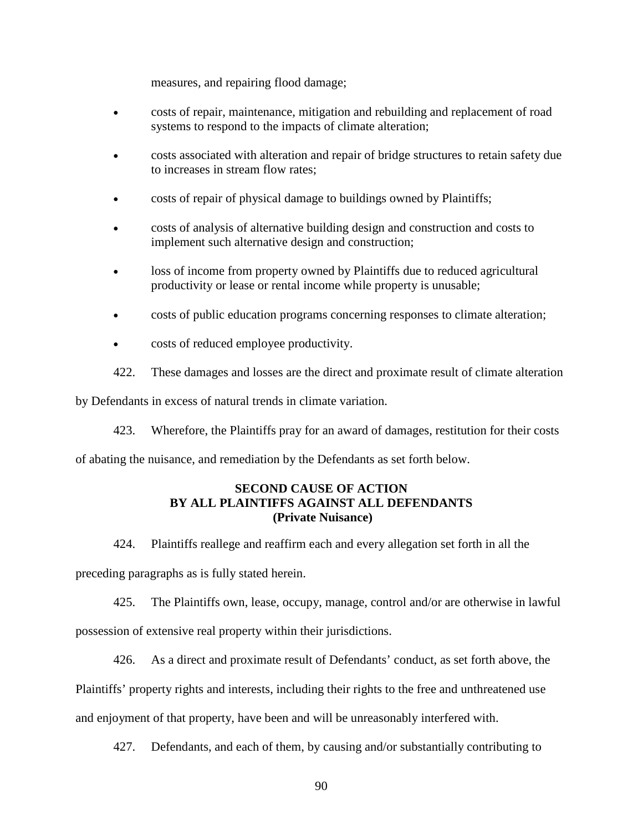measures, and repairing flood damage;

- costs of repair, maintenance, mitigation and rebuilding and replacement of road systems to respond to the impacts of climate alteration;
- costs associated with alteration and repair of bridge structures to retain safety due to increases in stream flow rates;
- costs of repair of physical damage to buildings owned by Plaintiffs;
- costs of analysis of alternative building design and construction and costs to implement such alternative design and construction;
- loss of income from property owned by Plaintiffs due to reduced agricultural productivity or lease or rental income while property is unusable;
- costs of public education programs concerning responses to climate alteration;
- costs of reduced employee productivity.
- 422. These damages and losses are the direct and proximate result of climate alteration

by Defendants in excess of natural trends in climate variation.

423. Wherefore, the Plaintiffs pray for an award of damages, restitution for their costs

of abating the nuisance, and remediation by the Defendants as set forth below.

# **SECOND CAUSE OF ACTION BY ALL PLAINTIFFS AGAINST ALL DEFENDANTS (Private Nuisance)**

424. Plaintiffs reallege and reaffirm each and every allegation set forth in all the

preceding paragraphs as is fully stated herein.

425. The Plaintiffs own, lease, occupy, manage, control and/or are otherwise in lawful possession of extensive real property within their jurisdictions.

426. As a direct and proximate result of Defendants' conduct, as set forth above, the Plaintiffs' property rights and interests, including their rights to the free and unthreatened use and enjoyment of that property, have been and will be unreasonably interfered with.

427. Defendants, and each of them, by causing and/or substantially contributing to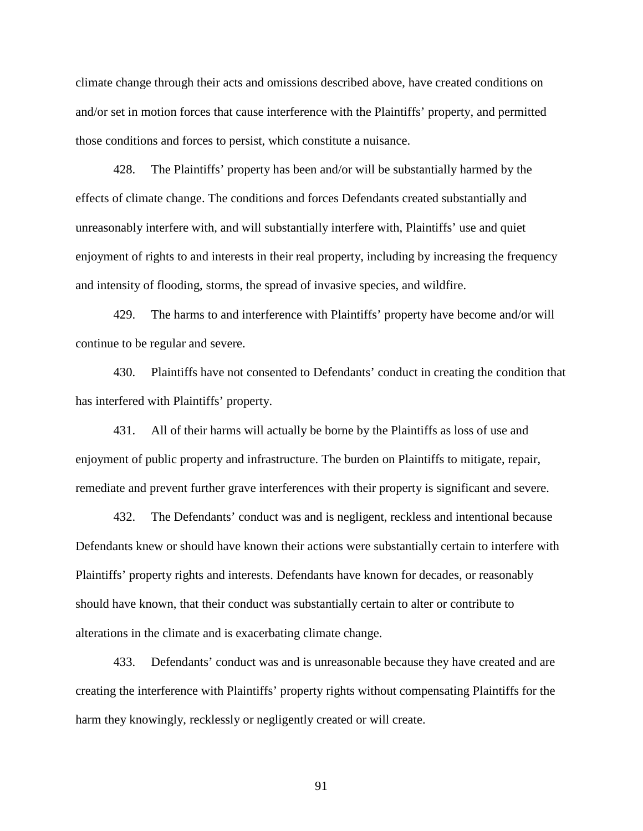climate change through their acts and omissions described above, have created conditions on and/or set in motion forces that cause interference with the Plaintiffs' property, and permitted those conditions and forces to persist, which constitute a nuisance.

428. The Plaintiffs' property has been and/or will be substantially harmed by the effects of climate change. The conditions and forces Defendants created substantially and unreasonably interfere with, and will substantially interfere with, Plaintiffs' use and quiet enjoyment of rights to and interests in their real property, including by increasing the frequency and intensity of flooding, storms, the spread of invasive species, and wildfire.

429. The harms to and interference with Plaintiffs' property have become and/or will continue to be regular and severe.

430. Plaintiffs have not consented to Defendants' conduct in creating the condition that has interfered with Plaintiffs' property.

431. All of their harms will actually be borne by the Plaintiffs as loss of use and enjoyment of public property and infrastructure. The burden on Plaintiffs to mitigate, repair, remediate and prevent further grave interferences with their property is significant and severe.

432. The Defendants' conduct was and is negligent, reckless and intentional because Defendants knew or should have known their actions were substantially certain to interfere with Plaintiffs' property rights and interests. Defendants have known for decades, or reasonably should have known, that their conduct was substantially certain to alter or contribute to alterations in the climate and is exacerbating climate change.

433. Defendants' conduct was and is unreasonable because they have created and are creating the interference with Plaintiffs' property rights without compensating Plaintiffs for the harm they knowingly, recklessly or negligently created or will create.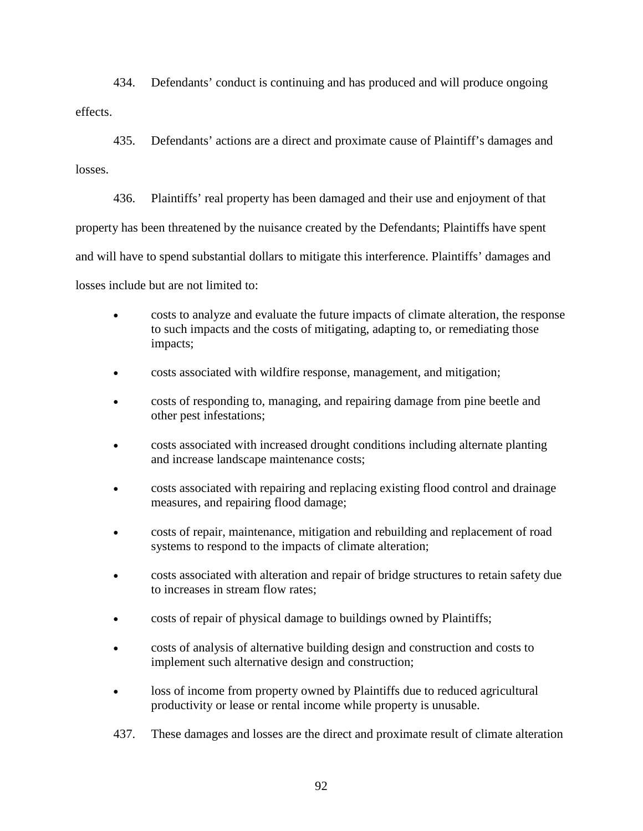434. Defendants' conduct is continuing and has produced and will produce ongoing effects.

435. Defendants' actions are a direct and proximate cause of Plaintiff's damages and losses.

436. Plaintiffs' real property has been damaged and their use and enjoyment of that property has been threatened by the nuisance created by the Defendants; Plaintiffs have spent and will have to spend substantial dollars to mitigate this interference. Plaintiffs' damages and losses include but are not limited to:

- costs to analyze and evaluate the future impacts of climate alteration, the response to such impacts and the costs of mitigating, adapting to, or remediating those impacts;
- costs associated with wildfire response, management, and mitigation;
- costs of responding to, managing, and repairing damage from pine beetle and other pest infestations;
- costs associated with increased drought conditions including alternate planting and increase landscape maintenance costs;
- costs associated with repairing and replacing existing flood control and drainage measures, and repairing flood damage;
- costs of repair, maintenance, mitigation and rebuilding and replacement of road systems to respond to the impacts of climate alteration;
- costs associated with alteration and repair of bridge structures to retain safety due to increases in stream flow rates;
- costs of repair of physical damage to buildings owned by Plaintiffs;
- costs of analysis of alternative building design and construction and costs to implement such alternative design and construction;
- loss of income from property owned by Plaintiffs due to reduced agricultural productivity or lease or rental income while property is unusable.
- 437. These damages and losses are the direct and proximate result of climate alteration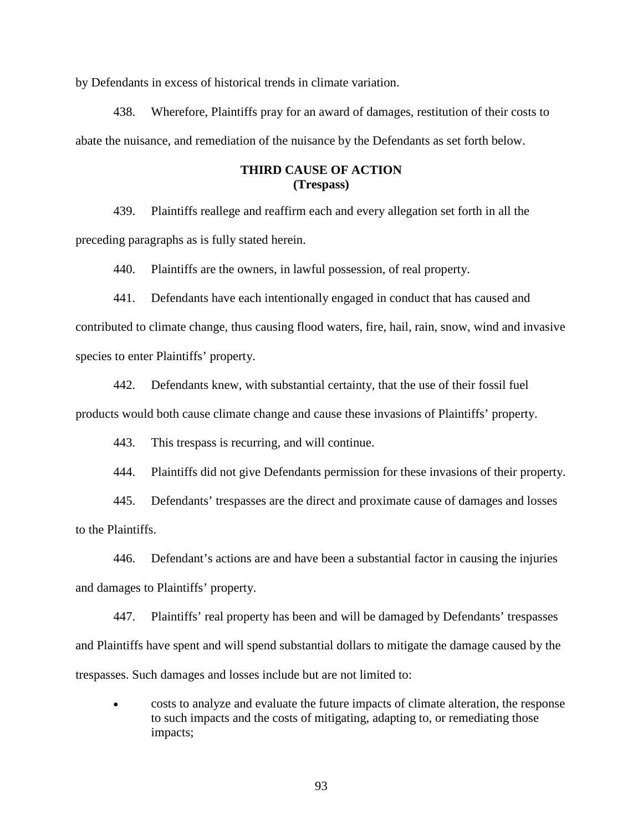by Defendants in excess of historical trends in climate variation.

438. Wherefore, Plaintiffs pray for an award of damages, restitution of their costs to abate the nuisance, and remediation of the nuisance by the Defendants as set forth below.

## **THIRD CAUSE OF ACTION (Trespass)**

439. Plaintiffs reallege and reaffirm each and every allegation set forth in all the preceding paragraphs as is fully stated herein.

440. Plaintiffs are the owners, in lawful possession, of real property.

441. Defendants have each intentionally engaged in conduct that has caused and contributed to climate change, thus causing flood waters, fire, hail, rain, snow, wind and invasive species to enter Plaintiffs' property.

442. Defendants knew, with substantial certainty, that the use of their fossil fuel products would both cause climate change and cause these invasions of Plaintiffs' property.

443. This trespass is recurring, and will continue.

444. Plaintiffs did not give Defendants permission for these invasions of their property.

445. Defendants' trespasses are the direct and proximate cause of damages and losses to the Plaintiffs.

446. Defendant's actions are and have been a substantial factor in causing the injuries and damages to Plaintiffs' property.

447. Plaintiffs' real property has been and will be damaged by Defendants' trespasses and Plaintiffs have spent and will spend substantial dollars to mitigate the damage caused by the trespasses. Such damages and losses include but are not limited to:

• costs to analyze and evaluate the future impacts of climate alteration, the response to such impacts and the costs of mitigating, adapting to, or remediating those impacts;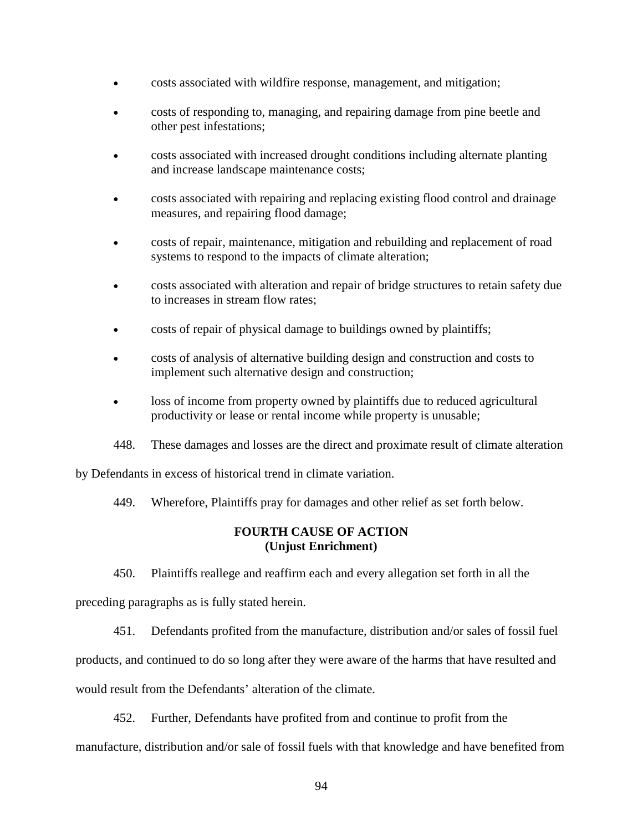- costs associated with wildfire response, management, and mitigation;
- costs of responding to, managing, and repairing damage from pine beetle and other pest infestations;
- costs associated with increased drought conditions including alternate planting and increase landscape maintenance costs;
- costs associated with repairing and replacing existing flood control and drainage measures, and repairing flood damage;
- costs of repair, maintenance, mitigation and rebuilding and replacement of road systems to respond to the impacts of climate alteration;
- costs associated with alteration and repair of bridge structures to retain safety due to increases in stream flow rates;
- costs of repair of physical damage to buildings owned by plaintiffs;
- costs of analysis of alternative building design and construction and costs to implement such alternative design and construction;
- loss of income from property owned by plaintiffs due to reduced agricultural productivity or lease or rental income while property is unusable;
- 448. These damages and losses are the direct and proximate result of climate alteration

by Defendants in excess of historical trend in climate variation.

449. Wherefore, Plaintiffs pray for damages and other relief as set forth below.

# **FOURTH CAUSE OF ACTION (Unjust Enrichment)**

450. Plaintiffs reallege and reaffirm each and every allegation set forth in all the

preceding paragraphs as is fully stated herein.

451. Defendants profited from the manufacture, distribution and/or sales of fossil fuel

products, and continued to do so long after they were aware of the harms that have resulted and

would result from the Defendants' alteration of the climate.

452. Further, Defendants have profited from and continue to profit from the

manufacture, distribution and/or sale of fossil fuels with that knowledge and have benefited from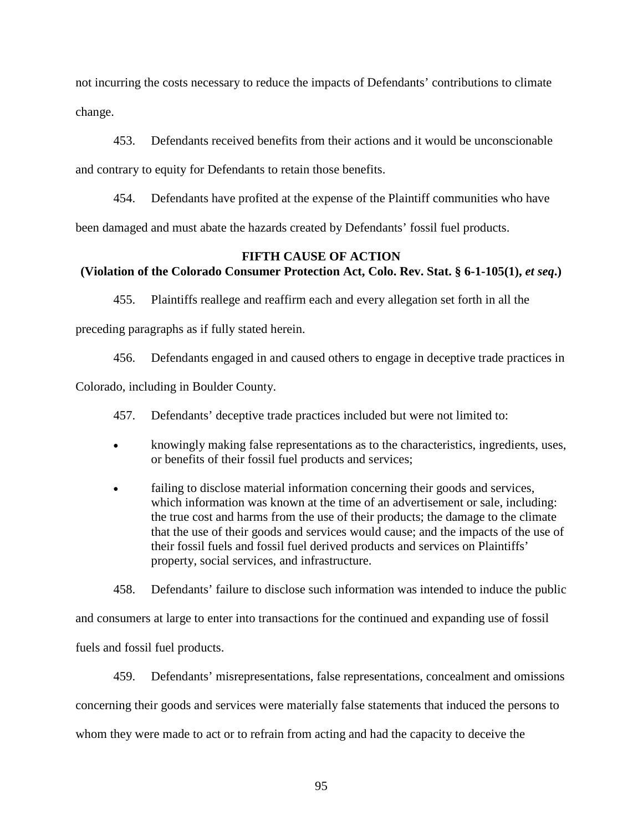not incurring the costs necessary to reduce the impacts of Defendants' contributions to climate change.

453. Defendants received benefits from their actions and it would be unconscionable and contrary to equity for Defendants to retain those benefits.

454. Defendants have profited at the expense of the Plaintiff communities who have been damaged and must abate the hazards created by Defendants' fossil fuel products.

# **FIFTH CAUSE OF ACTION (Violation of the Colorado Consumer Protection Act, Colo. Rev. Stat. § 6-1-105(1),** *et seq***.)**

455. Plaintiffs reallege and reaffirm each and every allegation set forth in all the

preceding paragraphs as if fully stated herein.

456. Defendants engaged in and caused others to engage in deceptive trade practices in

Colorado, including in Boulder County.

457. Defendants' deceptive trade practices included but were not limited to:

- knowingly making false representations as to the characteristics, ingredients, uses, or benefits of their fossil fuel products and services;
- failing to disclose material information concerning their goods and services, which information was known at the time of an advertisement or sale, including: the true cost and harms from the use of their products; the damage to the climate that the use of their goods and services would cause; and the impacts of the use of their fossil fuels and fossil fuel derived products and services on Plaintiffs' property, social services, and infrastructure.

458. Defendants' failure to disclose such information was intended to induce the public

and consumers at large to enter into transactions for the continued and expanding use of fossil

fuels and fossil fuel products.

459. Defendants' misrepresentations, false representations, concealment and omissions concerning their goods and services were materially false statements that induced the persons to whom they were made to act or to refrain from acting and had the capacity to deceive the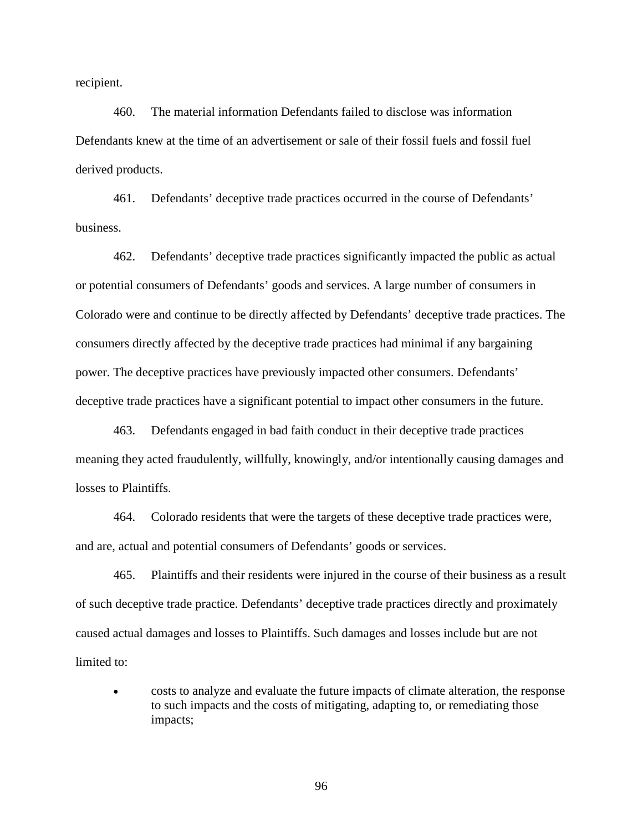recipient.

460. The material information Defendants failed to disclose was information Defendants knew at the time of an advertisement or sale of their fossil fuels and fossil fuel derived products.

461. Defendants' deceptive trade practices occurred in the course of Defendants' business.

462. Defendants' deceptive trade practices significantly impacted the public as actual or potential consumers of Defendants' goods and services. A large number of consumers in Colorado were and continue to be directly affected by Defendants' deceptive trade practices. The consumers directly affected by the deceptive trade practices had minimal if any bargaining power. The deceptive practices have previously impacted other consumers. Defendants' deceptive trade practices have a significant potential to impact other consumers in the future.

463. Defendants engaged in bad faith conduct in their deceptive trade practices meaning they acted fraudulently, willfully, knowingly, and/or intentionally causing damages and losses to Plaintiffs.

464. Colorado residents that were the targets of these deceptive trade practices were, and are, actual and potential consumers of Defendants' goods or services.

465. Plaintiffs and their residents were injured in the course of their business as a result of such deceptive trade practice. Defendants' deceptive trade practices directly and proximately caused actual damages and losses to Plaintiffs. Such damages and losses include but are not limited to:

• costs to analyze and evaluate the future impacts of climate alteration, the response to such impacts and the costs of mitigating, adapting to, or remediating those impacts;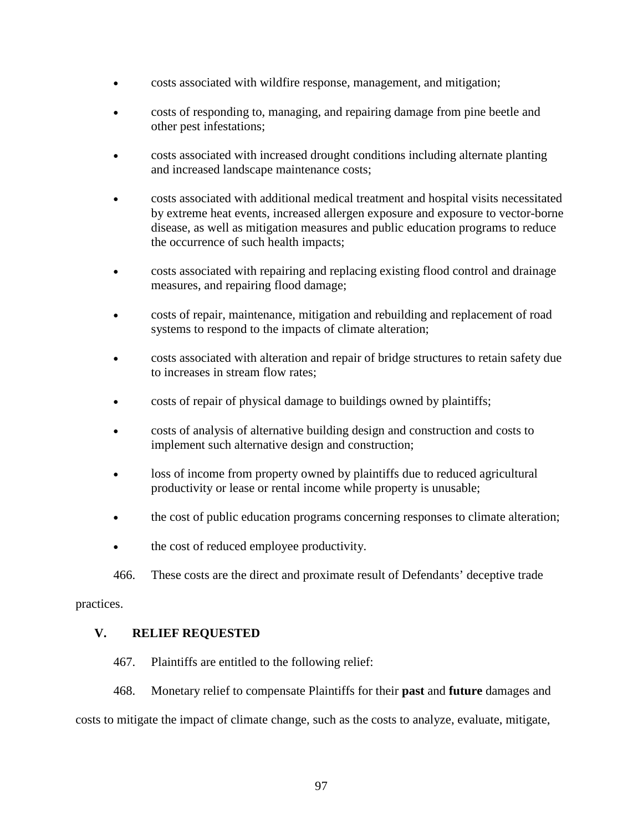- costs associated with wildfire response, management, and mitigation;
- costs of responding to, managing, and repairing damage from pine beetle and other pest infestations;
- costs associated with increased drought conditions including alternate planting and increased landscape maintenance costs;
- costs associated with additional medical treatment and hospital visits necessitated by extreme heat events, increased allergen exposure and exposure to vector-borne disease, as well as mitigation measures and public education programs to reduce the occurrence of such health impacts;
- costs associated with repairing and replacing existing flood control and drainage measures, and repairing flood damage;
- costs of repair, maintenance, mitigation and rebuilding and replacement of road systems to respond to the impacts of climate alteration;
- costs associated with alteration and repair of bridge structures to retain safety due to increases in stream flow rates;
- costs of repair of physical damage to buildings owned by plaintiffs;
- costs of analysis of alternative building design and construction and costs to implement such alternative design and construction;
- loss of income from property owned by plaintiffs due to reduced agricultural productivity or lease or rental income while property is unusable;
- the cost of public education programs concerning responses to climate alteration;
- the cost of reduced employee productivity.
- 466. These costs are the direct and proximate result of Defendants' deceptive trade

practices.

# **V. RELIEF REQUESTED**

- 467. Plaintiffs are entitled to the following relief:
- 468. Monetary relief to compensate Plaintiffs for their **past** and **future** damages and

costs to mitigate the impact of climate change, such as the costs to analyze, evaluate, mitigate,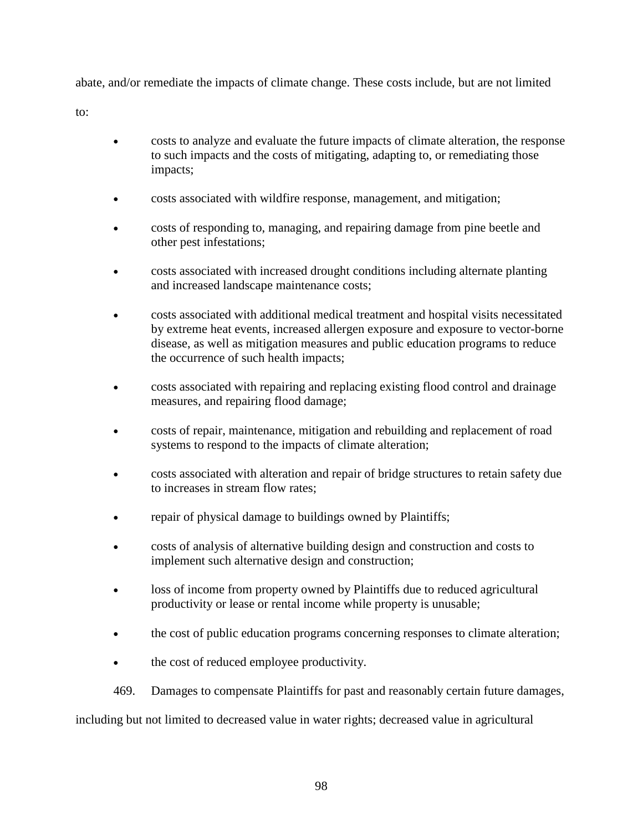abate, and/or remediate the impacts of climate change. These costs include, but are not limited

to:

- costs to analyze and evaluate the future impacts of climate alteration, the response to such impacts and the costs of mitigating, adapting to, or remediating those impacts;
- costs associated with wildfire response, management, and mitigation;
- costs of responding to, managing, and repairing damage from pine beetle and other pest infestations;
- costs associated with increased drought conditions including alternate planting and increased landscape maintenance costs;
- costs associated with additional medical treatment and hospital visits necessitated by extreme heat events, increased allergen exposure and exposure to vector-borne disease, as well as mitigation measures and public education programs to reduce the occurrence of such health impacts;
- costs associated with repairing and replacing existing flood control and drainage measures, and repairing flood damage;
- costs of repair, maintenance, mitigation and rebuilding and replacement of road systems to respond to the impacts of climate alteration;
- costs associated with alteration and repair of bridge structures to retain safety due to increases in stream flow rates;
- repair of physical damage to buildings owned by Plaintiffs;
- costs of analysis of alternative building design and construction and costs to implement such alternative design and construction;
- loss of income from property owned by Plaintiffs due to reduced agricultural productivity or lease or rental income while property is unusable;
- the cost of public education programs concerning responses to climate alteration;
- the cost of reduced employee productivity.
- 469. Damages to compensate Plaintiffs for past and reasonably certain future damages,

including but not limited to decreased value in water rights; decreased value in agricultural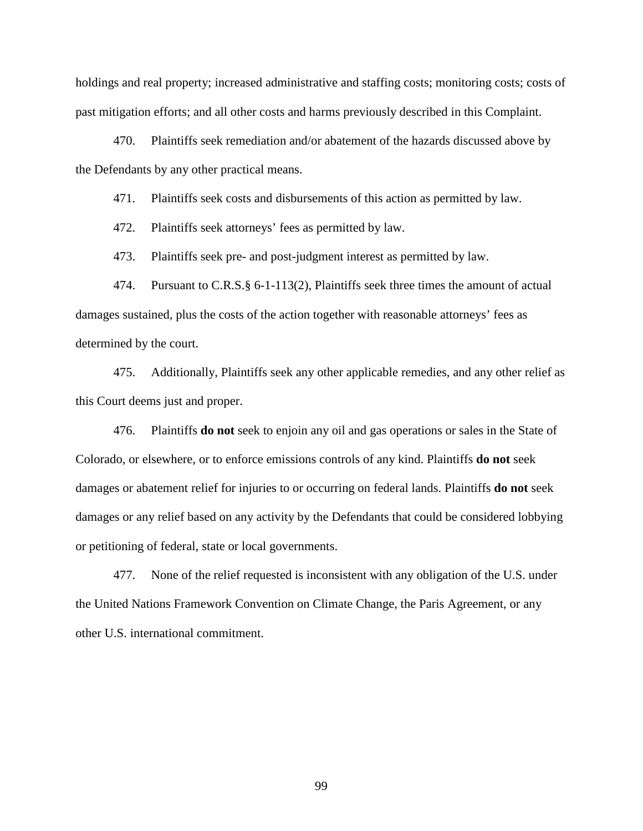holdings and real property; increased administrative and staffing costs; monitoring costs; costs of past mitigation efforts; and all other costs and harms previously described in this Complaint.

470. Plaintiffs seek remediation and/or abatement of the hazards discussed above by the Defendants by any other practical means.

471. Plaintiffs seek costs and disbursements of this action as permitted by law.

472. Plaintiffs seek attorneys' fees as permitted by law.

473. Plaintiffs seek pre- and post-judgment interest as permitted by law.

474. Pursuant to C.R.S.§ 6-1-113(2), Plaintiffs seek three times the amount of actual damages sustained, plus the costs of the action together with reasonable attorneys' fees as determined by the court.

475. Additionally, Plaintiffs seek any other applicable remedies, and any other relief as this Court deems just and proper.

476. Plaintiffs **do not** seek to enjoin any oil and gas operations or sales in the State of Colorado, or elsewhere, or to enforce emissions controls of any kind. Plaintiffs **do not** seek damages or abatement relief for injuries to or occurring on federal lands. Plaintiffs **do not** seek damages or any relief based on any activity by the Defendants that could be considered lobbying or petitioning of federal, state or local governments.

477. None of the relief requested is inconsistent with any obligation of the U.S. under the United Nations Framework Convention on Climate Change, the Paris Agreement, or any other U.S. international commitment.